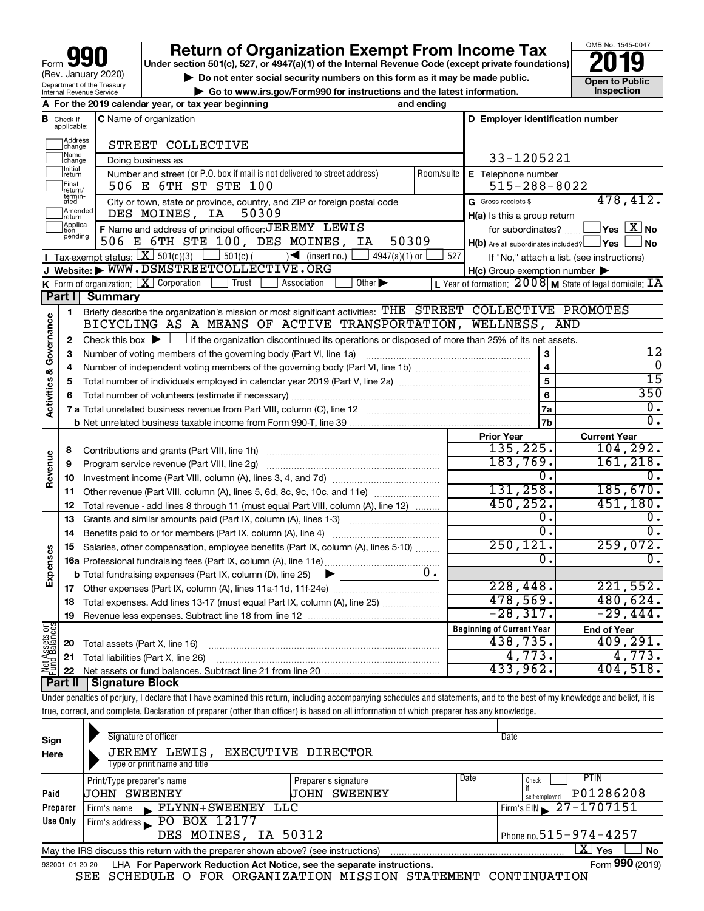# **your Beart of Organization Exempt From Income Tax Properties and Solution Solutions Properties and Solutions Properties and Solutions Properties and Solutions Properties and Solutions Properties and Solutions**

OMB No. 1545-0047 **Open to Public<br>Inspection** 

| ► Do not enter social security numbers on this form as it may be made public.           |  |  |
|-----------------------------------------------------------------------------------------|--|--|
| $\triangleright$ Go to www.irs.gov/Form990 for instructions and the latest information. |  |  |

|                                    |                                       | A For the 2019 calendar year, or tax year beginning<br>and ending                                                                           |            |                                                  |                                                             |
|------------------------------------|---------------------------------------|---------------------------------------------------------------------------------------------------------------------------------------------|------------|--------------------------------------------------|-------------------------------------------------------------|
|                                    | <b>B</b> Check if applicable:         | <b>C</b> Name of organization                                                                                                               |            | D Employer identification number                 |                                                             |
|                                    | Address<br>change                     | STREET COLLECTIVE                                                                                                                           |            |                                                  |                                                             |
|                                    | Name<br>change                        | Doing business as                                                                                                                           |            | 33-1205221                                       |                                                             |
|                                    | Initial<br>return<br>Final<br>return/ | Number and street (or P.O. box if mail is not delivered to street address)<br>506 E 6TH ST STE 100                                          | Room/suite | E Telephone number<br>$515 - 288 - 8022$         |                                                             |
|                                    | termin-<br>ated                       | City or town, state or province, country, and ZIP or foreign postal code                                                                    |            | G Gross receipts \$                              | $\overline{478}$ , $\overline{412}$ .                       |
|                                    | Amended<br>return                     | 50309<br>DES MOINES, IA                                                                                                                     |            | H(a) Is this a group return                      |                                                             |
|                                    | Applica-<br>Ition<br>pending          | F Name and address of principal officer: JEREMY LEWIS                                                                                       |            | for subordinates?                                | $\exists$ Yes $\boxed{\text{X}}$ No                         |
|                                    |                                       | 506 E 6TH STE 100, DES MOINES, IA<br>50309                                                                                                  |            | $H(b)$ Are all subordinates included? $\Box$ Yes | No                                                          |
|                                    |                                       | Tax-exempt status: $X \overline{S}$ 501(c)(3) $361(c)$ 501(c)(<br>$\sqrt{\frac{1}{1}}$ (insert no.)<br>4947(a)(1) or                        | 527        |                                                  | If "No," attach a list. (see instructions)                  |
|                                    |                                       | J Website: WWW.DSMSTREETCOLLECTIVE.ORG                                                                                                      |            | H(c) Group exemption number                      |                                                             |
|                                    |                                       | K Form of organization: X Corporation<br>Trust<br>Other $\blacktriangleright$<br>Association                                                |            |                                                  | L Year of formation: $2008$ M State of legal domicile: $TA$ |
|                                    | Part II                               | <b>Summary</b>                                                                                                                              |            |                                                  |                                                             |
|                                    | 1                                     | Briefly describe the organization's mission or most significant activities: THE STREET COLLECTIVE PROMOTES                                  |            |                                                  |                                                             |
| <b>Activities &amp; Governance</b> |                                       | BICYCLING AS A MEANS OF ACTIVE TRANSPORTATION, WELLNESS, AND                                                                                |            |                                                  |                                                             |
|                                    | $\mathbf{2}$                          | Check this box $\blacktriangleright$ $\Box$ if the organization discontinued its operations or disposed of more than 25% of its net assets. |            |                                                  | 12                                                          |
|                                    | 3                                     | Number of voting members of the governing body (Part VI, line 1a)                                                                           |            | 3<br>$\overline{\mathbf{4}}$                     | $\overline{0}$                                              |
|                                    | 4                                     |                                                                                                                                             |            | $\overline{5}$                                   | $\overline{15}$                                             |
|                                    | 5<br>6                                |                                                                                                                                             |            | 6                                                | 350                                                         |
|                                    |                                       |                                                                                                                                             |            | 7a                                               | 0.                                                          |
|                                    |                                       |                                                                                                                                             |            | 7 <sub>b</sub>                                   | $\overline{0}$ .                                            |
|                                    |                                       |                                                                                                                                             |            | <b>Prior Year</b>                                | <b>Current Year</b>                                         |
|                                    | 8                                     |                                                                                                                                             |            | 135, 225.                                        | 104, 292.                                                   |
|                                    | 9                                     | Program service revenue (Part VIII, line 2g)                                                                                                |            | 183,769.                                         | 161, 218.                                                   |
| Revenue                            | 10                                    |                                                                                                                                             |            | 0.                                               | о.                                                          |
|                                    | 11                                    | Other revenue (Part VIII, column (A), lines 5, 6d, 8c, 9c, 10c, and 11e)                                                                    |            | 131, 258.                                        | 185,670.                                                    |
|                                    | 12                                    | Total revenue - add lines 8 through 11 (must equal Part VIII, column (A), line 12)                                                          |            | 450, 252.                                        | 451,180.                                                    |
|                                    | 13                                    | Grants and similar amounts paid (Part IX, column (A), lines 1-3)                                                                            |            | σ.                                               | 0.                                                          |
|                                    | 14                                    | Benefits paid to or for members (Part IX, column (A), line 4)                                                                               |            | $\overline{0}$ .                                 | $\overline{0}$ .                                            |
|                                    | 15                                    | Salaries, other compensation, employee benefits (Part IX, column (A), lines 5-10)                                                           |            | 250, 121.                                        | 259,072.                                                    |
|                                    |                                       |                                                                                                                                             |            | Ο.                                               | 0.                                                          |
| Expenses                           |                                       | <b>b</b> Total fundraising expenses (Part IX, column (D), line 25)<br>▶                                                                     | υ.         |                                                  |                                                             |
|                                    |                                       |                                                                                                                                             |            | 228,448.                                         | 221,552.                                                    |
|                                    | 18                                    | Total expenses. Add lines 13-17 (must equal Part IX, column (A), line 25)                                                                   |            | 478,569.                                         | 480,624.                                                    |
|                                    | 19                                    |                                                                                                                                             |            | $-28, 317.$                                      | $-29,444.$                                                  |
| Net Assets or                      |                                       |                                                                                                                                             |            | <b>Beginning of Current Year</b>                 | <b>End of Year</b>                                          |
|                                    | 20                                    | Total assets (Part X, line 16)                                                                                                              |            | 438,735.                                         | 409, 291.                                                   |
|                                    | 21                                    | Total liabilities (Part X, line 26)                                                                                                         |            | 4,773.                                           | 4,773.                                                      |
|                                    |                                       |                                                                                                                                             |            | 433,962.                                         | 404,518.                                                    |

**Part II Signature Block**

Under penalties of perjury, I declare that I have examined this return, including accompanying schedules and statements, and to the best of my knowledge and belief, it is true, correct, and complete. Declaration of preparer (other than officer) is based on all information of which preparer has any knowledge.

| Sign<br>Here    | Signature of officer<br>LEWIS,<br><b>JEREMY</b><br>Type or print name and title                      | EXECUTIVE DIRECTOR                                    | Date                                                |  |  |  |
|-----------------|------------------------------------------------------------------------------------------------------|-------------------------------------------------------|-----------------------------------------------------|--|--|--|
| Paid            | Print/Type preparer's name<br><b>UOHN SWEENEY</b>                                                    | Preparer's signature<br><b>SWEENEY</b><br><b>UOHN</b> | Date<br>PTIN<br>Check<br>P01286208<br>self-emploved |  |  |  |
| Preparer        | FLYNN+SWEENEY LLC<br>Firm's name $\blacksquare$                                                      |                                                       | Firm's EIN $\sqrt{27-1707151}$                      |  |  |  |
| Use Only        | Firm's address PO BOX 12177                                                                          |                                                       |                                                     |  |  |  |
|                 | DES MOINES, IA 50312                                                                                 |                                                       | Phone no. 515 - 974 - 4257                          |  |  |  |
|                 | X <br>Yes<br>No<br>May the IRS discuss this return with the preparer shown above? (see instructions) |                                                       |                                                     |  |  |  |
| 932001 01-20-20 | LHA For Paperwork Reduction Act Notice, see the separate instructions.                               |                                                       | Form 990 (2019)                                     |  |  |  |

SEE SCHEDULE O FOR ORGANIZATION MISSION STATEMENT CONTINUATION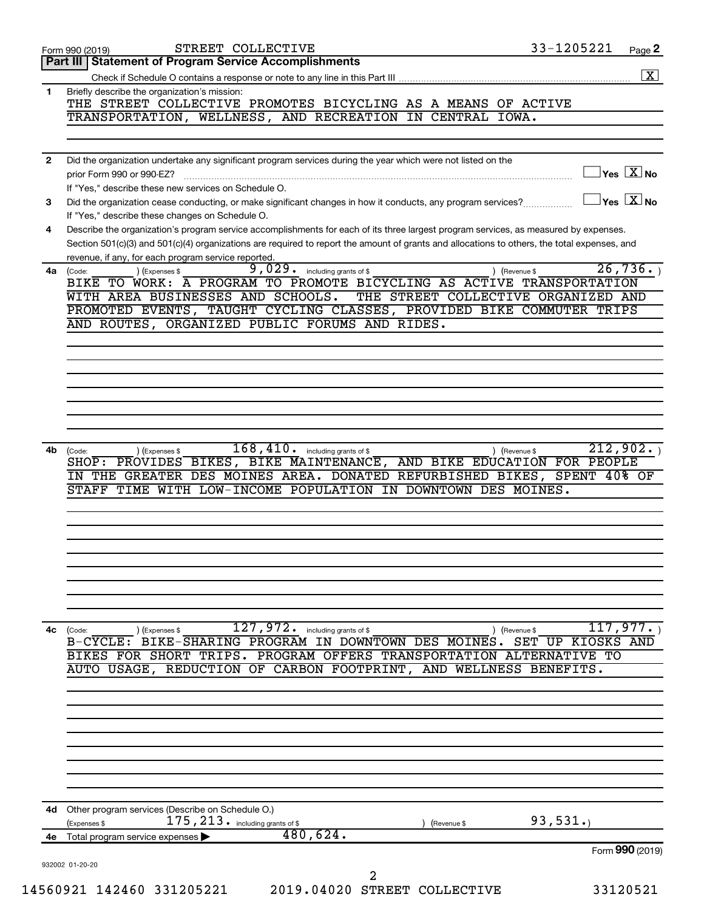|              | STREET COLLECTIVE<br>Form 990 (2019)                                                                                                                                                                                                                                                 | 33-1205221                                | Page 2                                     |
|--------------|--------------------------------------------------------------------------------------------------------------------------------------------------------------------------------------------------------------------------------------------------------------------------------------|-------------------------------------------|--------------------------------------------|
|              | Part III   Statement of Program Service Accomplishments                                                                                                                                                                                                                              |                                           | $\overline{\mathbf{x}}$                    |
| 1            | Briefly describe the organization's mission:<br>THE STREET COLLECTIVE PROMOTES BICYCLING AS A MEANS OF ACTIVE                                                                                                                                                                        |                                           |                                            |
|              | TRANSPORTATION, WELLNESS, AND RECREATION IN<br>CENTRAL IOWA.                                                                                                                                                                                                                         |                                           |                                            |
|              |                                                                                                                                                                                                                                                                                      |                                           |                                            |
| $\mathbf{2}$ | Did the organization undertake any significant program services during the year which were not listed on the<br>prior Form 990 or 990-EZ?                                                                                                                                            |                                           | $\overline{\ }$ Yes $\overline{\ \ \ }$ No |
| 3            | If "Yes," describe these new services on Schedule O.<br>Did the organization cease conducting, or make significant changes in how it conducts, any program services?<br>If "Yes," describe these changes on Schedule O.                                                              |                                           | $\overline{\mathsf{Yes} \mathbb{X}}$ No    |
| 4            | Describe the organization's program service accomplishments for each of its three largest program services, as measured by expenses.<br>Section 501(c)(3) and 501(c)(4) organizations are required to report the amount of grants and allocations to others, the total expenses, and |                                           |                                            |
| 4a           | revenue, if any, for each program service reported.<br>9,029.<br>including grants of \$<br>) (Expenses \$<br>(Code:                                                                                                                                                                  | ) (Revenue \$                             | 26,736.                                    |
|              | BIKE TO WORK: A PROGRAM TO PROMOTE BICYCLING AS ACTIVE TRANSPORTATION<br>WITH AREA BUSINESSES AND SCHOOLS.<br>THE STREET COLLECTIVE ORGANIZED AND                                                                                                                                    |                                           |                                            |
|              | PROMOTED EVENTS, TAUGHT CYCLING CLASSES, PROVIDED BIKE COMMUTER TRIPS<br>AND ROUTES, ORGANIZED PUBLIC FORUMS AND RIDES.                                                                                                                                                              |                                           |                                            |
|              |                                                                                                                                                                                                                                                                                      |                                           |                                            |
|              |                                                                                                                                                                                                                                                                                      |                                           |                                            |
|              |                                                                                                                                                                                                                                                                                      |                                           |                                            |
|              |                                                                                                                                                                                                                                                                                      |                                           |                                            |
|              |                                                                                                                                                                                                                                                                                      |                                           |                                            |
| 4b           | 168,410.<br>including grants of \$<br>(Expenses \$<br>(Code:<br>PROVIDES BIKES, BIKE MAINTENANCE, AND BIKE EDUCATION FOR PEOPLE<br>SHOP:<br>DES MOINES AREA. DONATED REFURBISHED BIKES,<br>THE GREATER<br>IN.                                                                        | 212,902.<br>) (Revenue \$<br>SPENT 40% OF |                                            |
|              | TIME WITH LOW-INCOME POPULATION IN DOWNTOWN DES MOINES.<br>STAFF                                                                                                                                                                                                                     |                                           |                                            |
|              |                                                                                                                                                                                                                                                                                      |                                           |                                            |
|              |                                                                                                                                                                                                                                                                                      |                                           |                                            |
|              |                                                                                                                                                                                                                                                                                      |                                           |                                            |
|              |                                                                                                                                                                                                                                                                                      |                                           |                                            |
| 4c           | $\overline{127}$ , 972. including grants of \$<br>(Code:<br>) (Expenses \$                                                                                                                                                                                                           | 117,977.<br>) (Revenue \$                 |                                            |
|              | B-CYCLE: BIKE-SHARING PROGRAM IN DOWNTOWN DES MOINES. SET UP KIOSKS AND<br>BIKES FOR SHORT TRIPS. PROGRAM OFFERS TRANSPORTATION ALTERNATIVE TO                                                                                                                                       |                                           |                                            |
|              | AUTO USAGE, REDUCTION OF CARBON FOOTPRINT, AND WELLNESS BENEFITS.                                                                                                                                                                                                                    |                                           |                                            |
|              |                                                                                                                                                                                                                                                                                      |                                           |                                            |
|              |                                                                                                                                                                                                                                                                                      |                                           |                                            |
|              |                                                                                                                                                                                                                                                                                      |                                           |                                            |
|              |                                                                                                                                                                                                                                                                                      |                                           |                                            |
|              |                                                                                                                                                                                                                                                                                      |                                           |                                            |
|              | 4d Other program services (Describe on Schedule O.)<br>$175, 213$ $\cdot$ including grants of \$<br>(Expenses \$<br>(Revenue \$                                                                                                                                                      | 93,531.                                   |                                            |
|              | 480,624.<br>4e Total program service expenses                                                                                                                                                                                                                                        | Form 990 (2019)                           |                                            |
|              | 932002 01-20-20                                                                                                                                                                                                                                                                      |                                           |                                            |
|              | 2<br>14560921 142460 331205221<br>2019.04020 STREET COLLECTIVE                                                                                                                                                                                                                       | 33120521                                  |                                            |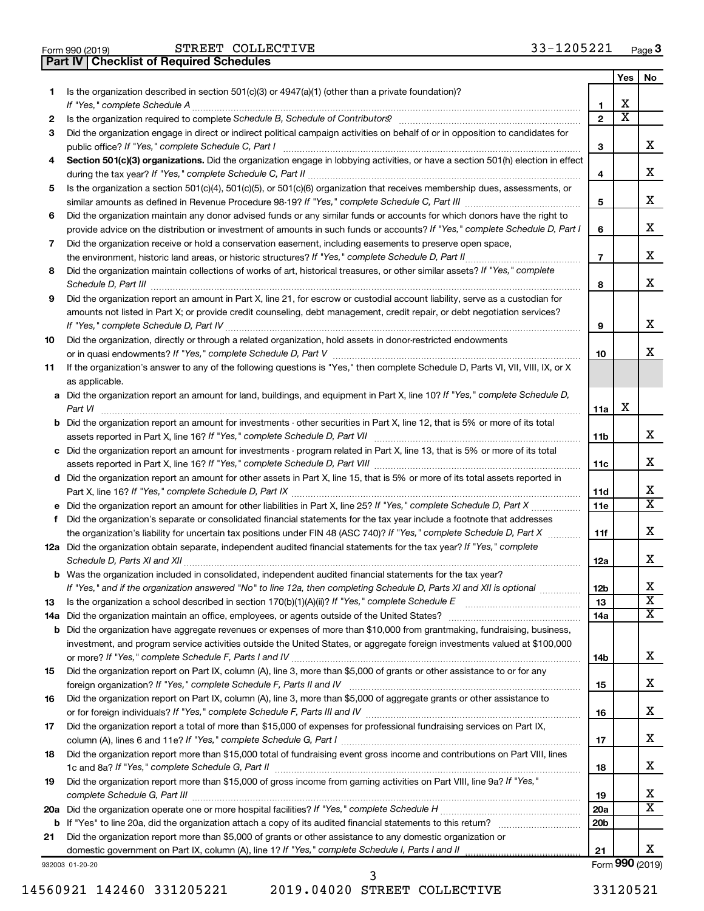| Form 990 (2019) |  |  |
|-----------------|--|--|

**Part IV Checklist of Required Schedules**

|        |                                                                                                                                                                                                                                                           |                     | Yes                          | No                                        |
|--------|-----------------------------------------------------------------------------------------------------------------------------------------------------------------------------------------------------------------------------------------------------------|---------------------|------------------------------|-------------------------------------------|
| 1.     | Is the organization described in section 501(c)(3) or 4947(a)(1) (other than a private foundation)?                                                                                                                                                       |                     |                              |                                           |
|        | If "Yes," complete Schedule A<br>Is the organization required to complete Schedule B, Schedule of Contributors? [11] The organization required to complete Schedule B, Schedule of Contributors?                                                          | 1<br>$\overline{2}$ | х<br>$\overline{\textbf{x}}$ |                                           |
| 2<br>3 | Did the organization engage in direct or indirect political campaign activities on behalf of or in opposition to candidates for                                                                                                                           |                     |                              |                                           |
|        | public office? If "Yes," complete Schedule C, Part I                                                                                                                                                                                                      | 3                   |                              | x                                         |
| 4      | Section 501(c)(3) organizations. Did the organization engage in lobbying activities, or have a section 501(h) election in effect                                                                                                                          | 4                   |                              | x                                         |
| 5      | Is the organization a section 501(c)(4), 501(c)(5), or 501(c)(6) organization that receives membership dues, assessments, or                                                                                                                              |                     |                              |                                           |
|        |                                                                                                                                                                                                                                                           | 5                   |                              | x                                         |
| 6      | Did the organization maintain any donor advised funds or any similar funds or accounts for which donors have the right to<br>provide advice on the distribution or investment of amounts in such funds or accounts? If "Yes," complete Schedule D, Part I | 6                   |                              | x                                         |
| 7      | Did the organization receive or hold a conservation easement, including easements to preserve open space,                                                                                                                                                 |                     |                              |                                           |
|        |                                                                                                                                                                                                                                                           | $\overline{7}$      |                              | x                                         |
| 8      | Did the organization maintain collections of works of art, historical treasures, or other similar assets? If "Yes," complete                                                                                                                              |                     |                              |                                           |
|        |                                                                                                                                                                                                                                                           | 8                   |                              | X                                         |
| 9      | Did the organization report an amount in Part X, line 21, for escrow or custodial account liability, serve as a custodian for                                                                                                                             |                     |                              |                                           |
|        | amounts not listed in Part X; or provide credit counseling, debt management, credit repair, or debt negotiation services?                                                                                                                                 | 9                   |                              | X                                         |
| 10     | Did the organization, directly or through a related organization, hold assets in donor-restricted endowments                                                                                                                                              |                     |                              |                                           |
|        |                                                                                                                                                                                                                                                           | 10                  |                              | х                                         |
| 11     | If the organization's answer to any of the following questions is "Yes," then complete Schedule D, Parts VI, VII, VIII, IX, or X<br>as applicable.                                                                                                        |                     |                              |                                           |
|        | a Did the organization report an amount for land, buildings, and equipment in Part X, line 10? If "Yes," complete Schedule D,                                                                                                                             |                     |                              |                                           |
|        | Part VI                                                                                                                                                                                                                                                   | 11a                 | X                            |                                           |
|        | <b>b</b> Did the organization report an amount for investments - other securities in Part X, line 12, that is 5% or more of its total                                                                                                                     |                     |                              |                                           |
|        | assets reported in Part X, line 16? If "Yes," complete Schedule D, Part VII [11] [11] [12] [12] [12] [12] [12] [                                                                                                                                          | 11 <sub>b</sub>     |                              | x                                         |
|        | c Did the organization report an amount for investments - program related in Part X, line 13, that is 5% or more of its total                                                                                                                             |                     |                              |                                           |
|        |                                                                                                                                                                                                                                                           | 11c                 |                              | x                                         |
|        | d Did the organization report an amount for other assets in Part X, line 15, that is 5% or more of its total assets reported in                                                                                                                           | 11d                 |                              | X                                         |
|        |                                                                                                                                                                                                                                                           | 11e                 |                              | $\overline{\mathbf{x}}$                   |
| f      | Did the organization's separate or consolidated financial statements for the tax year include a footnote that addresses                                                                                                                                   |                     |                              |                                           |
|        | the organization's liability for uncertain tax positions under FIN 48 (ASC 740)? If "Yes," complete Schedule D, Part X                                                                                                                                    | 11f                 |                              | X                                         |
|        | 12a Did the organization obtain separate, independent audited financial statements for the tax year? If "Yes," complete                                                                                                                                   |                     |                              |                                           |
|        |                                                                                                                                                                                                                                                           | 12a                 |                              | x                                         |
|        | <b>b</b> Was the organization included in consolidated, independent audited financial statements for the tax year?                                                                                                                                        |                     |                              |                                           |
|        | If "Yes," and if the organization answered "No" to line 12a, then completing Schedule D, Parts XI and XII is optional                                                                                                                                     | 12 <sub>b</sub>     |                              | х                                         |
| 13     |                                                                                                                                                                                                                                                           | 13                  |                              | $\overline{\textbf{x}}$<br>$\overline{X}$ |
| 14a    | Did the organization have aggregate revenues or expenses of more than \$10,000 from grantmaking, fundraising, business,                                                                                                                                   | 14a                 |                              |                                           |
| b      | investment, and program service activities outside the United States, or aggregate foreign investments valued at \$100,000                                                                                                                                |                     |                              |                                           |
|        |                                                                                                                                                                                                                                                           | 14b                 |                              | x                                         |
| 15     | Did the organization report on Part IX, column (A), line 3, more than \$5,000 of grants or other assistance to or for any                                                                                                                                 |                     |                              |                                           |
|        |                                                                                                                                                                                                                                                           | 15                  |                              | x                                         |
| 16     | Did the organization report on Part IX, column (A), line 3, more than \$5,000 of aggregate grants or other assistance to                                                                                                                                  |                     |                              |                                           |
|        |                                                                                                                                                                                                                                                           | 16                  |                              | x                                         |
| 17     | Did the organization report a total of more than \$15,000 of expenses for professional fundraising services on Part IX,                                                                                                                                   |                     |                              |                                           |
|        |                                                                                                                                                                                                                                                           | 17                  |                              | x                                         |
| 18     | Did the organization report more than \$15,000 total of fundraising event gross income and contributions on Part VIII, lines                                                                                                                              | 18                  |                              | x                                         |
| 19     | Did the organization report more than \$15,000 of gross income from gaming activities on Part VIII, line 9a? If "Yes,"                                                                                                                                    | 19                  |                              | x                                         |
| 20a    |                                                                                                                                                                                                                                                           | 20a                 |                              | $\overline{\mathbf{X}}$                   |
| b      |                                                                                                                                                                                                                                                           | 20 <sub>b</sub>     |                              |                                           |
| 21     | Did the organization report more than \$5,000 of grants or other assistance to any domestic organization or                                                                                                                                               |                     |                              |                                           |
|        |                                                                                                                                                                                                                                                           | 21                  |                              | x                                         |
|        | 932003 01-20-20                                                                                                                                                                                                                                           |                     |                              | Form 990 (2019)                           |

14560921 142460 331205221 2019.04020 STREET COLLECTIVE 33120521 3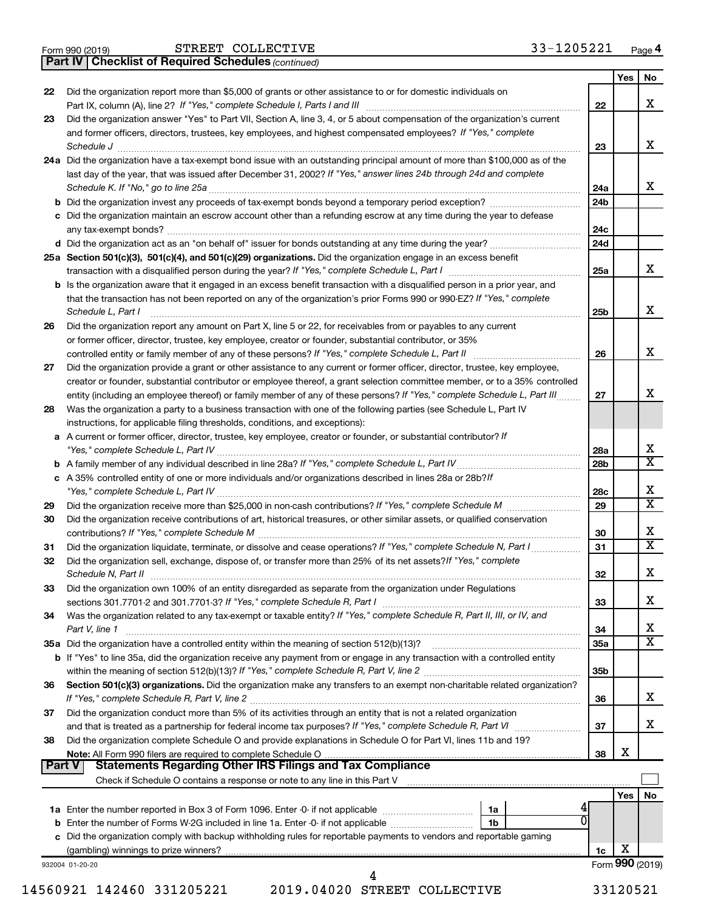|  | Form 990 (2019) |
|--|-----------------|
|  |                 |

*(continued)* **Part IV Checklist of Required Schedules**

|               |                                                                                                                                                                                                                                              |                 | Yes | No                           |
|---------------|----------------------------------------------------------------------------------------------------------------------------------------------------------------------------------------------------------------------------------------------|-----------------|-----|------------------------------|
| 22            | Did the organization report more than \$5,000 of grants or other assistance to or for domestic individuals on                                                                                                                                |                 |     |                              |
|               |                                                                                                                                                                                                                                              | 22              |     | x                            |
| 23            | Did the organization answer "Yes" to Part VII, Section A, line 3, 4, or 5 about compensation of the organization's current<br>and former officers, directors, trustees, key employees, and highest compensated employees? If "Yes," complete |                 |     |                              |
|               | Schedule J                                                                                                                                                                                                                                   | 23              |     | x                            |
|               | 24a Did the organization have a tax-exempt bond issue with an outstanding principal amount of more than \$100,000 as of the                                                                                                                  |                 |     |                              |
|               | last day of the year, that was issued after December 31, 2002? If "Yes," answer lines 24b through 24d and complete                                                                                                                           |                 |     |                              |
|               | Schedule K. If "No," go to line 25a                                                                                                                                                                                                          | 24a             |     | x                            |
|               |                                                                                                                                                                                                                                              | 24 <sub>b</sub> |     |                              |
|               | c Did the organization maintain an escrow account other than a refunding escrow at any time during the year to defease                                                                                                                       |                 |     |                              |
|               | any tax-exempt bonds?                                                                                                                                                                                                                        | 24c             |     |                              |
|               |                                                                                                                                                                                                                                              | 24d             |     |                              |
|               | 25a Section 501(c)(3), 501(c)(4), and 501(c)(29) organizations. Did the organization engage in an excess benefit                                                                                                                             | 25a             |     | x                            |
|               | <b>b</b> Is the organization aware that it engaged in an excess benefit transaction with a disqualified person in a prior year, and                                                                                                          |                 |     |                              |
|               | that the transaction has not been reported on any of the organization's prior Forms 990 or 990-EZ? If "Yes," complete                                                                                                                        |                 |     |                              |
|               | Schedule L, Part I                                                                                                                                                                                                                           | 25b             |     | х                            |
| 26            | Did the organization report any amount on Part X, line 5 or 22, for receivables from or payables to any current                                                                                                                              |                 |     |                              |
|               | or former officer, director, trustee, key employee, creator or founder, substantial contributor, or 35%                                                                                                                                      |                 |     |                              |
|               | controlled entity or family member of any of these persons? If "Yes," complete Schedule L, Part II                                                                                                                                           | 26              |     | x                            |
| 27            | Did the organization provide a grant or other assistance to any current or former officer, director, trustee, key employee,                                                                                                                  |                 |     |                              |
|               | creator or founder, substantial contributor or employee thereof, a grant selection committee member, or to a 35% controlled                                                                                                                  |                 |     |                              |
|               | entity (including an employee thereof) or family member of any of these persons? If "Yes," complete Schedule L, Part III                                                                                                                     | 27              |     | x                            |
| 28            | Was the organization a party to a business transaction with one of the following parties (see Schedule L, Part IV<br>instructions, for applicable filing thresholds, conditions, and exceptions):                                            |                 |     |                              |
|               | a A current or former officer, director, trustee, key employee, creator or founder, or substantial contributor? If                                                                                                                           |                 |     |                              |
|               |                                                                                                                                                                                                                                              | 28a             |     | х                            |
|               |                                                                                                                                                                                                                                              | 28 <sub>b</sub> |     | X                            |
|               | c A 35% controlled entity of one or more individuals and/or organizations described in lines 28a or 28b?If                                                                                                                                   |                 |     |                              |
|               |                                                                                                                                                                                                                                              | 28c             |     | х                            |
| 29            |                                                                                                                                                                                                                                              | 29              |     | $\overline{\text{x}}$        |
| 30            | Did the organization receive contributions of art, historical treasures, or other similar assets, or qualified conservation                                                                                                                  |                 |     |                              |
|               |                                                                                                                                                                                                                                              | 30              |     | х<br>$\overline{\textbf{X}}$ |
| 31            | Did the organization liquidate, terminate, or dissolve and cease operations? If "Yes," complete Schedule N, Part I                                                                                                                           | 31              |     |                              |
| 32            | Did the organization sell, exchange, dispose of, or transfer more than 25% of its net assets? If "Yes," complete<br>Schedule N, Part II                                                                                                      | 32              |     | х                            |
| 33            | Did the organization own 100% of an entity disregarded as separate from the organization under Regulations                                                                                                                                   |                 |     |                              |
|               |                                                                                                                                                                                                                                              | 33              |     | х                            |
| 34            | Was the organization related to any tax-exempt or taxable entity? If "Yes," complete Schedule R, Part II, III, or IV, and                                                                                                                    |                 |     |                              |
|               | Part V, line 1                                                                                                                                                                                                                               | 34              |     | х                            |
|               |                                                                                                                                                                                                                                              | 35a             |     | $\overline{\text{X}}$        |
|               | b If "Yes" to line 35a, did the organization receive any payment from or engage in any transaction with a controlled entity                                                                                                                  |                 |     |                              |
|               |                                                                                                                                                                                                                                              | 35 <sub>b</sub> |     |                              |
| 36            | Section 501(c)(3) organizations. Did the organization make any transfers to an exempt non-charitable related organization?                                                                                                                   |                 |     | х                            |
| 37            | Did the organization conduct more than 5% of its activities through an entity that is not a related organization                                                                                                                             | 36              |     |                              |
|               | and that is treated as a partnership for federal income tax purposes? If "Yes," complete Schedule R, Part VI                                                                                                                                 | 37              |     | x                            |
| 38            | Did the organization complete Schedule O and provide explanations in Schedule O for Part VI, lines 11b and 19?                                                                                                                               |                 |     |                              |
|               |                                                                                                                                                                                                                                              | 38              | X   |                              |
| <b>Part V</b> | <b>Statements Regarding Other IRS Filings and Tax Compliance</b>                                                                                                                                                                             |                 |     |                              |
|               |                                                                                                                                                                                                                                              |                 |     |                              |
|               |                                                                                                                                                                                                                                              |                 | Yes | No                           |
|               | 1a                                                                                                                                                                                                                                           |                 |     |                              |
|               | 1b<br>c Did the organization comply with backup withholding rules for reportable payments to vendors and reportable gaming                                                                                                                   |                 |     |                              |
|               |                                                                                                                                                                                                                                              | 1c              | х   |                              |
|               | 932004 01-20-20                                                                                                                                                                                                                              |                 |     | Form 990 (2019)              |
|               | 4                                                                                                                                                                                                                                            |                 |     |                              |

14560921 142460 331205221 2019.04020 STREET COLLECTIVE 33120521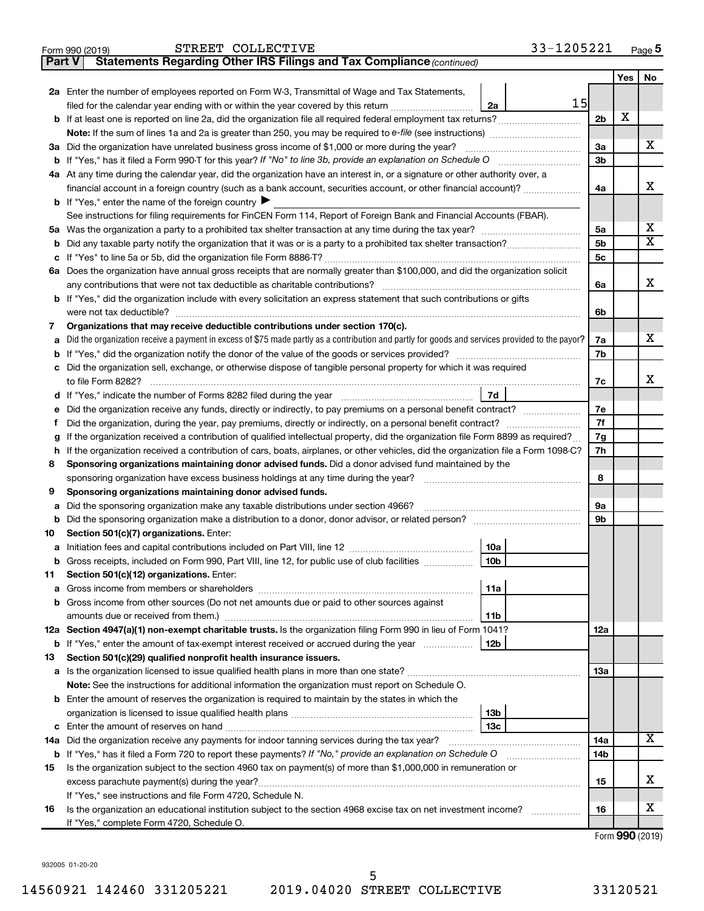| Form 990 (2019) | COLLECTIVE<br><b>STREET</b> | $\begin{array}{c} \n\bullet \bullet \bullet \bullet \bullet \bullet \bullet \bullet \end{array}$<br>1205221<br>$P$ age $\sim$ |
|-----------------|-----------------------------|-------------------------------------------------------------------------------------------------------------------------------|
|-----------------|-----------------------------|-------------------------------------------------------------------------------------------------------------------------------|

| <b>Part V</b> | <b>Statements Regarding Other IRS Filings and Tax Compliance (continued)</b>                                                                    |                |     |                         |
|---------------|-------------------------------------------------------------------------------------------------------------------------------------------------|----------------|-----|-------------------------|
|               |                                                                                                                                                 |                | Yes | No                      |
|               | 2a Enter the number of employees reported on Form W-3, Transmittal of Wage and Tax Statements,                                                  |                |     |                         |
|               | 15<br>filed for the calendar year ending with or within the year covered by this return<br>2a                                                   |                |     |                         |
|               |                                                                                                                                                 | 2 <sub>b</sub> | X   |                         |
|               |                                                                                                                                                 |                |     |                         |
|               | 3a Did the organization have unrelated business gross income of \$1,000 or more during the year?                                                | За             |     | x                       |
|               |                                                                                                                                                 | 3b             |     |                         |
|               | 4a At any time during the calendar year, did the organization have an interest in, or a signature or other authority over, a                    |                |     |                         |
|               | financial account in a foreign country (such as a bank account, securities account, or other financial account)?                                | 4a             |     | x                       |
|               | <b>b</b> If "Yes," enter the name of the foreign country $\blacktriangleright$                                                                  |                |     |                         |
|               | See instructions for filing requirements for FinCEN Form 114, Report of Foreign Bank and Financial Accounts (FBAR).                             |                |     |                         |
|               |                                                                                                                                                 | 5a             |     | x                       |
| b             |                                                                                                                                                 | 5b             |     | $\overline{\mathtt{x}}$ |
|               |                                                                                                                                                 | 5c             |     |                         |
|               | 6a Does the organization have annual gross receipts that are normally greater than \$100,000, and did the organization solicit                  |                |     |                         |
|               |                                                                                                                                                 | 6a             |     | x                       |
|               | <b>b</b> If "Yes," did the organization include with every solicitation an express statement that such contributions or gifts                   |                |     |                         |
|               |                                                                                                                                                 | 6b             |     |                         |
| 7             | Organizations that may receive deductible contributions under section 170(c).                                                                   |                |     |                         |
| a             | Did the organization receive a payment in excess of \$75 made partly as a contribution and partly for goods and services provided to the payor? | 7a             |     | x                       |
|               |                                                                                                                                                 | 7b             |     |                         |
|               | c Did the organization sell, exchange, or otherwise dispose of tangible personal property for which it was required                             |                |     |                         |
|               |                                                                                                                                                 | 7c             |     | x                       |
|               | 7d                                                                                                                                              |                |     |                         |
| е             | Did the organization receive any funds, directly or indirectly, to pay premiums on a personal benefit contract?                                 | 7е             |     |                         |
|               |                                                                                                                                                 | 7f             |     |                         |
| g             | If the organization received a contribution of qualified intellectual property, did the organization file Form 8899 as required?                | 7g             |     |                         |
| h             | If the organization received a contribution of cars, boats, airplanes, or other vehicles, did the organization file a Form 1098-C?              | 7h             |     |                         |
| 8             | Sponsoring organizations maintaining donor advised funds. Did a donor advised fund maintained by the                                            |                |     |                         |
|               | sponsoring organization have excess business holdings at any time during the year?                                                              | 8              |     |                         |
| 9             | Sponsoring organizations maintaining donor advised funds.                                                                                       |                |     |                         |
| а             | Did the sponsoring organization make any taxable distributions under section 4966?                                                              | 9а             |     |                         |
| b             | Did the sponsoring organization make a distribution to a donor, donor advisor, or related person?                                               | 9b             |     |                         |
| 10            | Section 501(c)(7) organizations. Enter:                                                                                                         |                |     |                         |
| а             | 10a                                                                                                                                             |                |     |                         |
|               | 10 <sub>b</sub><br>b Gross receipts, included on Form 990, Part VIII, line 12, for public use of club facilities                                |                |     |                         |
| 11            | Section 501(c)(12) organizations. Enter:                                                                                                        |                |     |                         |
|               | 11a                                                                                                                                             |                |     |                         |
|               | b Gross income from other sources (Do not net amounts due or paid to other sources against                                                      |                |     |                         |
|               | 11b                                                                                                                                             |                |     |                         |
|               | 12a Section 4947(a)(1) non-exempt charitable trusts. Is the organization filing Form 990 in lieu of Form 1041?                                  | 12a            |     |                         |
|               | 12 <sub>b</sub><br><b>b</b> If "Yes," enter the amount of tax-exempt interest received or accrued during the year                               |                |     |                         |
| 13            | Section 501(c)(29) qualified nonprofit health insurance issuers.                                                                                |                |     |                         |
|               | a Is the organization licensed to issue qualified health plans in more than one state?                                                          | 13a            |     |                         |
|               | Note: See the instructions for additional information the organization must report on Schedule O.                                               |                |     |                         |
|               | <b>b</b> Enter the amount of reserves the organization is required to maintain by the states in which the                                       |                |     |                         |
|               | 13 <sub>b</sub>                                                                                                                                 |                |     |                         |
|               | 13с                                                                                                                                             |                |     | X                       |
|               | 14a Did the organization receive any payments for indoor tanning services during the tax year?                                                  | 14a            |     |                         |
|               | <b>b</b> If "Yes," has it filed a Form 720 to report these payments? If "No," provide an explanation on Schedule O                              | 14b            |     |                         |
| 15            | Is the organization subject to the section 4960 tax on payment(s) of more than \$1,000,000 in remuneration or                                   |                |     |                         |
|               |                                                                                                                                                 | 15             |     | x                       |
|               | If "Yes," see instructions and file Form 4720, Schedule N.                                                                                      |                |     | x                       |
| 16            | Is the organization an educational institution subject to the section 4968 excise tax on net investment income?                                 | 16             |     |                         |
|               | If "Yes," complete Form 4720, Schedule O.                                                                                                       |                |     |                         |

Form (2019) **990**

932005 01-20-20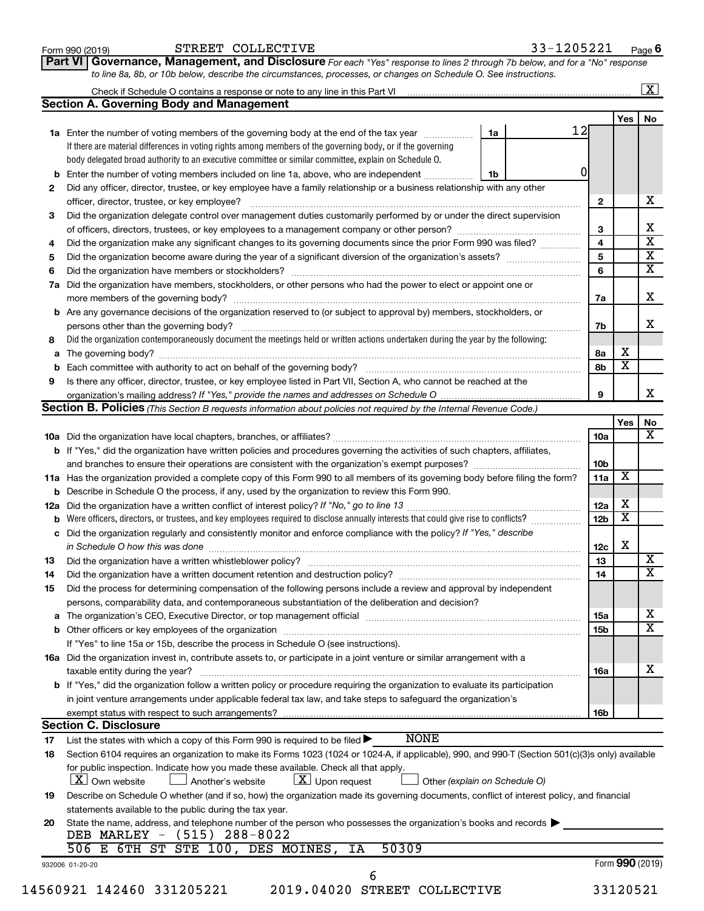### Form 990 (2019)  $\begin{array}{cccc} \text{STREET} & \text{COLLECTIVE} \end{array}$  33–1205221  $_{\text{Page}}$

**Part VI** Governance, Management, and Disclosure For each "Yes" response to lines 2 through 7b below, and for a "No" response *to line 8a, 8b, or 10b below, describe the circumstances, processes, or changes on Schedule O. See instructions.*

|     |                                                                                                                                                                          |                               |                         |                         | $\overline{\mathbf{X}}$ |
|-----|--------------------------------------------------------------------------------------------------------------------------------------------------------------------------|-------------------------------|-------------------------|-------------------------|-------------------------|
|     | <b>Section A. Governing Body and Management</b>                                                                                                                          |                               |                         |                         |                         |
|     |                                                                                                                                                                          |                               |                         | Yes                     | No                      |
|     | 1a Enter the number of voting members of the governing body at the end of the tax year                                                                                   | 12<br>1a                      |                         |                         |                         |
|     | If there are material differences in voting rights among members of the governing body, or if the governing                                                              |                               |                         |                         |                         |
|     | body delegated broad authority to an executive committee or similar committee, explain on Schedule O.                                                                    |                               |                         |                         |                         |
| b   | Enter the number of voting members included on line 1a, above, who are independent                                                                                       | 1b                            | 0                       |                         |                         |
| 2   | Did any officer, director, trustee, or key employee have a family relationship or a business relationship with any other                                                 |                               |                         |                         |                         |
|     | officer, director, trustee, or key employee?                                                                                                                             |                               | $\mathbf{2}$            |                         | x                       |
| 3   | Did the organization delegate control over management duties customarily performed by or under the direct supervision                                                    |                               |                         |                         |                         |
|     |                                                                                                                                                                          |                               | 3                       |                         |                         |
| 4   | Did the organization make any significant changes to its governing documents since the prior Form 990 was filed?                                                         |                               | 4                       |                         |                         |
| 5   |                                                                                                                                                                          |                               | $\overline{\mathbf{5}}$ |                         |                         |
| 6   |                                                                                                                                                                          |                               | 6                       |                         |                         |
| 7a  | Did the organization have members, stockholders, or other persons who had the power to elect or appoint one or                                                           |                               |                         |                         |                         |
|     |                                                                                                                                                                          |                               | 7a                      |                         |                         |
|     | <b>b</b> Are any governance decisions of the organization reserved to (or subject to approval by) members, stockholders, or                                              |                               |                         |                         |                         |
|     | persons other than the governing body?                                                                                                                                   |                               | 7b                      |                         |                         |
| 8   | Did the organization contemporaneously document the meetings held or written actions undertaken during the year by the following:                                        |                               |                         |                         |                         |
|     |                                                                                                                                                                          |                               | 8a                      | x                       |                         |
|     |                                                                                                                                                                          |                               | 8b                      | $\overline{\mathbf{x}}$ |                         |
| 9   | Is there any officer, director, trustee, or key employee listed in Part VII, Section A, who cannot be reached at the                                                     |                               |                         |                         |                         |
|     |                                                                                                                                                                          |                               | 9                       |                         |                         |
|     | Section B. Policies (This Section B requests information about policies not required by the Internal Revenue Code.)                                                      |                               |                         |                         |                         |
|     |                                                                                                                                                                          |                               |                         | Yes                     |                         |
|     |                                                                                                                                                                          |                               | 10a                     |                         |                         |
|     | <b>b</b> If "Yes," did the organization have written policies and procedures governing the activities of such chapters, affiliates,                                      |                               |                         |                         |                         |
|     |                                                                                                                                                                          |                               | 10 <sub>b</sub>         |                         |                         |
|     | 11a Has the organization provided a complete copy of this Form 990 to all members of its governing body before filing the form?                                          |                               | 11a                     | X                       |                         |
|     | <b>b</b> Describe in Schedule O the process, if any, used by the organization to review this Form 990.                                                                   |                               |                         |                         |                         |
| 12a |                                                                                                                                                                          |                               | 12a                     | x                       |                         |
| b   | Were officers, directors, or trustees, and key employees required to disclose annually interests that could give rise to conflicts?                                      |                               | 12 <sub>b</sub>         | $\overline{\textbf{x}}$ |                         |
|     | c Did the organization regularly and consistently monitor and enforce compliance with the policy? If "Yes," describe                                                     |                               |                         |                         |                         |
|     | in Schedule O how this was done manufactured and continuum and contact the way to the set of the set of the schedule O how this was done                                 |                               | 12c                     | х                       |                         |
| 13  |                                                                                                                                                                          |                               | 13                      |                         |                         |
| 14  | Did the organization have a written document retention and destruction policy? [11] manufaction manufaction in                                                           |                               | 14                      |                         |                         |
| 15  | Did the process for determining compensation of the following persons include a review and approval by independent                                                       |                               |                         |                         |                         |
|     | persons, comparability data, and contemporaneous substantiation of the deliberation and decision?                                                                        |                               |                         |                         |                         |
|     |                                                                                                                                                                          |                               | 15a                     |                         |                         |
|     |                                                                                                                                                                          |                               | 15b                     |                         |                         |
|     | If "Yes" to line 15a or 15b, describe the process in Schedule O (see instructions).                                                                                      |                               |                         |                         |                         |
|     |                                                                                                                                                                          |                               |                         |                         |                         |
|     | 16a Did the organization invest in, contribute assets to, or participate in a joint venture or similar arrangement with a                                                |                               |                         |                         |                         |
|     | taxable entity during the year?<br><b>b</b> If "Yes," did the organization follow a written policy or procedure requiring the organization to evaluate its participation |                               | 16a                     |                         |                         |
|     |                                                                                                                                                                          |                               |                         |                         |                         |
|     | in joint venture arrangements under applicable federal tax law, and take steps to safeguard the organization's                                                           |                               |                         |                         |                         |
|     | exempt status with respect to such arrangements?                                                                                                                         |                               | 16b                     |                         |                         |
|     | <b>Section C. Disclosure</b><br><b>NONE</b>                                                                                                                              |                               |                         |                         |                         |
| 17  | List the states with which a copy of this Form 990 is required to be filed $\blacktriangleright$                                                                         |                               |                         |                         |                         |
| 18  | Section 6104 requires an organization to make its Forms 1023 (1024 or 1024-A, if applicable), 990, and 990-T (Section 501(c)(3)s only) available                         |                               |                         |                         |                         |
|     | for public inspection. Indicate how you made these available. Check all that apply.                                                                                      |                               |                         |                         |                         |
|     | $X$ Own website<br>$\lfloor x \rfloor$ Upon request<br>Another's website                                                                                                 | Other (explain on Schedule O) |                         |                         |                         |
| 19  | Describe on Schedule O whether (and if so, how) the organization made its governing documents, conflict of interest policy, and financial                                |                               |                         |                         |                         |
|     | statements available to the public during the tax year.                                                                                                                  |                               |                         |                         |                         |
| 20  | State the name, address, and telephone number of the person who possesses the organization's books and records                                                           |                               |                         |                         |                         |
|     | DEB MARLEY - (515) 288-8022                                                                                                                                              |                               |                         |                         |                         |
|     | 506 E 6TH ST STE 100, DES MOINES,<br>IA<br>50309                                                                                                                         |                               |                         |                         |                         |
|     | 932006 01-20-20                                                                                                                                                          |                               |                         | Form 990 (2019)         |                         |
|     | 6                                                                                                                                                                        |                               |                         |                         |                         |
|     | 14560921 142460 331205221<br>2019.04020 STREET COLLECTIVE                                                                                                                |                               |                         | 33120521                |                         |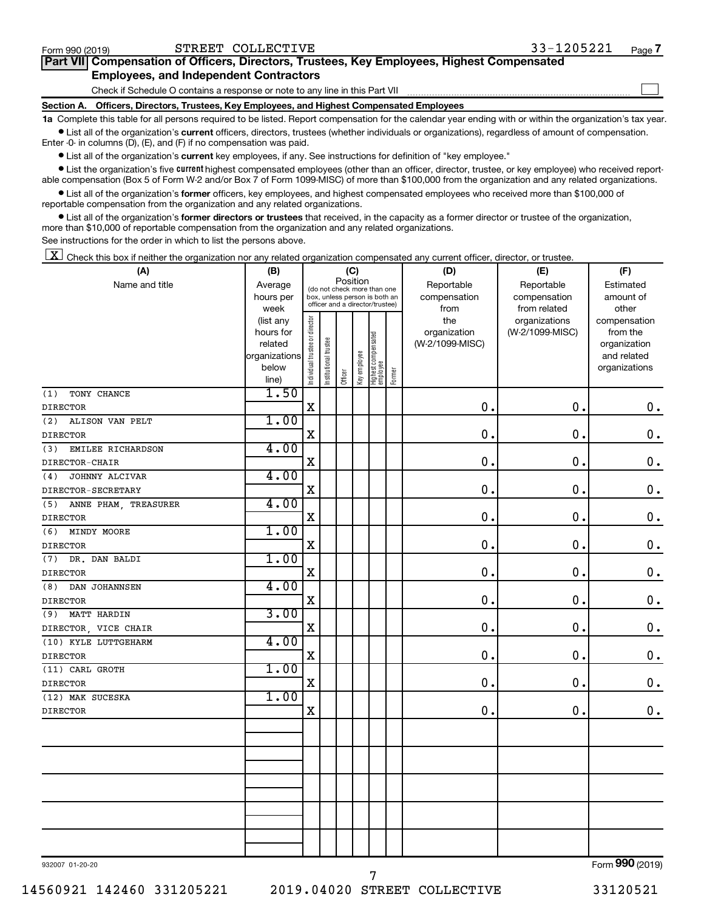$\Box$ 

| Part VII Compensation of Officers, Directors, Trustees, Key Employees, Highest Compensated |  |  |  |
|--------------------------------------------------------------------------------------------|--|--|--|
| <b>Employees, and Independent Contractors</b>                                              |  |  |  |

Check if Schedule O contains a response or note to any line in this Part VII

**Section A. Officers, Directors, Trustees, Key Employees, and Highest Compensated Employees**

**1a**  Complete this table for all persons required to be listed. Report compensation for the calendar year ending with or within the organization's tax year.  $\bullet$  List all of the organization's current officers, directors, trustees (whether individuals or organizations), regardless of amount of compensation.

Enter -0- in columns (D), (E), and (F) if no compensation was paid.

**•** List all of the organization's current key employees, if any. See instructions for definition of "key employee."

• List the organization's five *current* highest compensated employees (other than an officer, director, trustee, or key employee) who received reportable compensation (Box 5 of Form W-2 and/or Box 7 of Form 1099-MISC) of more than \$100,000 from the organization and any related organizations.

 $\bullet$  List all of the organization's former officers, key employees, and highest compensated employees who received more than \$100,000 of reportable compensation from the organization and any related organizations.

**•** List all of the organization's former directors or trustees that received, in the capacity as a former director or trustee of the organization, more than \$10,000 of reportable compensation from the organization and any related organizations.

See instructions for the order in which to list the persons above.

 $\boxed{\textbf{X}}$  Check this box if neither the organization nor any related organization compensated any current officer, director, or trustee.

| (A)                         | (B)                  |                                |                       | (C)      |              |                                                                  |        | (D)                             | (E)             | (F)                      |
|-----------------------------|----------------------|--------------------------------|-----------------------|----------|--------------|------------------------------------------------------------------|--------|---------------------------------|-----------------|--------------------------|
| Name and title              | Average              |                                |                       | Position |              | (do not check more than one                                      |        | Reportable                      | Reportable      | Estimated                |
|                             | hours per            |                                |                       |          |              | box, unless person is both an<br>officer and a director/trustee) |        | compensation                    | compensation    | amount of                |
|                             | week                 |                                |                       |          |              |                                                                  |        | from                            | from related    | other                    |
|                             | (list any            |                                |                       |          |              |                                                                  |        | the                             | organizations   | compensation             |
|                             | hours for<br>related |                                |                       |          |              |                                                                  |        | organization<br>(W-2/1099-MISC) | (W-2/1099-MISC) | from the<br>organization |
|                             | organizations        |                                |                       |          |              |                                                                  |        |                                 |                 | and related              |
|                             | below                |                                |                       |          |              |                                                                  |        |                                 |                 | organizations            |
|                             | line)                | Individual trustee or director | Institutional trustee | Officer  | Key employee | Highest compensated<br>employee                                  | Former |                                 |                 |                          |
| TONY CHANCE<br>(1)          | 1.50                 |                                |                       |          |              |                                                                  |        |                                 |                 |                          |
| <b>DIRECTOR</b>             |                      | $\mathbf X$                    |                       |          |              |                                                                  |        | $\mathbf 0$ .                   | 0.              | $\mathbf 0$ .            |
| (2)<br>ALISON VAN PELT      | 1.00                 |                                |                       |          |              |                                                                  |        |                                 |                 |                          |
| <b>DIRECTOR</b>             |                      | $\mathbf X$                    |                       |          |              |                                                                  |        | $\mathbf 0$ .                   | $\mathbf 0$ .   | $\mathbf 0$ .            |
| EMILEE RICHARDSON<br>(3)    | 4.00                 |                                |                       |          |              |                                                                  |        |                                 |                 |                          |
| DIRECTOR-CHAIR              |                      | $\mathbf X$                    |                       |          |              |                                                                  |        | $\mathbf 0$ .                   | $\mathbf 0$     | $0$ .                    |
| JOHNNY ALCIVAR<br>(4)       | 4.00                 |                                |                       |          |              |                                                                  |        |                                 |                 |                          |
| DIRECTOR-SECRETARY          |                      | $\mathbf X$                    |                       |          |              |                                                                  |        | $\mathbf 0$ .                   | $\mathbf 0$ .   | $\mathbf 0$ .            |
| (5)<br>ANNE PHAM, TREASURER | 4.00                 |                                |                       |          |              |                                                                  |        |                                 |                 |                          |
| <b>DIRECTOR</b>             |                      | X                              |                       |          |              |                                                                  |        | $\mathbf 0$ .                   | $\mathbf 0$ .   | $\mathbf 0$ .            |
| (6)<br>MINDY MOORE          | 1.00                 |                                |                       |          |              |                                                                  |        |                                 |                 |                          |
| <b>DIRECTOR</b>             |                      | $\mathbf X$                    |                       |          |              |                                                                  |        | 0.                              | $\mathbf 0$ .   | $0$ .                    |
| DR. DAN BALDI<br>(7)        | 1.00                 |                                |                       |          |              |                                                                  |        |                                 |                 |                          |
| <b>DIRECTOR</b>             |                      | $\mathbf X$                    |                       |          |              |                                                                  |        | $\mathbf 0$ .                   | 0.              | $\mathbf 0$ .            |
| DAN JOHANNSEN<br>(8)        | 4.00                 |                                |                       |          |              |                                                                  |        |                                 |                 |                          |
| <b>DIRECTOR</b>             |                      | $\mathbf X$                    |                       |          |              |                                                                  |        | 0.                              | 0.              | $\boldsymbol{0}$ .       |
| <b>MATT HARDIN</b><br>(9)   | 3.00                 |                                |                       |          |              |                                                                  |        |                                 |                 |                          |
| DIRECTOR, VICE CHAIR        |                      | $\mathbf X$                    |                       |          |              |                                                                  |        | 0.                              | 0.              | $\mathbf 0$ .            |
| (10) KYLE LUTTGEHARM        | 4.00                 |                                |                       |          |              |                                                                  |        |                                 |                 |                          |
| <b>DIRECTOR</b>             |                      | $\mathbf X$                    |                       |          |              |                                                                  |        | $\mathbf 0$ .                   | 0.              | $0$ .                    |
| (11) CARL GROTH             | 1.00                 |                                |                       |          |              |                                                                  |        |                                 |                 |                          |
| <b>DIRECTOR</b>             |                      | $\mathbf X$                    |                       |          |              |                                                                  |        | $\mathbf 0$ .                   | 0.              | $\mathbf 0$ .            |
| (12) MAK SUCESKA            | 1.00                 |                                |                       |          |              |                                                                  |        |                                 |                 |                          |
| <b>DIRECTOR</b>             |                      | X                              |                       |          |              |                                                                  |        | $\mathbf 0$ .                   | $\mathbf 0$ .   | $0$ .                    |
|                             |                      |                                |                       |          |              |                                                                  |        |                                 |                 |                          |
|                             |                      |                                |                       |          |              |                                                                  |        |                                 |                 |                          |
|                             |                      |                                |                       |          |              |                                                                  |        |                                 |                 |                          |
|                             |                      |                                |                       |          |              |                                                                  |        |                                 |                 |                          |
|                             |                      |                                |                       |          |              |                                                                  |        |                                 |                 |                          |
|                             |                      |                                |                       |          |              |                                                                  |        |                                 |                 |                          |
|                             |                      |                                |                       |          |              |                                                                  |        |                                 |                 |                          |
|                             |                      |                                |                       |          |              |                                                                  |        |                                 |                 |                          |
|                             |                      |                                |                       |          |              |                                                                  |        |                                 |                 |                          |
|                             |                      |                                |                       |          |              |                                                                  |        |                                 |                 |                          |

932007 01-20-20

7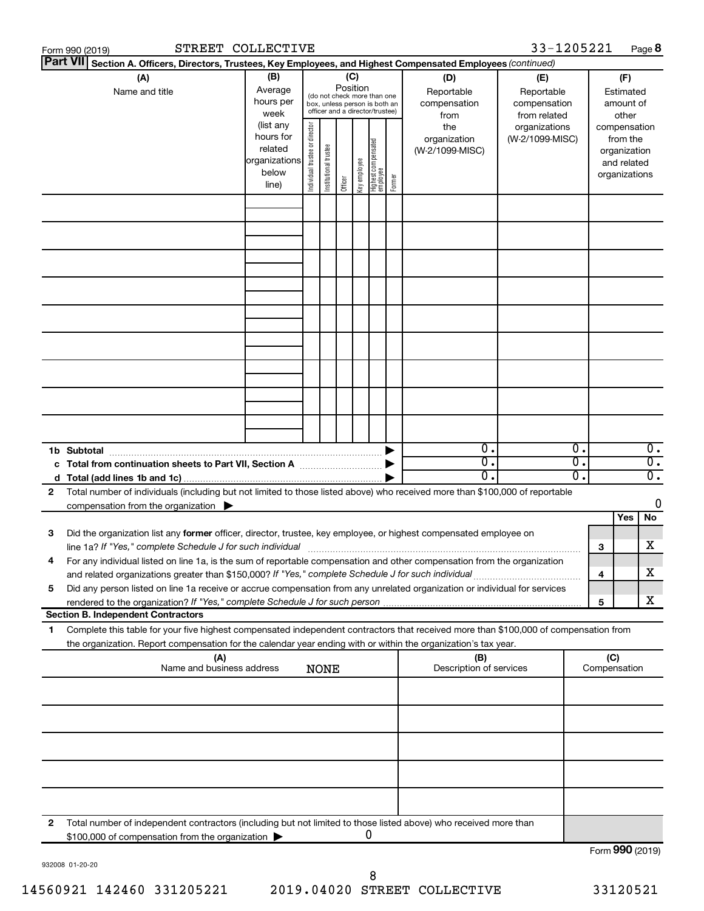|                 | STREET COLLECTIVE<br>Form 990 (2019)                                                                                                                                                                                                                   |                                                         |                                |                            |                 |              |                                                                                                 |        |                                                  | 33-1205221                                                         |          |                              |                                                          | Page 8                 |
|-----------------|--------------------------------------------------------------------------------------------------------------------------------------------------------------------------------------------------------------------------------------------------------|---------------------------------------------------------|--------------------------------|----------------------------|-----------------|--------------|-------------------------------------------------------------------------------------------------|--------|--------------------------------------------------|--------------------------------------------------------------------|----------|------------------------------|----------------------------------------------------------|------------------------|
| <b>Part VII</b> | Section A. Officers, Directors, Trustees, Key Employees, and Highest Compensated Employees (continued)                                                                                                                                                 |                                                         |                                |                            |                 |              |                                                                                                 |        |                                                  |                                                                    |          |                              |                                                          |                        |
|                 | (A)<br>Name and title                                                                                                                                                                                                                                  | (B)<br>Average<br>hours per<br>week<br>(list any        |                                |                            | (C)<br>Position |              | (do not check more than one<br>box, unless person is both an<br>officer and a director/trustee) |        | (D)<br>Reportable<br>compensation<br>from<br>the | (E)<br>Reportable<br>compensation<br>from related<br>organizations |          |                              | (F)<br>Estimated<br>amount of<br>other<br>compensation   |                        |
|                 |                                                                                                                                                                                                                                                        | hours for<br>related<br>organizations<br>below<br>line) | Individual trustee or director | trustee<br>Institutional t | Officer         | Key employee | Highest compensated<br> employee                                                                | Former | organization<br>(W-2/1099-MISC)                  | (W-2/1099-MISC)                                                    |          |                              | from the<br>organization<br>and related<br>organizations |                        |
|                 |                                                                                                                                                                                                                                                        |                                                         |                                |                            |                 |              |                                                                                                 |        |                                                  |                                                                    |          |                              |                                                          |                        |
|                 |                                                                                                                                                                                                                                                        |                                                         |                                |                            |                 |              |                                                                                                 |        |                                                  |                                                                    |          |                              |                                                          |                        |
|                 |                                                                                                                                                                                                                                                        |                                                         |                                |                            |                 |              |                                                                                                 |        |                                                  |                                                                    |          |                              |                                                          |                        |
|                 |                                                                                                                                                                                                                                                        |                                                         |                                |                            |                 |              |                                                                                                 |        |                                                  |                                                                    |          |                              |                                                          |                        |
|                 |                                                                                                                                                                                                                                                        |                                                         |                                |                            |                 |              |                                                                                                 |        |                                                  |                                                                    |          |                              |                                                          |                        |
|                 |                                                                                                                                                                                                                                                        |                                                         |                                |                            |                 |              |                                                                                                 |        |                                                  |                                                                    |          |                              |                                                          |                        |
|                 |                                                                                                                                                                                                                                                        |                                                         |                                |                            |                 |              |                                                                                                 |        |                                                  |                                                                    |          |                              |                                                          |                        |
|                 |                                                                                                                                                                                                                                                        |                                                         |                                |                            |                 |              |                                                                                                 |        | 0.                                               |                                                                    | о.       |                              |                                                          | $0$ .                  |
|                 | 1b Subtotal                                                                                                                                                                                                                                            |                                                         |                                |                            |                 |              |                                                                                                 |        | $\overline{0}$ .<br>0.                           |                                                                    | 0.<br>О. |                              |                                                          | $\overline{0}$ .<br>σ. |
| 2               | Total number of individuals (including but not limited to those listed above) who received more than \$100,000 of reportable<br>compensation from the organization $\blacktriangleright$                                                               |                                                         |                                |                            |                 |              |                                                                                                 |        |                                                  |                                                                    |          |                              |                                                          | 0                      |
| з               | Did the organization list any former officer, director, trustee, key employee, or highest compensated employee on                                                                                                                                      |                                                         |                                |                            |                 |              |                                                                                                 |        |                                                  |                                                                    |          |                              | Yes                                                      | No.                    |
| 4               | line 1a? If "Yes," complete Schedule J for such individual<br>For any individual listed on line 1a, is the sum of reportable compensation and other compensation from the organization                                                                 |                                                         |                                |                            |                 |              |                                                                                                 |        |                                                  |                                                                    |          | 3<br>$\overline{\mathbf{4}}$ |                                                          | х<br>х                 |
| 5               | Did any person listed on line 1a receive or accrue compensation from any unrelated organization or individual for services                                                                                                                             |                                                         |                                |                            |                 |              |                                                                                                 |        |                                                  |                                                                    |          | 5                            |                                                          | X                      |
|                 | <b>Section B. Independent Contractors</b>                                                                                                                                                                                                              |                                                         |                                |                            |                 |              |                                                                                                 |        |                                                  |                                                                    |          |                              |                                                          |                        |
| 1               | Complete this table for your five highest compensated independent contractors that received more than \$100,000 of compensation from<br>the organization. Report compensation for the calendar year ending with or within the organization's tax year. |                                                         |                                |                            |                 |              |                                                                                                 |        |                                                  |                                                                    |          |                              |                                                          |                        |
|                 | (A)<br>Name and business address                                                                                                                                                                                                                       |                                                         |                                | <b>NONE</b>                |                 |              |                                                                                                 |        | (B)<br>Description of services                   |                                                                    |          | (C)                          | Compensation                                             |                        |
|                 |                                                                                                                                                                                                                                                        |                                                         |                                |                            |                 |              |                                                                                                 |        |                                                  |                                                                    |          |                              |                                                          |                        |
|                 |                                                                                                                                                                                                                                                        |                                                         |                                |                            |                 |              |                                                                                                 |        |                                                  |                                                                    |          |                              |                                                          |                        |
|                 |                                                                                                                                                                                                                                                        |                                                         |                                |                            |                 |              |                                                                                                 |        |                                                  |                                                                    |          |                              |                                                          |                        |
|                 |                                                                                                                                                                                                                                                        |                                                         |                                |                            |                 |              |                                                                                                 |        |                                                  |                                                                    |          |                              |                                                          |                        |
| 2               | Total number of independent contractors (including but not limited to those listed above) who received more than<br>\$100,000 of compensation from the organization                                                                                    |                                                         |                                |                            |                 |              | U                                                                                               |        |                                                  |                                                                    |          |                              | $F_{\alpha r}$ 990 (2019)                                |                        |

932008 01-20-20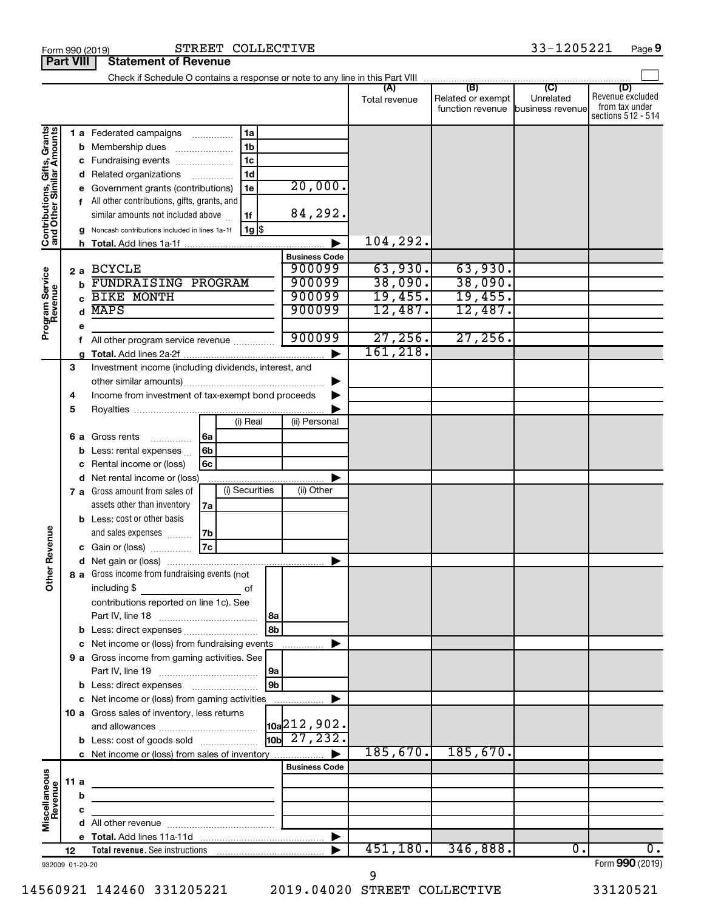| Related or exempt<br>Unrelated<br>Total revenue<br>from tax under<br>function revenue<br>business revenue<br>Contributions, Gifts, Grants<br>and Other Similar Amounts<br>1a<br><b>1 a</b> Federated campaigns<br>1 <sub>b</sub><br><b>b</b> Membership dues<br>1 <sub>c</sub><br>c Fundraising events<br>1 <sub>d</sub><br>d Related organizations<br>20,000.<br>1e<br>e Government grants (contributions)<br>All other contributions, gifts, grants, and<br>84,292.<br>similar amounts not included above<br>1f<br>$1g$ \$<br>g Noncash contributions included in lines 1a-1f<br>104,292.<br><b>Business Code</b><br>63,930.<br>63,930.<br>900099<br><b>BCYCLE</b><br>Program Service<br>Revenue<br>2a<br>38,090.<br>38,090.<br>900099<br>FUNDRAISING PROGRAM<br>b<br>19,455.<br>19,455.<br>900099<br><b>BIKE MONTH</b><br>C.<br>900099<br>12,487.<br>12,487.<br><b>MAPS</b><br>d<br>е<br>900099<br>27,256.<br>27,256.<br>All other program service revenue<br>161, 218.<br>3<br>Investment income (including dividends, interest, and<br>Income from investment of tax-exempt bond proceeds<br>4<br>5<br>(i) Real<br>(ii) Personal<br>6a<br>Gross rents<br>6а<br>.<br>6 <sub>b</sub><br>Less: rental expenses<br>b<br>c Rental income or (loss)<br>6с<br>d Net rental income or (loss)<br>(i) Securities<br>(ii) Other<br>7 a Gross amount from sales of<br>assets other than inventory<br>7a<br><b>b</b> Less: cost or other basis<br><b>Other Revenue</b><br>and sales expenses<br>7b<br>7c<br>c Gain or (loss)<br>8 a Gross income from fundraising events (not<br>including \$<br>contributions reported on line 1c). See<br> 8a<br>8b<br><b>b</b> Less: direct expenses <b>constants</b> b<br>c Net income or (loss) from fundraising events<br>.<br>9 a Gross income from gaming activities. See<br> 9a<br>9 <sub>b</sub><br><b>b</b> Less: direct expenses <b>manually</b><br>c Net income or (loss) from gaming activities<br>10 a Gross sales of inventory, less returns<br>$ 10a $ 212,902.<br>$\frac{1}{10}$ 27, 232.<br><b>b</b> Less: cost of goods sold<br>185,670.<br>185,670.<br>c Net income or (loss) from sales of inventory<br><b>Business Code</b><br>Miscellaneous<br>Revenue<br>11a<br><u> 1989 - Johann John Stone, markin fan it ferstjer fan it ferstjer fan it ferstjer fan it ferstjer fan it fers</u><br>b<br>с<br><u> 1989 - Johann Stein, mars an de Francisco (f. 19</u><br>451,180.<br>346,888.<br>0.<br>$\overline{0}$ .<br>12<br>932009 01-20-20 |  |  |  |  |  |     |                |                                               |
|----------------------------------------------------------------------------------------------------------------------------------------------------------------------------------------------------------------------------------------------------------------------------------------------------------------------------------------------------------------------------------------------------------------------------------------------------------------------------------------------------------------------------------------------------------------------------------------------------------------------------------------------------------------------------------------------------------------------------------------------------------------------------------------------------------------------------------------------------------------------------------------------------------------------------------------------------------------------------------------------------------------------------------------------------------------------------------------------------------------------------------------------------------------------------------------------------------------------------------------------------------------------------------------------------------------------------------------------------------------------------------------------------------------------------------------------------------------------------------------------------------------------------------------------------------------------------------------------------------------------------------------------------------------------------------------------------------------------------------------------------------------------------------------------------------------------------------------------------------------------------------------------------------------------------------------------------------------------------------------------------------------------------------------------------------------------------------------------------------------------------------------------------------------------------------------------------------------------------------------------------------------------------------------------------------------------------------------------------------------------------------------------------------------------------------------------------------------------------------------|--|--|--|--|--|-----|----------------|-----------------------------------------------|
|                                                                                                                                                                                                                                                                                                                                                                                                                                                                                                                                                                                                                                                                                                                                                                                                                                                                                                                                                                                                                                                                                                                                                                                                                                                                                                                                                                                                                                                                                                                                                                                                                                                                                                                                                                                                                                                                                                                                                                                                                                                                                                                                                                                                                                                                                                                                                                                                                                                                                        |  |  |  |  |  | (B) | $\overline{C}$ | (D)<br>Revenue excluded<br>sections 512 - 514 |
|                                                                                                                                                                                                                                                                                                                                                                                                                                                                                                                                                                                                                                                                                                                                                                                                                                                                                                                                                                                                                                                                                                                                                                                                                                                                                                                                                                                                                                                                                                                                                                                                                                                                                                                                                                                                                                                                                                                                                                                                                                                                                                                                                                                                                                                                                                                                                                                                                                                                                        |  |  |  |  |  |     |                |                                               |
|                                                                                                                                                                                                                                                                                                                                                                                                                                                                                                                                                                                                                                                                                                                                                                                                                                                                                                                                                                                                                                                                                                                                                                                                                                                                                                                                                                                                                                                                                                                                                                                                                                                                                                                                                                                                                                                                                                                                                                                                                                                                                                                                                                                                                                                                                                                                                                                                                                                                                        |  |  |  |  |  |     |                |                                               |
|                                                                                                                                                                                                                                                                                                                                                                                                                                                                                                                                                                                                                                                                                                                                                                                                                                                                                                                                                                                                                                                                                                                                                                                                                                                                                                                                                                                                                                                                                                                                                                                                                                                                                                                                                                                                                                                                                                                                                                                                                                                                                                                                                                                                                                                                                                                                                                                                                                                                                        |  |  |  |  |  |     |                |                                               |
|                                                                                                                                                                                                                                                                                                                                                                                                                                                                                                                                                                                                                                                                                                                                                                                                                                                                                                                                                                                                                                                                                                                                                                                                                                                                                                                                                                                                                                                                                                                                                                                                                                                                                                                                                                                                                                                                                                                                                                                                                                                                                                                                                                                                                                                                                                                                                                                                                                                                                        |  |  |  |  |  |     |                |                                               |
|                                                                                                                                                                                                                                                                                                                                                                                                                                                                                                                                                                                                                                                                                                                                                                                                                                                                                                                                                                                                                                                                                                                                                                                                                                                                                                                                                                                                                                                                                                                                                                                                                                                                                                                                                                                                                                                                                                                                                                                                                                                                                                                                                                                                                                                                                                                                                                                                                                                                                        |  |  |  |  |  |     |                |                                               |
|                                                                                                                                                                                                                                                                                                                                                                                                                                                                                                                                                                                                                                                                                                                                                                                                                                                                                                                                                                                                                                                                                                                                                                                                                                                                                                                                                                                                                                                                                                                                                                                                                                                                                                                                                                                                                                                                                                                                                                                                                                                                                                                                                                                                                                                                                                                                                                                                                                                                                        |  |  |  |  |  |     |                |                                               |
|                                                                                                                                                                                                                                                                                                                                                                                                                                                                                                                                                                                                                                                                                                                                                                                                                                                                                                                                                                                                                                                                                                                                                                                                                                                                                                                                                                                                                                                                                                                                                                                                                                                                                                                                                                                                                                                                                                                                                                                                                                                                                                                                                                                                                                                                                                                                                                                                                                                                                        |  |  |  |  |  |     |                |                                               |
|                                                                                                                                                                                                                                                                                                                                                                                                                                                                                                                                                                                                                                                                                                                                                                                                                                                                                                                                                                                                                                                                                                                                                                                                                                                                                                                                                                                                                                                                                                                                                                                                                                                                                                                                                                                                                                                                                                                                                                                                                                                                                                                                                                                                                                                                                                                                                                                                                                                                                        |  |  |  |  |  |     |                |                                               |
|                                                                                                                                                                                                                                                                                                                                                                                                                                                                                                                                                                                                                                                                                                                                                                                                                                                                                                                                                                                                                                                                                                                                                                                                                                                                                                                                                                                                                                                                                                                                                                                                                                                                                                                                                                                                                                                                                                                                                                                                                                                                                                                                                                                                                                                                                                                                                                                                                                                                                        |  |  |  |  |  |     |                |                                               |
|                                                                                                                                                                                                                                                                                                                                                                                                                                                                                                                                                                                                                                                                                                                                                                                                                                                                                                                                                                                                                                                                                                                                                                                                                                                                                                                                                                                                                                                                                                                                                                                                                                                                                                                                                                                                                                                                                                                                                                                                                                                                                                                                                                                                                                                                                                                                                                                                                                                                                        |  |  |  |  |  |     |                |                                               |
|                                                                                                                                                                                                                                                                                                                                                                                                                                                                                                                                                                                                                                                                                                                                                                                                                                                                                                                                                                                                                                                                                                                                                                                                                                                                                                                                                                                                                                                                                                                                                                                                                                                                                                                                                                                                                                                                                                                                                                                                                                                                                                                                                                                                                                                                                                                                                                                                                                                                                        |  |  |  |  |  |     |                |                                               |
|                                                                                                                                                                                                                                                                                                                                                                                                                                                                                                                                                                                                                                                                                                                                                                                                                                                                                                                                                                                                                                                                                                                                                                                                                                                                                                                                                                                                                                                                                                                                                                                                                                                                                                                                                                                                                                                                                                                                                                                                                                                                                                                                                                                                                                                                                                                                                                                                                                                                                        |  |  |  |  |  |     |                |                                               |
|                                                                                                                                                                                                                                                                                                                                                                                                                                                                                                                                                                                                                                                                                                                                                                                                                                                                                                                                                                                                                                                                                                                                                                                                                                                                                                                                                                                                                                                                                                                                                                                                                                                                                                                                                                                                                                                                                                                                                                                                                                                                                                                                                                                                                                                                                                                                                                                                                                                                                        |  |  |  |  |  |     |                |                                               |
|                                                                                                                                                                                                                                                                                                                                                                                                                                                                                                                                                                                                                                                                                                                                                                                                                                                                                                                                                                                                                                                                                                                                                                                                                                                                                                                                                                                                                                                                                                                                                                                                                                                                                                                                                                                                                                                                                                                                                                                                                                                                                                                                                                                                                                                                                                                                                                                                                                                                                        |  |  |  |  |  |     |                |                                               |
|                                                                                                                                                                                                                                                                                                                                                                                                                                                                                                                                                                                                                                                                                                                                                                                                                                                                                                                                                                                                                                                                                                                                                                                                                                                                                                                                                                                                                                                                                                                                                                                                                                                                                                                                                                                                                                                                                                                                                                                                                                                                                                                                                                                                                                                                                                                                                                                                                                                                                        |  |  |  |  |  |     |                |                                               |
|                                                                                                                                                                                                                                                                                                                                                                                                                                                                                                                                                                                                                                                                                                                                                                                                                                                                                                                                                                                                                                                                                                                                                                                                                                                                                                                                                                                                                                                                                                                                                                                                                                                                                                                                                                                                                                                                                                                                                                                                                                                                                                                                                                                                                                                                                                                                                                                                                                                                                        |  |  |  |  |  |     |                |                                               |
|                                                                                                                                                                                                                                                                                                                                                                                                                                                                                                                                                                                                                                                                                                                                                                                                                                                                                                                                                                                                                                                                                                                                                                                                                                                                                                                                                                                                                                                                                                                                                                                                                                                                                                                                                                                                                                                                                                                                                                                                                                                                                                                                                                                                                                                                                                                                                                                                                                                                                        |  |  |  |  |  |     |                |                                               |
|                                                                                                                                                                                                                                                                                                                                                                                                                                                                                                                                                                                                                                                                                                                                                                                                                                                                                                                                                                                                                                                                                                                                                                                                                                                                                                                                                                                                                                                                                                                                                                                                                                                                                                                                                                                                                                                                                                                                                                                                                                                                                                                                                                                                                                                                                                                                                                                                                                                                                        |  |  |  |  |  |     |                |                                               |
|                                                                                                                                                                                                                                                                                                                                                                                                                                                                                                                                                                                                                                                                                                                                                                                                                                                                                                                                                                                                                                                                                                                                                                                                                                                                                                                                                                                                                                                                                                                                                                                                                                                                                                                                                                                                                                                                                                                                                                                                                                                                                                                                                                                                                                                                                                                                                                                                                                                                                        |  |  |  |  |  |     |                |                                               |
|                                                                                                                                                                                                                                                                                                                                                                                                                                                                                                                                                                                                                                                                                                                                                                                                                                                                                                                                                                                                                                                                                                                                                                                                                                                                                                                                                                                                                                                                                                                                                                                                                                                                                                                                                                                                                                                                                                                                                                                                                                                                                                                                                                                                                                                                                                                                                                                                                                                                                        |  |  |  |  |  |     |                |                                               |
|                                                                                                                                                                                                                                                                                                                                                                                                                                                                                                                                                                                                                                                                                                                                                                                                                                                                                                                                                                                                                                                                                                                                                                                                                                                                                                                                                                                                                                                                                                                                                                                                                                                                                                                                                                                                                                                                                                                                                                                                                                                                                                                                                                                                                                                                                                                                                                                                                                                                                        |  |  |  |  |  |     |                |                                               |
|                                                                                                                                                                                                                                                                                                                                                                                                                                                                                                                                                                                                                                                                                                                                                                                                                                                                                                                                                                                                                                                                                                                                                                                                                                                                                                                                                                                                                                                                                                                                                                                                                                                                                                                                                                                                                                                                                                                                                                                                                                                                                                                                                                                                                                                                                                                                                                                                                                                                                        |  |  |  |  |  |     |                |                                               |
|                                                                                                                                                                                                                                                                                                                                                                                                                                                                                                                                                                                                                                                                                                                                                                                                                                                                                                                                                                                                                                                                                                                                                                                                                                                                                                                                                                                                                                                                                                                                                                                                                                                                                                                                                                                                                                                                                                                                                                                                                                                                                                                                                                                                                                                                                                                                                                                                                                                                                        |  |  |  |  |  |     |                |                                               |
|                                                                                                                                                                                                                                                                                                                                                                                                                                                                                                                                                                                                                                                                                                                                                                                                                                                                                                                                                                                                                                                                                                                                                                                                                                                                                                                                                                                                                                                                                                                                                                                                                                                                                                                                                                                                                                                                                                                                                                                                                                                                                                                                                                                                                                                                                                                                                                                                                                                                                        |  |  |  |  |  |     |                |                                               |
|                                                                                                                                                                                                                                                                                                                                                                                                                                                                                                                                                                                                                                                                                                                                                                                                                                                                                                                                                                                                                                                                                                                                                                                                                                                                                                                                                                                                                                                                                                                                                                                                                                                                                                                                                                                                                                                                                                                                                                                                                                                                                                                                                                                                                                                                                                                                                                                                                                                                                        |  |  |  |  |  |     |                |                                               |
|                                                                                                                                                                                                                                                                                                                                                                                                                                                                                                                                                                                                                                                                                                                                                                                                                                                                                                                                                                                                                                                                                                                                                                                                                                                                                                                                                                                                                                                                                                                                                                                                                                                                                                                                                                                                                                                                                                                                                                                                                                                                                                                                                                                                                                                                                                                                                                                                                                                                                        |  |  |  |  |  |     |                |                                               |
|                                                                                                                                                                                                                                                                                                                                                                                                                                                                                                                                                                                                                                                                                                                                                                                                                                                                                                                                                                                                                                                                                                                                                                                                                                                                                                                                                                                                                                                                                                                                                                                                                                                                                                                                                                                                                                                                                                                                                                                                                                                                                                                                                                                                                                                                                                                                                                                                                                                                                        |  |  |  |  |  |     |                |                                               |
|                                                                                                                                                                                                                                                                                                                                                                                                                                                                                                                                                                                                                                                                                                                                                                                                                                                                                                                                                                                                                                                                                                                                                                                                                                                                                                                                                                                                                                                                                                                                                                                                                                                                                                                                                                                                                                                                                                                                                                                                                                                                                                                                                                                                                                                                                                                                                                                                                                                                                        |  |  |  |  |  |     |                |                                               |
|                                                                                                                                                                                                                                                                                                                                                                                                                                                                                                                                                                                                                                                                                                                                                                                                                                                                                                                                                                                                                                                                                                                                                                                                                                                                                                                                                                                                                                                                                                                                                                                                                                                                                                                                                                                                                                                                                                                                                                                                                                                                                                                                                                                                                                                                                                                                                                                                                                                                                        |  |  |  |  |  |     |                |                                               |
|                                                                                                                                                                                                                                                                                                                                                                                                                                                                                                                                                                                                                                                                                                                                                                                                                                                                                                                                                                                                                                                                                                                                                                                                                                                                                                                                                                                                                                                                                                                                                                                                                                                                                                                                                                                                                                                                                                                                                                                                                                                                                                                                                                                                                                                                                                                                                                                                                                                                                        |  |  |  |  |  |     |                |                                               |
|                                                                                                                                                                                                                                                                                                                                                                                                                                                                                                                                                                                                                                                                                                                                                                                                                                                                                                                                                                                                                                                                                                                                                                                                                                                                                                                                                                                                                                                                                                                                                                                                                                                                                                                                                                                                                                                                                                                                                                                                                                                                                                                                                                                                                                                                                                                                                                                                                                                                                        |  |  |  |  |  |     |                |                                               |
|                                                                                                                                                                                                                                                                                                                                                                                                                                                                                                                                                                                                                                                                                                                                                                                                                                                                                                                                                                                                                                                                                                                                                                                                                                                                                                                                                                                                                                                                                                                                                                                                                                                                                                                                                                                                                                                                                                                                                                                                                                                                                                                                                                                                                                                                                                                                                                                                                                                                                        |  |  |  |  |  |     |                |                                               |
|                                                                                                                                                                                                                                                                                                                                                                                                                                                                                                                                                                                                                                                                                                                                                                                                                                                                                                                                                                                                                                                                                                                                                                                                                                                                                                                                                                                                                                                                                                                                                                                                                                                                                                                                                                                                                                                                                                                                                                                                                                                                                                                                                                                                                                                                                                                                                                                                                                                                                        |  |  |  |  |  |     |                |                                               |
|                                                                                                                                                                                                                                                                                                                                                                                                                                                                                                                                                                                                                                                                                                                                                                                                                                                                                                                                                                                                                                                                                                                                                                                                                                                                                                                                                                                                                                                                                                                                                                                                                                                                                                                                                                                                                                                                                                                                                                                                                                                                                                                                                                                                                                                                                                                                                                                                                                                                                        |  |  |  |  |  |     |                |                                               |
|                                                                                                                                                                                                                                                                                                                                                                                                                                                                                                                                                                                                                                                                                                                                                                                                                                                                                                                                                                                                                                                                                                                                                                                                                                                                                                                                                                                                                                                                                                                                                                                                                                                                                                                                                                                                                                                                                                                                                                                                                                                                                                                                                                                                                                                                                                                                                                                                                                                                                        |  |  |  |  |  |     |                |                                               |
|                                                                                                                                                                                                                                                                                                                                                                                                                                                                                                                                                                                                                                                                                                                                                                                                                                                                                                                                                                                                                                                                                                                                                                                                                                                                                                                                                                                                                                                                                                                                                                                                                                                                                                                                                                                                                                                                                                                                                                                                                                                                                                                                                                                                                                                                                                                                                                                                                                                                                        |  |  |  |  |  |     |                |                                               |
|                                                                                                                                                                                                                                                                                                                                                                                                                                                                                                                                                                                                                                                                                                                                                                                                                                                                                                                                                                                                                                                                                                                                                                                                                                                                                                                                                                                                                                                                                                                                                                                                                                                                                                                                                                                                                                                                                                                                                                                                                                                                                                                                                                                                                                                                                                                                                                                                                                                                                        |  |  |  |  |  |     |                |                                               |
|                                                                                                                                                                                                                                                                                                                                                                                                                                                                                                                                                                                                                                                                                                                                                                                                                                                                                                                                                                                                                                                                                                                                                                                                                                                                                                                                                                                                                                                                                                                                                                                                                                                                                                                                                                                                                                                                                                                                                                                                                                                                                                                                                                                                                                                                                                                                                                                                                                                                                        |  |  |  |  |  |     |                |                                               |
|                                                                                                                                                                                                                                                                                                                                                                                                                                                                                                                                                                                                                                                                                                                                                                                                                                                                                                                                                                                                                                                                                                                                                                                                                                                                                                                                                                                                                                                                                                                                                                                                                                                                                                                                                                                                                                                                                                                                                                                                                                                                                                                                                                                                                                                                                                                                                                                                                                                                                        |  |  |  |  |  |     |                |                                               |
|                                                                                                                                                                                                                                                                                                                                                                                                                                                                                                                                                                                                                                                                                                                                                                                                                                                                                                                                                                                                                                                                                                                                                                                                                                                                                                                                                                                                                                                                                                                                                                                                                                                                                                                                                                                                                                                                                                                                                                                                                                                                                                                                                                                                                                                                                                                                                                                                                                                                                        |  |  |  |  |  |     |                |                                               |
|                                                                                                                                                                                                                                                                                                                                                                                                                                                                                                                                                                                                                                                                                                                                                                                                                                                                                                                                                                                                                                                                                                                                                                                                                                                                                                                                                                                                                                                                                                                                                                                                                                                                                                                                                                                                                                                                                                                                                                                                                                                                                                                                                                                                                                                                                                                                                                                                                                                                                        |  |  |  |  |  |     |                |                                               |
|                                                                                                                                                                                                                                                                                                                                                                                                                                                                                                                                                                                                                                                                                                                                                                                                                                                                                                                                                                                                                                                                                                                                                                                                                                                                                                                                                                                                                                                                                                                                                                                                                                                                                                                                                                                                                                                                                                                                                                                                                                                                                                                                                                                                                                                                                                                                                                                                                                                                                        |  |  |  |  |  |     |                |                                               |
|                                                                                                                                                                                                                                                                                                                                                                                                                                                                                                                                                                                                                                                                                                                                                                                                                                                                                                                                                                                                                                                                                                                                                                                                                                                                                                                                                                                                                                                                                                                                                                                                                                                                                                                                                                                                                                                                                                                                                                                                                                                                                                                                                                                                                                                                                                                                                                                                                                                                                        |  |  |  |  |  |     |                |                                               |
|                                                                                                                                                                                                                                                                                                                                                                                                                                                                                                                                                                                                                                                                                                                                                                                                                                                                                                                                                                                                                                                                                                                                                                                                                                                                                                                                                                                                                                                                                                                                                                                                                                                                                                                                                                                                                                                                                                                                                                                                                                                                                                                                                                                                                                                                                                                                                                                                                                                                                        |  |  |  |  |  |     |                |                                               |
|                                                                                                                                                                                                                                                                                                                                                                                                                                                                                                                                                                                                                                                                                                                                                                                                                                                                                                                                                                                                                                                                                                                                                                                                                                                                                                                                                                                                                                                                                                                                                                                                                                                                                                                                                                                                                                                                                                                                                                                                                                                                                                                                                                                                                                                                                                                                                                                                                                                                                        |  |  |  |  |  |     |                |                                               |
|                                                                                                                                                                                                                                                                                                                                                                                                                                                                                                                                                                                                                                                                                                                                                                                                                                                                                                                                                                                                                                                                                                                                                                                                                                                                                                                                                                                                                                                                                                                                                                                                                                                                                                                                                                                                                                                                                                                                                                                                                                                                                                                                                                                                                                                                                                                                                                                                                                                                                        |  |  |  |  |  |     |                |                                               |
|                                                                                                                                                                                                                                                                                                                                                                                                                                                                                                                                                                                                                                                                                                                                                                                                                                                                                                                                                                                                                                                                                                                                                                                                                                                                                                                                                                                                                                                                                                                                                                                                                                                                                                                                                                                                                                                                                                                                                                                                                                                                                                                                                                                                                                                                                                                                                                                                                                                                                        |  |  |  |  |  |     |                |                                               |
|                                                                                                                                                                                                                                                                                                                                                                                                                                                                                                                                                                                                                                                                                                                                                                                                                                                                                                                                                                                                                                                                                                                                                                                                                                                                                                                                                                                                                                                                                                                                                                                                                                                                                                                                                                                                                                                                                                                                                                                                                                                                                                                                                                                                                                                                                                                                                                                                                                                                                        |  |  |  |  |  |     |                |                                               |
|                                                                                                                                                                                                                                                                                                                                                                                                                                                                                                                                                                                                                                                                                                                                                                                                                                                                                                                                                                                                                                                                                                                                                                                                                                                                                                                                                                                                                                                                                                                                                                                                                                                                                                                                                                                                                                                                                                                                                                                                                                                                                                                                                                                                                                                                                                                                                                                                                                                                                        |  |  |  |  |  |     |                |                                               |
|                                                                                                                                                                                                                                                                                                                                                                                                                                                                                                                                                                                                                                                                                                                                                                                                                                                                                                                                                                                                                                                                                                                                                                                                                                                                                                                                                                                                                                                                                                                                                                                                                                                                                                                                                                                                                                                                                                                                                                                                                                                                                                                                                                                                                                                                                                                                                                                                                                                                                        |  |  |  |  |  |     |                |                                               |
|                                                                                                                                                                                                                                                                                                                                                                                                                                                                                                                                                                                                                                                                                                                                                                                                                                                                                                                                                                                                                                                                                                                                                                                                                                                                                                                                                                                                                                                                                                                                                                                                                                                                                                                                                                                                                                                                                                                                                                                                                                                                                                                                                                                                                                                                                                                                                                                                                                                                                        |  |  |  |  |  |     |                |                                               |
|                                                                                                                                                                                                                                                                                                                                                                                                                                                                                                                                                                                                                                                                                                                                                                                                                                                                                                                                                                                                                                                                                                                                                                                                                                                                                                                                                                                                                                                                                                                                                                                                                                                                                                                                                                                                                                                                                                                                                                                                                                                                                                                                                                                                                                                                                                                                                                                                                                                                                        |  |  |  |  |  |     |                |                                               |
|                                                                                                                                                                                                                                                                                                                                                                                                                                                                                                                                                                                                                                                                                                                                                                                                                                                                                                                                                                                                                                                                                                                                                                                                                                                                                                                                                                                                                                                                                                                                                                                                                                                                                                                                                                                                                                                                                                                                                                                                                                                                                                                                                                                                                                                                                                                                                                                                                                                                                        |  |  |  |  |  |     |                |                                               |
|                                                                                                                                                                                                                                                                                                                                                                                                                                                                                                                                                                                                                                                                                                                                                                                                                                                                                                                                                                                                                                                                                                                                                                                                                                                                                                                                                                                                                                                                                                                                                                                                                                                                                                                                                                                                                                                                                                                                                                                                                                                                                                                                                                                                                                                                                                                                                                                                                                                                                        |  |  |  |  |  |     |                |                                               |
|                                                                                                                                                                                                                                                                                                                                                                                                                                                                                                                                                                                                                                                                                                                                                                                                                                                                                                                                                                                                                                                                                                                                                                                                                                                                                                                                                                                                                                                                                                                                                                                                                                                                                                                                                                                                                                                                                                                                                                                                                                                                                                                                                                                                                                                                                                                                                                                                                                                                                        |  |  |  |  |  |     |                | Form 990 (2019)                               |

932009 01-20-20

9

Form 990 (2019)  $\begin{array}{cccc} \text{STREET} & \text{COLLECTIVE} \end{array}$  33 –  $1205221$  Page

**Part VIII Statement of Revenue**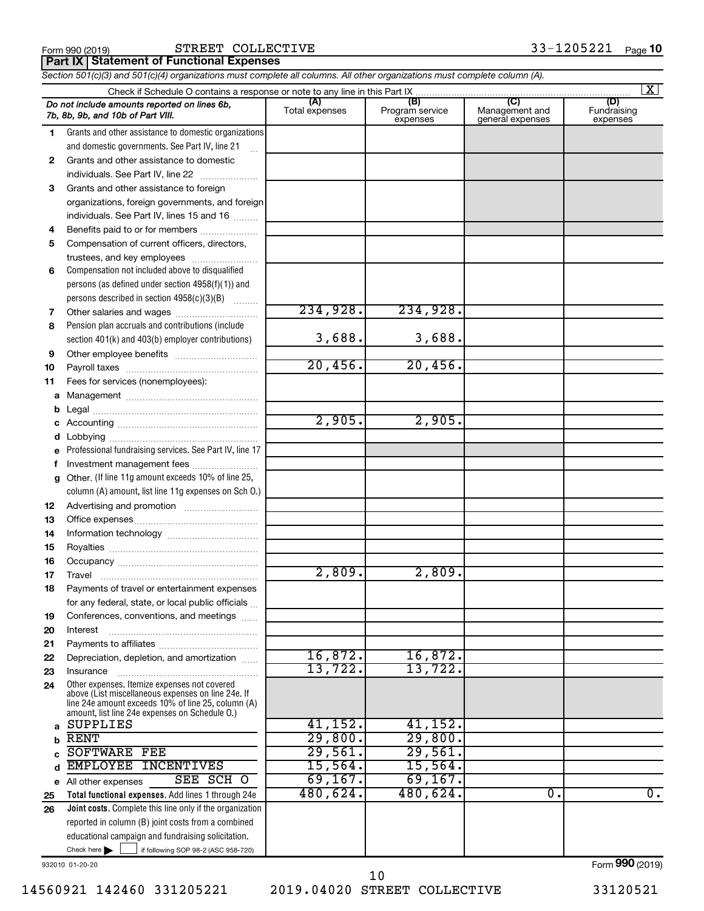**Part IX Statement of Functional Expenses**

*Section 501(c)(3) and 501(c)(4) organizations must complete all columns. All other organizations must complete column (A).*

Form 990 (2019)  $\begin{array}{cccc} \text{STREET} \end{array}$  COLLECTIVE  $\begin{array}{cccc} 33-1205221 & \text{Page} \end{array}$ 33-1205221 Page 10

|          |                                                                                                                |                       |                                    |                                           | $\mathbf{X}$                   |
|----------|----------------------------------------------------------------------------------------------------------------|-----------------------|------------------------------------|-------------------------------------------|--------------------------------|
|          | Do not include amounts reported on lines 6b,<br>7b, 8b, 9b, and 10b of Part VIII.                              | (A)<br>Total expenses | (B)<br>Program service<br>expenses | (C)<br>Management and<br>general expenses | (D)<br>Fundraising<br>expenses |
| 1.       | Grants and other assistance to domestic organizations                                                          |                       |                                    |                                           |                                |
|          | and domestic governments. See Part IV, line 21                                                                 |                       |                                    |                                           |                                |
| 2        | Grants and other assistance to domestic                                                                        |                       |                                    |                                           |                                |
|          | individuals. See Part IV, line 22                                                                              |                       |                                    |                                           |                                |
| 3        | Grants and other assistance to foreign                                                                         |                       |                                    |                                           |                                |
|          | organizations, foreign governments, and foreign                                                                |                       |                                    |                                           |                                |
|          | individuals. See Part IV, lines 15 and 16                                                                      |                       |                                    |                                           |                                |
| 4        | Benefits paid to or for members                                                                                |                       |                                    |                                           |                                |
| 5        | Compensation of current officers, directors,                                                                   |                       |                                    |                                           |                                |
|          | trustees, and key employees                                                                                    |                       |                                    |                                           |                                |
| 6        | Compensation not included above to disqualified                                                                |                       |                                    |                                           |                                |
|          | persons (as defined under section 4958(f)(1)) and                                                              |                       |                                    |                                           |                                |
|          | persons described in section 4958(c)(3)(B)                                                                     | 234,928.              |                                    |                                           |                                |
| 7        | Other salaries and wages                                                                                       |                       | 234,928.                           |                                           |                                |
| 8        | Pension plan accruals and contributions (include                                                               | 3,688.                | 3,688.                             |                                           |                                |
|          | section 401(k) and 403(b) employer contributions)                                                              |                       |                                    |                                           |                                |
| 9        | Other employee benefits                                                                                        | 20,456.               | 20,456.                            |                                           |                                |
| 10       |                                                                                                                |                       |                                    |                                           |                                |
| 11       | Fees for services (nonemployees):                                                                              |                       |                                    |                                           |                                |
| a        |                                                                                                                |                       |                                    |                                           |                                |
| b        |                                                                                                                | 2,905.                | 2,905.                             |                                           |                                |
| с<br>d   |                                                                                                                |                       |                                    |                                           |                                |
|          | Professional fundraising services. See Part IV, line 17                                                        |                       |                                    |                                           |                                |
| f        | Investment management fees                                                                                     |                       |                                    |                                           |                                |
| g        | Other. (If line 11g amount exceeds 10% of line 25,                                                             |                       |                                    |                                           |                                |
|          | column (A) amount, list line 11g expenses on Sch O.)                                                           |                       |                                    |                                           |                                |
| 12       |                                                                                                                |                       |                                    |                                           |                                |
| 13       |                                                                                                                |                       |                                    |                                           |                                |
| 14       |                                                                                                                |                       |                                    |                                           |                                |
| 15       |                                                                                                                |                       |                                    |                                           |                                |
| 16       |                                                                                                                |                       |                                    |                                           |                                |
| 17       | Travel                                                                                                         | 2,809.                | 2,809.                             |                                           |                                |
| 18       | Payments of travel or entertainment expenses                                                                   |                       |                                    |                                           |                                |
|          | for any federal, state, or local public officials                                                              |                       |                                    |                                           |                                |
| 19       | Conferences, conventions, and meetings                                                                         |                       |                                    |                                           |                                |
| 20       | Interest                                                                                                       |                       |                                    |                                           |                                |
| 21       |                                                                                                                |                       |                                    |                                           |                                |
| 22       | Depreciation, depletion, and amortization                                                                      | 16,872.               | 16,872.                            |                                           |                                |
| 23       | Insurance                                                                                                      | 13,722.               | 13,722.                            |                                           |                                |
| 24       | Other expenses. Itemize expenses not covered<br>above (List miscellaneous expenses on line 24e. If             |                       |                                    |                                           |                                |
|          | line 24e amount exceeds 10% of line 25, column (A)                                                             |                       |                                    |                                           |                                |
|          | amount, list line 24e expenses on Schedule O.)                                                                 |                       |                                    |                                           |                                |
| a        | <b>SUPPLIES</b>                                                                                                | 41, 152.<br>29,800.   | 41,152.                            |                                           |                                |
| b        | <b>RENT</b><br><b>SOFTWARE FEE</b>                                                                             | 29,561.               | 29,800.<br>29,561.                 |                                           |                                |
| C        | EMPLOYEE INCENTIVES                                                                                            | 15,564.               | 15,564.                            |                                           |                                |
| d        | SEE SCH O                                                                                                      | 69, 167.              | 69, 167.                           |                                           |                                |
|          | e All other expenses                                                                                           | 480,624.              | 480,624.                           | σ.                                        | $\overline{0}$ .               |
| 25<br>26 | Total functional expenses. Add lines 1 through 24e<br>Joint costs. Complete this line only if the organization |                       |                                    |                                           |                                |
|          | reported in column (B) joint costs from a combined                                                             |                       |                                    |                                           |                                |
|          | educational campaign and fundraising solicitation.                                                             |                       |                                    |                                           |                                |
|          | Check here $\blacktriangleright$<br>if following SOP 98-2 (ASC 958-720)                                        |                       |                                    |                                           |                                |
|          | 932010 01-20-20                                                                                                |                       |                                    |                                           | Form 990 (2019)                |
|          |                                                                                                                |                       |                                    |                                           |                                |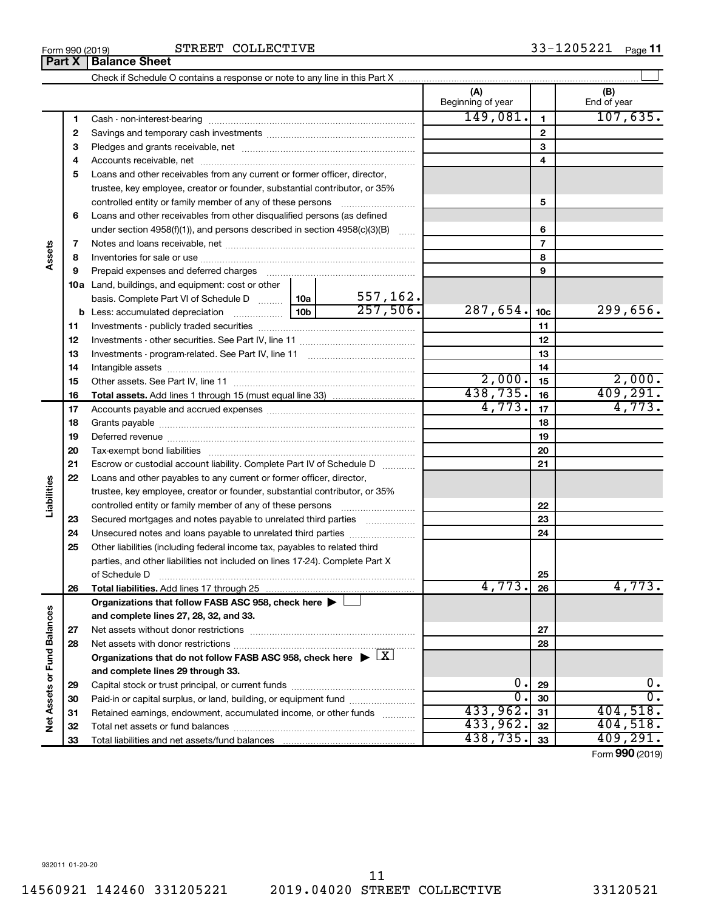Form 990 (2019)  $\begin{array}{cccc} \text{STREET} \end{array}$  COLLECTIVE  $\begin{array}{cccc} 33-1205221 & \text{Page} \end{array}$ 33-1205221 Page 11

|                             |    |                                                                                                          |           | (A)<br>Beginning of year |                          | (B)<br>End of year |
|-----------------------------|----|----------------------------------------------------------------------------------------------------------|-----------|--------------------------|--------------------------|--------------------|
|                             | 1  |                                                                                                          |           | 149,081.                 | $\mathbf{1}$             | 107,635.           |
|                             | 2  |                                                                                                          |           |                          | $\mathbf 2$              |                    |
|                             | 3  |                                                                                                          |           |                          | 3                        |                    |
|                             | 4  |                                                                                                          |           |                          | 4                        |                    |
|                             | 5  | Loans and other receivables from any current or former officer, director,                                |           |                          |                          |                    |
|                             |    | trustee, key employee, creator or founder, substantial contributor, or 35%                               |           |                          |                          |                    |
|                             |    | controlled entity or family member of any of these persons                                               |           |                          | 5                        |                    |
|                             | 6  | Loans and other receivables from other disqualified persons (as defined                                  |           |                          |                          |                    |
|                             |    | under section 4958(f)(1)), and persons described in section 4958(c)(3)(B)                                |           |                          | 6                        |                    |
|                             | 7  |                                                                                                          |           |                          | $\overline{\phantom{a}}$ |                    |
| Assets                      | 8  |                                                                                                          |           |                          | 8                        |                    |
|                             | 9  | Prepaid expenses and deferred charges                                                                    |           |                          | 9                        |                    |
|                             |    | 10a Land, buildings, and equipment: cost or other                                                        |           |                          |                          |                    |
|                             |    | basis. Complete Part VI of Schedule D  10a                                                               | 557, 162. |                          |                          |                    |
|                             |    |                                                                                                          | 257,506.  | 287,654.                 | 10 <sub>c</sub>          | 299,656.           |
|                             | 11 |                                                                                                          |           |                          | 11                       |                    |
|                             | 12 |                                                                                                          |           |                          | 12                       |                    |
|                             | 13 |                                                                                                          |           |                          | 13                       |                    |
|                             | 14 |                                                                                                          |           |                          | 14                       |                    |
|                             | 15 |                                                                                                          |           | 2,000.                   | 15                       | 2,000.             |
|                             | 16 |                                                                                                          |           | 438,735.                 | 16                       | 409, 291.          |
|                             | 17 |                                                                                                          |           | 4,773.                   | 17                       | 4,773.             |
|                             | 18 |                                                                                                          |           |                          | 18                       |                    |
|                             | 19 |                                                                                                          |           |                          | 19                       |                    |
|                             | 20 |                                                                                                          |           |                          | 20                       |                    |
|                             | 21 | Escrow or custodial account liability. Complete Part IV of Schedule D                                    |           |                          | 21                       |                    |
|                             | 22 | Loans and other payables to any current or former officer, director,                                     |           |                          |                          |                    |
| Liabilities                 |    | trustee, key employee, creator or founder, substantial contributor, or 35%                               |           |                          |                          |                    |
|                             |    | controlled entity or family member of any of these persons                                               |           |                          | 22                       |                    |
|                             | 23 | Secured mortgages and notes payable to unrelated third parties                                           |           |                          | 23                       |                    |
|                             | 24 | Unsecured notes and loans payable to unrelated third parties                                             |           |                          | 24                       |                    |
|                             | 25 | Other liabilities (including federal income tax, payables to related third                               |           |                          |                          |                    |
|                             |    | parties, and other liabilities not included on lines 17-24). Complete Part X                             |           |                          |                          |                    |
|                             |    | of Schedule D                                                                                            |           |                          | 25                       |                    |
|                             | 26 |                                                                                                          |           | 4,773.                   | 26                       | 4,773.             |
|                             |    | Organizations that follow FASB ASC 958, check here                                                       |           |                          |                          |                    |
|                             |    | and complete lines 27, 28, 32, and 33.                                                                   |           |                          |                          |                    |
|                             | 27 | Net assets without donor restrictions                                                                    |           |                          | 27                       |                    |
|                             | 28 |                                                                                                          |           |                          | 28                       |                    |
|                             |    | Organizations that do not follow FASB ASC 958, check here $\triangleright \lfloor \underline{X} \rfloor$ |           |                          |                          |                    |
|                             |    | and complete lines 29 through 33.                                                                        |           |                          |                          |                    |
|                             | 29 |                                                                                                          |           | 0.                       | 29                       | 0.                 |
|                             | 30 | Paid-in or capital surplus, or land, building, or equipment fund                                         |           | 0.                       | 30                       | $\overline{0}$ .   |
|                             | 31 | Retained earnings, endowment, accumulated income, or other funds                                         |           | 433,962.                 | 31                       | 404,518.           |
| Net Assets or Fund Balances | 32 |                                                                                                          |           | 433,962.                 | 32                       | 404,518.           |
|                             | 33 |                                                                                                          |           | 438,735.                 | 33                       | 409, 291.          |
|                             |    |                                                                                                          |           |                          |                          | Form 990 (2019)    |

**Part X Balance Sheet**<br>**Part X Balance Sheet**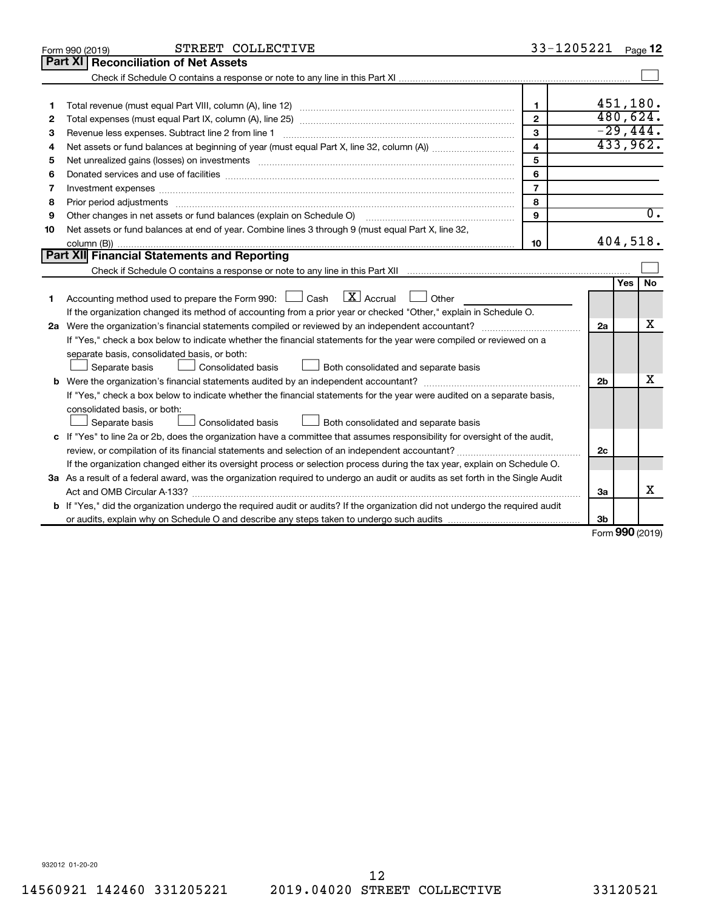|    | STREET COLLECTIVE<br>Form 990 (2019)                                                                                                                                                                                           | 33-1205221     |                |              | Page 12          |
|----|--------------------------------------------------------------------------------------------------------------------------------------------------------------------------------------------------------------------------------|----------------|----------------|--------------|------------------|
|    | Part XI<br><b>Reconciliation of Net Assets</b>                                                                                                                                                                                 |                |                |              |                  |
|    |                                                                                                                                                                                                                                |                |                |              |                  |
|    |                                                                                                                                                                                                                                |                |                |              |                  |
| 1  |                                                                                                                                                                                                                                | 1              |                |              | 451,180.         |
| 2  |                                                                                                                                                                                                                                | $\overline{2}$ |                | 480,624.     |                  |
| 3  | Revenue less expenses. Subtract line 2 from line 1                                                                                                                                                                             | 3              |                |              | $-29,444.$       |
| 4  |                                                                                                                                                                                                                                | 4              |                |              | 433,962.         |
| 5  |                                                                                                                                                                                                                                | 5              |                |              |                  |
| 6  |                                                                                                                                                                                                                                | 6              |                |              |                  |
| 7  | Investment expenses www.communication.com/www.communication.com/www.communication.com/www.com                                                                                                                                  | $\overline{7}$ |                |              |                  |
| 8  | Prior period adjustments material contents and content of the content of the content of the content of the content of the content of the content of the content of the content of the content of the content of the content of | 8              |                |              |                  |
| 9  | Other changes in net assets or fund balances (explain on Schedule O)                                                                                                                                                           | 9              |                |              | $\overline{0}$ . |
| 10 | Net assets or fund balances at end of year. Combine lines 3 through 9 (must equal Part X, line 32,                                                                                                                             |                |                |              |                  |
|    |                                                                                                                                                                                                                                | 10             |                |              | 404,518.         |
|    | Part XII Financial Statements and Reporting                                                                                                                                                                                    |                |                |              |                  |
|    |                                                                                                                                                                                                                                |                |                |              |                  |
| 1  | $\lfloor x \rfloor$ Accrual<br>Accounting method used to prepare the Form 990: $\Box$ Cash<br>Other                                                                                                                            |                |                | Yes          | No               |
|    | If the organization changed its method of accounting from a prior year or checked "Other," explain in Schedule O.                                                                                                              |                |                |              |                  |
|    |                                                                                                                                                                                                                                |                | 2a             |              | x                |
|    | If "Yes," check a box below to indicate whether the financial statements for the year were compiled or reviewed on a                                                                                                           |                |                |              |                  |
|    | separate basis, consolidated basis, or both:                                                                                                                                                                                   |                |                |              |                  |
|    | Both consolidated and separate basis<br>Separate basis<br>Consolidated basis                                                                                                                                                   |                |                |              |                  |
|    |                                                                                                                                                                                                                                |                | 2 <sub>b</sub> |              | x                |
|    | If "Yes," check a box below to indicate whether the financial statements for the year were audited on a separate basis,                                                                                                        |                |                |              |                  |
|    | consolidated basis, or both:                                                                                                                                                                                                   |                |                |              |                  |
|    | Separate basis<br><b>Consolidated basis</b><br>Both consolidated and separate basis                                                                                                                                            |                |                |              |                  |
|    | c If "Yes" to line 2a or 2b, does the organization have a committee that assumes responsibility for oversight of the audit,                                                                                                    |                |                |              |                  |
|    | review, or compilation of its financial statements and selection of an independent accountant?                                                                                                                                 |                | 2c             |              |                  |
|    | If the organization changed either its oversight process or selection process during the tax year, explain on Schedule O.                                                                                                      |                |                |              |                  |
|    | 3a As a result of a federal award, was the organization required to undergo an audit or audits as set forth in the Single Audit                                                                                                |                |                |              |                  |
|    |                                                                                                                                                                                                                                |                | 3a             |              | x                |
|    | <b>b</b> If "Yes," did the organization undergo the required audit or audits? If the organization did not undergo the required audit                                                                                           |                |                |              |                  |
|    |                                                                                                                                                                                                                                |                | Зb             |              |                  |
|    |                                                                                                                                                                                                                                |                |                | $000 \omega$ |                  |

Form (2019) **990**

932012 01-20-20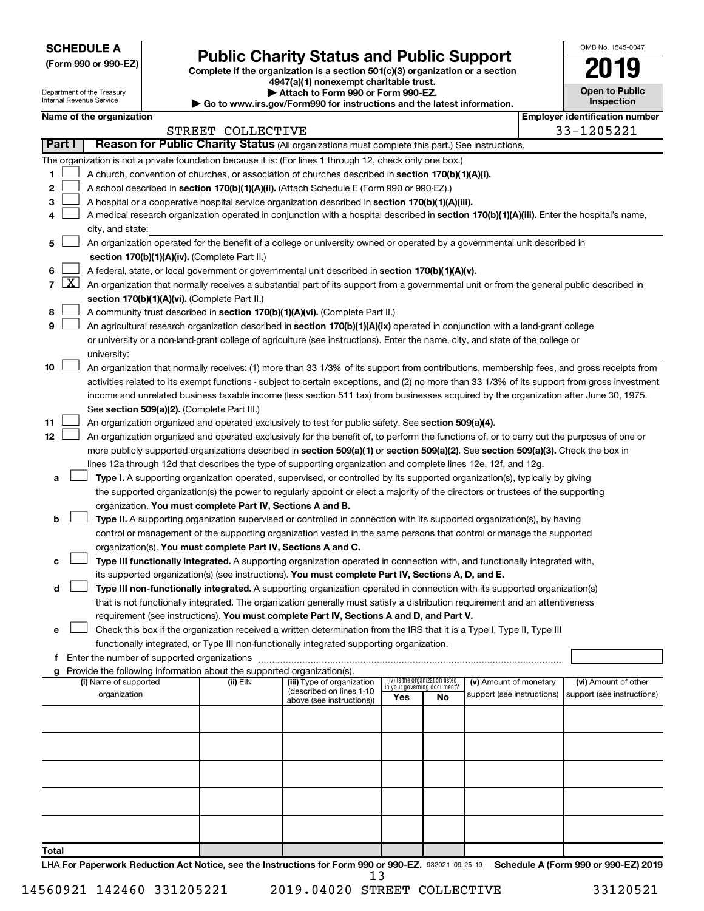**SCHEDULE A**

### **Public Charity Status and Public Support**

**(Form 990 or 990-EZ) Complete if the organization is a section 501(c)(3) organization or a section**

**4947(a)(1) nonexempt charitable trust.**

|   | <b>Open to Public</b><br>Inspection |
|---|-------------------------------------|
| r | dentification num                   |

OMB No. 1545-0047

|    |                 | Department of the Treasury<br>Internal Revenue Service |                                                                                    | Attach to Form 990 or Form 990-EZ.<br>Go to www.irs.gov/Form990 for instructions and the latest information.                                  |                                 |                             |                            | <b>Open to Public</b><br>Inspection   |
|----|-----------------|--------------------------------------------------------|------------------------------------------------------------------------------------|-----------------------------------------------------------------------------------------------------------------------------------------------|---------------------------------|-----------------------------|----------------------------|---------------------------------------|
|    |                 | Name of the organization                               |                                                                                    |                                                                                                                                               |                                 |                             |                            | <b>Employer identification number</b> |
|    |                 |                                                        | STREET COLLECTIVE                                                                  |                                                                                                                                               |                                 |                             |                            | 33-1205221                            |
|    | Part I          |                                                        |                                                                                    | Reason for Public Charity Status (All organizations must complete this part.) See instructions.                                               |                                 |                             |                            |                                       |
|    |                 |                                                        |                                                                                    | The organization is not a private foundation because it is: (For lines 1 through 12, check only one box.)                                     |                                 |                             |                            |                                       |
| 1  |                 |                                                        |                                                                                    | A church, convention of churches, or association of churches described in section 170(b)(1)(A)(i).                                            |                                 |                             |                            |                                       |
| 2  |                 |                                                        |                                                                                    | A school described in section 170(b)(1)(A)(ii). (Attach Schedule E (Form 990 or 990-EZ).)                                                     |                                 |                             |                            |                                       |
| з  |                 |                                                        |                                                                                    | A hospital or a cooperative hospital service organization described in section 170(b)(1)(A)(iii).                                             |                                 |                             |                            |                                       |
| 4  |                 |                                                        |                                                                                    | A medical research organization operated in conjunction with a hospital described in section 170(b)(1)(A)(iii). Enter the hospital's name,    |                                 |                             |                            |                                       |
|    |                 | city, and state:                                       |                                                                                    |                                                                                                                                               |                                 |                             |                            |                                       |
| 5  |                 |                                                        |                                                                                    | An organization operated for the benefit of a college or university owned or operated by a governmental unit described in                     |                                 |                             |                            |                                       |
|    |                 |                                                        | section 170(b)(1)(A)(iv). (Complete Part II.)                                      |                                                                                                                                               |                                 |                             |                            |                                       |
| 6  |                 |                                                        |                                                                                    | A federal, state, or local government or governmental unit described in section 170(b)(1)(A)(v).                                              |                                 |                             |                            |                                       |
|    | $7 \mid X \mid$ |                                                        |                                                                                    | An organization that normally receives a substantial part of its support from a governmental unit or from the general public described in     |                                 |                             |                            |                                       |
|    |                 |                                                        | section 170(b)(1)(A)(vi). (Complete Part II.)                                      |                                                                                                                                               |                                 |                             |                            |                                       |
| 8  |                 |                                                        |                                                                                    | A community trust described in section 170(b)(1)(A)(vi). (Complete Part II.)                                                                  |                                 |                             |                            |                                       |
| 9  |                 |                                                        |                                                                                    | An agricultural research organization described in section 170(b)(1)(A)(ix) operated in conjunction with a land-grant college                 |                                 |                             |                            |                                       |
|    |                 |                                                        |                                                                                    | or university or a non-land-grant college of agriculture (see instructions). Enter the name, city, and state of the college or                |                                 |                             |                            |                                       |
|    |                 | university:                                            |                                                                                    |                                                                                                                                               |                                 |                             |                            |                                       |
| 10 |                 |                                                        |                                                                                    | An organization that normally receives: (1) more than 33 1/3% of its support from contributions, membership fees, and gross receipts from     |                                 |                             |                            |                                       |
|    |                 |                                                        |                                                                                    | activities related to its exempt functions - subject to certain exceptions, and (2) no more than 33 1/3% of its support from gross investment |                                 |                             |                            |                                       |
|    |                 |                                                        |                                                                                    | income and unrelated business taxable income (less section 511 tax) from businesses acquired by the organization after June 30, 1975.         |                                 |                             |                            |                                       |
|    |                 |                                                        | See section 509(a)(2). (Complete Part III.)                                        |                                                                                                                                               |                                 |                             |                            |                                       |
| 11 |                 |                                                        |                                                                                    | An organization organized and operated exclusively to test for public safety. See section 509(a)(4).                                          |                                 |                             |                            |                                       |
| 12 |                 |                                                        |                                                                                    | An organization organized and operated exclusively for the benefit of, to perform the functions of, or to carry out the purposes of one or    |                                 |                             |                            |                                       |
|    |                 |                                                        |                                                                                    | more publicly supported organizations described in section 509(a)(1) or section 509(a)(2). See section 509(a)(3). Check the box in            |                                 |                             |                            |                                       |
|    |                 |                                                        |                                                                                    | lines 12a through 12d that describes the type of supporting organization and complete lines 12e, 12f, and 12g.                                |                                 |                             |                            |                                       |
| а  |                 |                                                        |                                                                                    | Type I. A supporting organization operated, supervised, or controlled by its supported organization(s), typically by giving                   |                                 |                             |                            |                                       |
|    |                 |                                                        |                                                                                    | the supported organization(s) the power to regularly appoint or elect a majority of the directors or trustees of the supporting               |                                 |                             |                            |                                       |
|    |                 |                                                        | organization. You must complete Part IV, Sections A and B.                         |                                                                                                                                               |                                 |                             |                            |                                       |
| b  |                 |                                                        |                                                                                    | Type II. A supporting organization supervised or controlled in connection with its supported organization(s), by having                       |                                 |                             |                            |                                       |
|    |                 |                                                        |                                                                                    | control or management of the supporting organization vested in the same persons that control or manage the supported                          |                                 |                             |                            |                                       |
|    |                 |                                                        | organization(s). You must complete Part IV, Sections A and C.                      |                                                                                                                                               |                                 |                             |                            |                                       |
| с  |                 |                                                        |                                                                                    | Type III functionally integrated. A supporting organization operated in connection with, and functionally integrated with,                    |                                 |                             |                            |                                       |
|    |                 |                                                        |                                                                                    | its supported organization(s) (see instructions). You must complete Part IV, Sections A, D, and E.                                            |                                 |                             |                            |                                       |
| d  |                 |                                                        |                                                                                    | Type III non-functionally integrated. A supporting organization operated in connection with its supported organization(s)                     |                                 |                             |                            |                                       |
|    |                 |                                                        |                                                                                    | that is not functionally integrated. The organization generally must satisfy a distribution requirement and an attentiveness                  |                                 |                             |                            |                                       |
|    |                 |                                                        |                                                                                    | requirement (see instructions). You must complete Part IV, Sections A and D, and Part V.                                                      |                                 |                             |                            |                                       |
| е  |                 |                                                        |                                                                                    | Check this box if the organization received a written determination from the IRS that it is a Type I, Type II, Type III                       |                                 |                             |                            |                                       |
|    |                 |                                                        |                                                                                    | functionally integrated, or Type III non-functionally integrated supporting organization.                                                     |                                 |                             |                            |                                       |
|    |                 |                                                        |                                                                                    |                                                                                                                                               |                                 |                             |                            |                                       |
|    |                 | (i) Name of supported                                  | Provide the following information about the supported organization(s).<br>(ii) EIN | (iii) Type of organization                                                                                                                    | (iv) Is the organization listed |                             | (v) Amount of monetary     | (vi) Amount of other                  |
|    |                 | organization                                           |                                                                                    | (described on lines 1-10                                                                                                                      |                                 | in your governing document? | support (see instructions) | support (see instructions)            |
|    |                 |                                                        |                                                                                    | above (see instructions))                                                                                                                     | Yes                             | No                          |                            |                                       |
|    |                 |                                                        |                                                                                    |                                                                                                                                               |                                 |                             |                            |                                       |
|    |                 |                                                        |                                                                                    |                                                                                                                                               |                                 |                             |                            |                                       |
|    |                 |                                                        |                                                                                    |                                                                                                                                               |                                 |                             |                            |                                       |
|    |                 |                                                        |                                                                                    |                                                                                                                                               |                                 |                             |                            |                                       |
|    |                 |                                                        |                                                                                    |                                                                                                                                               |                                 |                             |                            |                                       |
|    |                 |                                                        |                                                                                    |                                                                                                                                               |                                 |                             |                            |                                       |
|    |                 |                                                        |                                                                                    |                                                                                                                                               |                                 |                             |                            |                                       |
|    |                 |                                                        |                                                                                    |                                                                                                                                               |                                 |                             |                            |                                       |

LHA For Paperwork Reduction Act Notice, see the Instructions for Form 990 or 990-EZ. 932021 09-25-19 Schedule A (Form 990 or 990-EZ) 2019 13

**Total**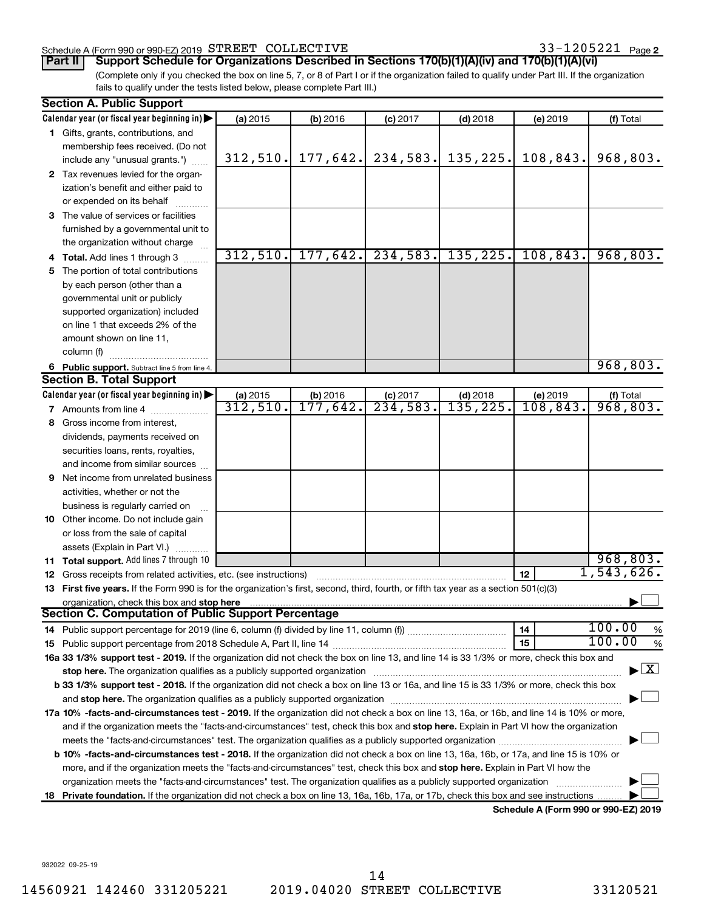### Schedule A (Form 990 or 990-EZ) 2019  $\texttt{STREF\ }\texttt{COLLECTIVE}\ \textcolor{red}{\bullet} \textcolor{red}{\bullet} \textcolor{red}{\bullet} \textcolor{red}{\bullet} \textcolor{red}{\bullet} 33\,\textcolor{red}{\bullet}\,\textcolor{red}{\bullet} 221\ \textcolor{red}{\bullet} \textcolor{red}{\bullet} \textcolor{red}{\bullet}$

33-1205221 Page 2

(Complete only if you checked the box on line 5, 7, or 8 of Part I or if the organization failed to qualify under Part III. If the organization **Part II Support Schedule for Organizations Described in Sections 170(b)(1)(A)(iv) and 170(b)(1)(A)(vi)**

fails to qualify under the tests listed below, please complete Part III.)

|    | <b>Section A. Public Support</b>                                                                                                               |                         |          |            |                        |                                      |                                    |  |  |  |
|----|------------------------------------------------------------------------------------------------------------------------------------------------|-------------------------|----------|------------|------------------------|--------------------------------------|------------------------------------|--|--|--|
|    | Calendar year (or fiscal year beginning in)                                                                                                    | (a) 2015                | (b) 2016 | $(c)$ 2017 | $(d)$ 2018             | (e) 2019                             | (f) Total                          |  |  |  |
|    | 1 Gifts, grants, contributions, and                                                                                                            |                         |          |            |                        |                                      |                                    |  |  |  |
|    | membership fees received. (Do not                                                                                                              |                         |          |            |                        |                                      |                                    |  |  |  |
|    | include any "unusual grants.")                                                                                                                 | 312,510.                | 177,642. |            | $234, 583$ . 135, 225. | 108, 843.                            | 968,803.                           |  |  |  |
|    | 2 Tax revenues levied for the organ-                                                                                                           |                         |          |            |                        |                                      |                                    |  |  |  |
|    | ization's benefit and either paid to                                                                                                           |                         |          |            |                        |                                      |                                    |  |  |  |
|    | or expended on its behalf                                                                                                                      |                         |          |            |                        |                                      |                                    |  |  |  |
|    | 3 The value of services or facilities                                                                                                          |                         |          |            |                        |                                      |                                    |  |  |  |
|    | furnished by a governmental unit to                                                                                                            |                         |          |            |                        |                                      |                                    |  |  |  |
|    | the organization without charge                                                                                                                |                         |          |            |                        |                                      |                                    |  |  |  |
|    | Total. Add lines 1 through 3                                                                                                                   | 312,510.                | 177,642. |            | $234, 583$ , 135, 225, | 108, 843.                            | 968,803.                           |  |  |  |
| 5. | The portion of total contributions                                                                                                             |                         |          |            |                        |                                      |                                    |  |  |  |
|    | by each person (other than a                                                                                                                   |                         |          |            |                        |                                      |                                    |  |  |  |
|    | governmental unit or publicly                                                                                                                  |                         |          |            |                        |                                      |                                    |  |  |  |
|    | supported organization) included                                                                                                               |                         |          |            |                        |                                      |                                    |  |  |  |
|    | on line 1 that exceeds 2% of the                                                                                                               |                         |          |            |                        |                                      |                                    |  |  |  |
|    | amount shown on line 11,                                                                                                                       |                         |          |            |                        |                                      |                                    |  |  |  |
|    | column (f)                                                                                                                                     |                         |          |            |                        |                                      |                                    |  |  |  |
|    | 6 Public support. Subtract line 5 from line 4.                                                                                                 |                         |          |            |                        |                                      | 968,803.                           |  |  |  |
|    | <b>Section B. Total Support</b>                                                                                                                |                         |          |            |                        |                                      |                                    |  |  |  |
|    | Calendar year (or fiscal year beginning in)                                                                                                    |                         | (b) 2016 | $(c)$ 2017 | $(d)$ 2018             | (e) 2019                             |                                    |  |  |  |
|    | <b>7</b> Amounts from line 4                                                                                                                   | (a) $2015$<br>312, 510. | 177,642. | 234,583.   | 135, 225.              | $\overline{108,843}$ .               | $($ f) Total 968, 803.             |  |  |  |
|    | 8 Gross income from interest,                                                                                                                  |                         |          |            |                        |                                      |                                    |  |  |  |
|    | dividends, payments received on                                                                                                                |                         |          |            |                        |                                      |                                    |  |  |  |
|    | securities loans, rents, royalties,                                                                                                            |                         |          |            |                        |                                      |                                    |  |  |  |
|    | and income from similar sources                                                                                                                |                         |          |            |                        |                                      |                                    |  |  |  |
| 9  | Net income from unrelated business                                                                                                             |                         |          |            |                        |                                      |                                    |  |  |  |
|    | activities, whether or not the                                                                                                                 |                         |          |            |                        |                                      |                                    |  |  |  |
|    | business is regularly carried on                                                                                                               |                         |          |            |                        |                                      |                                    |  |  |  |
|    | 10 Other income. Do not include gain                                                                                                           |                         |          |            |                        |                                      |                                    |  |  |  |
|    | or loss from the sale of capital                                                                                                               |                         |          |            |                        |                                      |                                    |  |  |  |
|    | assets (Explain in Part VI.)                                                                                                                   |                         |          |            |                        |                                      |                                    |  |  |  |
|    | 11 Total support. Add lines 7 through 10                                                                                                       |                         |          |            |                        |                                      | 968,803.                           |  |  |  |
|    | <b>12</b> Gross receipts from related activities, etc. (see instructions)                                                                      |                         |          |            |                        | 12                                   | 1,543,626.                         |  |  |  |
|    | 13 First five years. If the Form 990 is for the organization's first, second, third, fourth, or fifth tax year as a section 501(c)(3)          |                         |          |            |                        |                                      |                                    |  |  |  |
|    | organization, check this box and stop here                                                                                                     |                         |          |            |                        |                                      |                                    |  |  |  |
|    | Section C. Computation of Public Support Percentage                                                                                            |                         |          |            |                        |                                      |                                    |  |  |  |
|    | 14 Public support percentage for 2019 (line 6, column (f) divided by line 11, column (f) <i>mummumumum</i>                                     |                         |          |            |                        | 14                                   | 100.00<br>%                        |  |  |  |
|    |                                                                                                                                                |                         |          |            |                        | 15                                   | 100.00<br>%                        |  |  |  |
|    | 16a 33 1/3% support test - 2019. If the organization did not check the box on line 13, and line 14 is 33 1/3% or more, check this box and      |                         |          |            |                        |                                      |                                    |  |  |  |
|    |                                                                                                                                                |                         |          |            |                        |                                      | $\blacktriangleright$ $\mathbf{X}$ |  |  |  |
|    | b 33 1/3% support test - 2018. If the organization did not check a box on line 13 or 16a, and line 15 is 33 1/3% or more, check this box       |                         |          |            |                        |                                      |                                    |  |  |  |
|    |                                                                                                                                                |                         |          |            |                        |                                      |                                    |  |  |  |
|    | 17a 10% -facts-and-circumstances test - 2019. If the organization did not check a box on line 13, 16a, or 16b, and line 14 is 10% or more,     |                         |          |            |                        |                                      |                                    |  |  |  |
|    | and if the organization meets the "facts-and-circumstances" test, check this box and stop here. Explain in Part VI how the organization        |                         |          |            |                        |                                      |                                    |  |  |  |
|    | meets the "facts-and-circumstances" test. The organization qualifies as a publicly supported organization <i></i>                              |                         |          |            |                        |                                      |                                    |  |  |  |
|    | <b>b 10%</b> -facts-and-circumstances test - 2018. If the organization did not check a box on line 13, 16a, 16b, or 17a, and line 15 is 10% or |                         |          |            |                        |                                      |                                    |  |  |  |
|    | more, and if the organization meets the "facts-and-circumstances" test, check this box and stop here. Explain in Part VI how the               |                         |          |            |                        |                                      |                                    |  |  |  |
|    |                                                                                                                                                |                         |          |            |                        |                                      |                                    |  |  |  |
|    | 18 Private foundation. If the organization did not check a box on line 13, 16a, 16b, 17a, or 17b, check this box and see instructions          |                         |          |            |                        |                                      |                                    |  |  |  |
|    |                                                                                                                                                |                         |          |            |                        | Schodule A (Form 000 or 000 E7) 2010 |                                    |  |  |  |

**Schedule A (Form 990 or 990-EZ) 2019**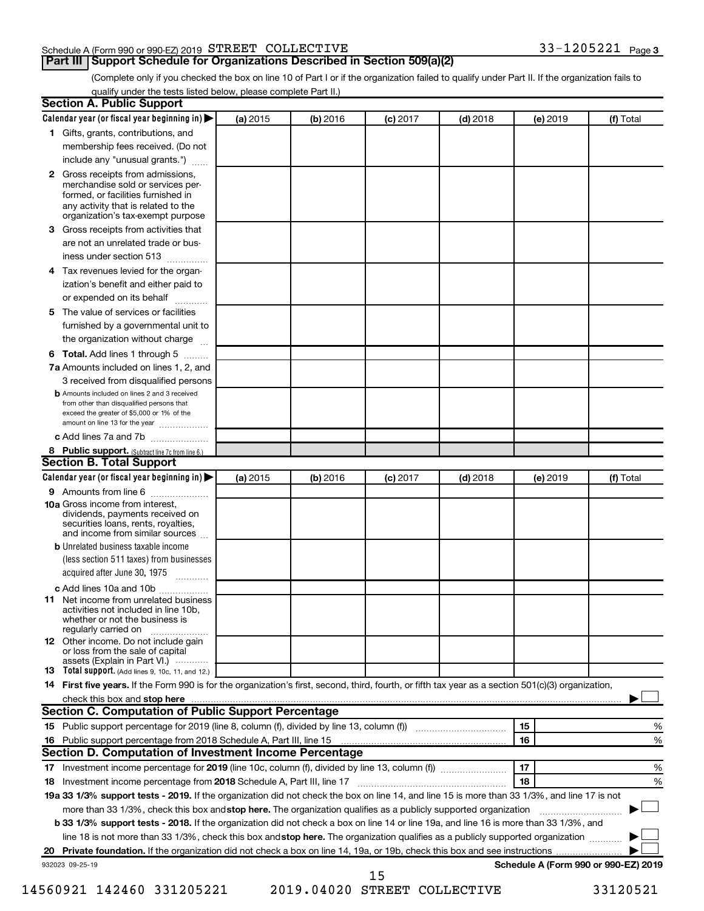### Schedule A (Form 990 or 990-EZ) 2019  $\texttt{STREF\ }\texttt{COLLECTIVE}\ \textcolor{red}{\bullet} \textcolor{red}{\bullet} \textcolor{red}{\bullet} \textcolor{red}{\bullet} \textcolor{red}{\bullet} 33\,\textcolor{red}{\bullet}\,\textcolor{red}{\bullet} 221\ \textcolor{red}{\bullet} \textcolor{red}{\bullet} \textcolor{red}{\bullet}$

(Complete only if you checked the box on line 10 of Part I or if the organization failed to qualify under Part II. If the organization fails to qualify under the tests listed below, please complete Part II.)

| <b>Section A. Public Support</b>                                                                                                                                                         |          |          |                 |            |          |                                      |
|------------------------------------------------------------------------------------------------------------------------------------------------------------------------------------------|----------|----------|-----------------|------------|----------|--------------------------------------|
| Calendar year (or fiscal year beginning in)                                                                                                                                              | (a) 2015 | (b) 2016 | $(c)$ 2017      | $(d)$ 2018 | (e) 2019 | (f) Total                            |
| 1 Gifts, grants, contributions, and                                                                                                                                                      |          |          |                 |            |          |                                      |
| membership fees received. (Do not                                                                                                                                                        |          |          |                 |            |          |                                      |
| include any "unusual grants.")                                                                                                                                                           |          |          |                 |            |          |                                      |
| 2 Gross receipts from admissions,<br>merchandise sold or services per-<br>formed, or facilities furnished in<br>any activity that is related to the<br>organization's tax-exempt purpose |          |          |                 |            |          |                                      |
| 3 Gross receipts from activities that                                                                                                                                                    |          |          |                 |            |          |                                      |
| are not an unrelated trade or bus-<br>iness under section 513                                                                                                                            |          |          |                 |            |          |                                      |
| 4 Tax revenues levied for the organ-                                                                                                                                                     |          |          |                 |            |          |                                      |
| ization's benefit and either paid to<br>or expended on its behalf                                                                                                                        |          |          |                 |            |          |                                      |
| 5 The value of services or facilities                                                                                                                                                    |          |          |                 |            |          |                                      |
| furnished by a governmental unit to<br>the organization without charge                                                                                                                   |          |          |                 |            |          |                                      |
| <b>6 Total.</b> Add lines 1 through 5                                                                                                                                                    |          |          |                 |            |          |                                      |
| 7a Amounts included on lines 1, 2, and                                                                                                                                                   |          |          |                 |            |          |                                      |
| 3 received from disqualified persons                                                                                                                                                     |          |          |                 |            |          |                                      |
| <b>b</b> Amounts included on lines 2 and 3 received<br>from other than disqualified persons that<br>exceed the greater of \$5,000 or 1% of the<br>amount on line 13 for the year         |          |          |                 |            |          |                                      |
| c Add lines 7a and 7b                                                                                                                                                                    |          |          |                 |            |          |                                      |
| 8 Public support. (Subtract line 7c from line 6.)                                                                                                                                        |          |          |                 |            |          |                                      |
| <b>Section B. Total Support</b>                                                                                                                                                          |          |          |                 |            |          |                                      |
| Calendar year (or fiscal year beginning in)                                                                                                                                              | (a) 2015 | (b) 2016 | <b>(c)</b> 2017 | $(d)$ 2018 | (e) 2019 | (f) Total                            |
| <b>9</b> Amounts from line 6                                                                                                                                                             |          |          |                 |            |          |                                      |
| <b>10a</b> Gross income from interest,<br>dividends, payments received on<br>securities loans, rents, royalties,<br>and income from similar sources                                      |          |          |                 |            |          |                                      |
| <b>b</b> Unrelated business taxable income<br>(less section 511 taxes) from businesses<br>acquired after June 30, 1975<br>$\frac{1}{2}$                                                  |          |          |                 |            |          |                                      |
| c Add lines 10a and 10b                                                                                                                                                                  |          |          |                 |            |          |                                      |
| 11 Net income from unrelated business<br>activities not included in line 10b.<br>whether or not the business is<br>regularly carried on                                                  |          |          |                 |            |          |                                      |
| <b>12</b> Other income. Do not include gain<br>or loss from the sale of capital<br>assets (Explain in Part VI.)                                                                          |          |          |                 |            |          |                                      |
| <b>13</b> Total support. (Add lines 9, 10c, 11, and 12.)                                                                                                                                 |          |          |                 |            |          |                                      |
| 14 First five years. If the Form 990 is for the organization's first, second, third, fourth, or fifth tax year as a section 501(c)(3) organization,                                      |          |          |                 |            |          |                                      |
|                                                                                                                                                                                          |          |          |                 |            |          |                                      |
| Section C. Computation of Public Support Percentage                                                                                                                                      |          |          |                 |            |          |                                      |
| 15 Public support percentage for 2019 (line 8, column (f), divided by line 13, column (f) <i></i>                                                                                        |          |          |                 |            | 15       | %                                    |
| 16 Public support percentage from 2018 Schedule A, Part III, line 15                                                                                                                     |          |          |                 |            | 16       | %                                    |
| Section D. Computation of Investment Income Percentage                                                                                                                                   |          |          |                 |            |          |                                      |
|                                                                                                                                                                                          |          |          |                 |            | 17       | %                                    |
| 18 Investment income percentage from 2018 Schedule A, Part III, line 17                                                                                                                  |          |          |                 |            | 18       | %                                    |
| 19a 33 1/3% support tests - 2019. If the organization did not check the box on line 14, and line 15 is more than 33 1/3%, and line 17 is not                                             |          |          |                 |            |          |                                      |
| more than 33 1/3%, check this box and stop here. The organization qualifies as a publicly supported organization                                                                         |          |          |                 |            |          |                                      |
| b 33 1/3% support tests - 2018. If the organization did not check a box on line 14 or line 19a, and line 16 is more than 33 1/3%, and                                                    |          |          |                 |            |          |                                      |
| line 18 is not more than 33 1/3%, check this box and stop here. The organization qualifies as a publicly supported organization                                                          |          |          |                 |            |          |                                      |
|                                                                                                                                                                                          |          |          |                 |            |          |                                      |
| 932023 09-25-19                                                                                                                                                                          |          |          | 15              |            |          | Schedule A (Form 990 or 990-EZ) 2019 |

14560921 142460 331205221 2019.04020 STREET COLLECTIVE 33120521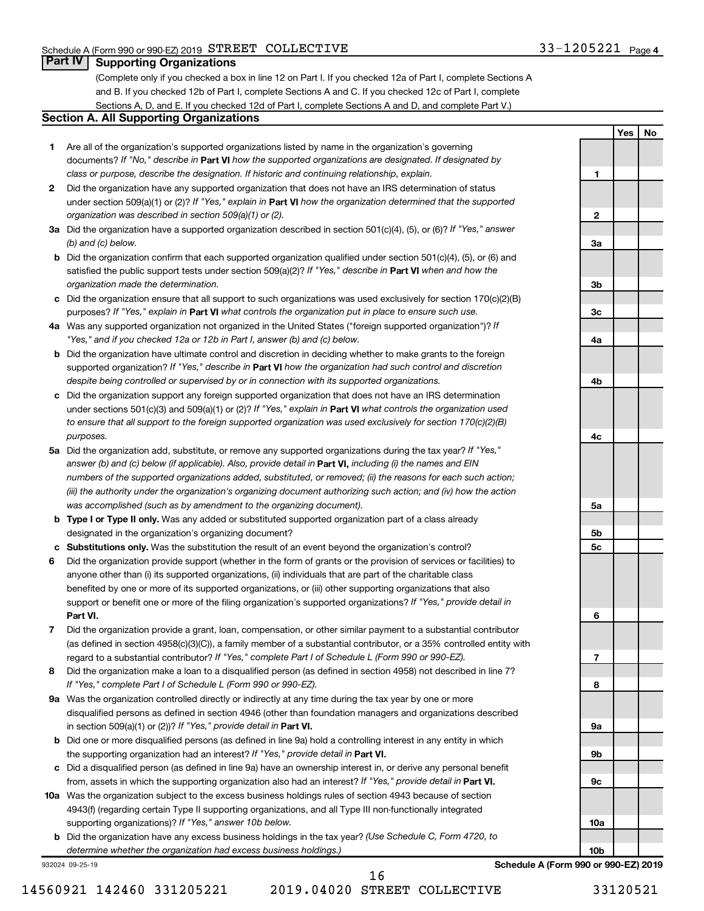**1**

**2**

**3a**

**3b**

**3c**

**4a**

**4b**

**4c**

**5a**

**5b 5c**

**6**

**7**

**8**

**9a**

**9b**

**9c**

**10a**

**10b**

**Yes No**

### **Part IV Supporting Organizations**

(Complete only if you checked a box in line 12 on Part I. If you checked 12a of Part I, complete Sections A and B. If you checked 12b of Part I, complete Sections A and C. If you checked 12c of Part I, complete Sections A, D, and E. If you checked 12d of Part I, complete Sections A and D, and complete Part V.)

### **Section A. All Supporting Organizations**

- **1** Are all of the organization's supported organizations listed by name in the organization's governing documents? If "No," describe in Part VI how the supported organizations are designated. If designated by *class or purpose, describe the designation. If historic and continuing relationship, explain.*
- **2** Did the organization have any supported organization that does not have an IRS determination of status under section 509(a)(1) or (2)? If "Yes," explain in Part **VI** how the organization determined that the supported *organization was described in section 509(a)(1) or (2).*
- **3a** Did the organization have a supported organization described in section 501(c)(4), (5), or (6)? If "Yes," answer *(b) and (c) below.*
- **b** Did the organization confirm that each supported organization qualified under section 501(c)(4), (5), or (6) and satisfied the public support tests under section 509(a)(2)? If "Yes," describe in Part VI when and how the *organization made the determination.*
- **c** Did the organization ensure that all support to such organizations was used exclusively for section 170(c)(2)(B) purposes? If "Yes," explain in Part VI what controls the organization put in place to ensure such use.
- **4 a** *If* Was any supported organization not organized in the United States ("foreign supported organization")? *"Yes," and if you checked 12a or 12b in Part I, answer (b) and (c) below.*
- **b** Did the organization have ultimate control and discretion in deciding whether to make grants to the foreign supported organization? If "Yes," describe in Part VI how the organization had such control and discretion *despite being controlled or supervised by or in connection with its supported organizations.*
- **c** Did the organization support any foreign supported organization that does not have an IRS determination under sections 501(c)(3) and 509(a)(1) or (2)? If "Yes," explain in Part VI what controls the organization used *to ensure that all support to the foreign supported organization was used exclusively for section 170(c)(2)(B) purposes.*
- **5a** Did the organization add, substitute, or remove any supported organizations during the tax year? If "Yes," answer (b) and (c) below (if applicable). Also, provide detail in **Part VI,** including (i) the names and EIN *numbers of the supported organizations added, substituted, or removed; (ii) the reasons for each such action; (iii) the authority under the organization's organizing document authorizing such action; and (iv) how the action was accomplished (such as by amendment to the organizing document).*
- **b** Type I or Type II only. Was any added or substituted supported organization part of a class already designated in the organization's organizing document?
- **c Substitutions only.**  Was the substitution the result of an event beyond the organization's control?
- **6** Did the organization provide support (whether in the form of grants or the provision of services or facilities) to **Part VI.** support or benefit one or more of the filing organization's supported organizations? If "Yes," provide detail in anyone other than (i) its supported organizations, (ii) individuals that are part of the charitable class benefited by one or more of its supported organizations, or (iii) other supporting organizations that also
- **7** Did the organization provide a grant, loan, compensation, or other similar payment to a substantial contributor regard to a substantial contributor? If "Yes," complete Part I of Schedule L (Form 990 or 990-EZ). (as defined in section 4958(c)(3)(C)), a family member of a substantial contributor, or a 35% controlled entity with
- **8** Did the organization make a loan to a disqualified person (as defined in section 4958) not described in line 7? *If "Yes," complete Part I of Schedule L (Form 990 or 990-EZ).*
- **9 a** Was the organization controlled directly or indirectly at any time during the tax year by one or more in section 509(a)(1) or (2))? If "Yes," provide detail in **Part VI.** disqualified persons as defined in section 4946 (other than foundation managers and organizations described
- **b** Did one or more disqualified persons (as defined in line 9a) hold a controlling interest in any entity in which the supporting organization had an interest? If "Yes," provide detail in Part VI.
- **c** Did a disqualified person (as defined in line 9a) have an ownership interest in, or derive any personal benefit from, assets in which the supporting organization also had an interest? If "Yes," provide detail in Part VI.
- **10 a** Was the organization subject to the excess business holdings rules of section 4943 because of section supporting organizations)? If "Yes," answer 10b below. 4943(f) (regarding certain Type II supporting organizations, and all Type III non-functionally integrated
	- **b** Did the organization have any excess business holdings in the tax year? (Use Schedule C, Form 4720, to *determine whether the organization had excess business holdings.)*

932024 09-25-19

**Schedule A (Form 990 or 990-EZ) 2019**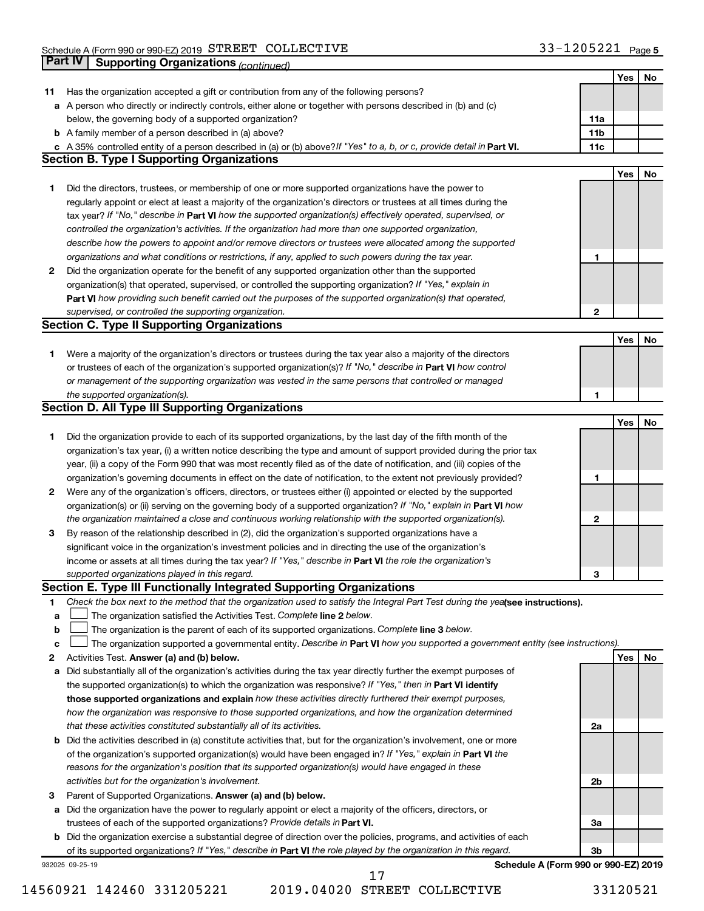|             | Part IV<br><b>Supporting Organizations (continued)</b>                                                                                                                        |                 |     |    |
|-------------|-------------------------------------------------------------------------------------------------------------------------------------------------------------------------------|-----------------|-----|----|
|             |                                                                                                                                                                               |                 | Yes | No |
| 11          | Has the organization accepted a gift or contribution from any of the following persons?                                                                                       |                 |     |    |
|             | a A person who directly or indirectly controls, either alone or together with persons described in (b) and (c)                                                                |                 |     |    |
|             | below, the governing body of a supported organization?                                                                                                                        | 11a             |     |    |
|             | <b>b</b> A family member of a person described in (a) above?                                                                                                                  | 11 <sub>b</sub> |     |    |
|             | c A 35% controlled entity of a person described in (a) or (b) above? If "Yes" to a, b, or c, provide detail in Part VI.                                                       | 11c             |     |    |
|             | <b>Section B. Type I Supporting Organizations</b>                                                                                                                             |                 |     |    |
|             |                                                                                                                                                                               |                 | Yes | No |
| 1           | Did the directors, trustees, or membership of one or more supported organizations have the power to                                                                           |                 |     |    |
|             | regularly appoint or elect at least a majority of the organization's directors or trustees at all times during the                                                            |                 |     |    |
|             | tax year? If "No," describe in Part VI how the supported organization(s) effectively operated, supervised, or                                                                 |                 |     |    |
|             | controlled the organization's activities. If the organization had more than one supported organization,                                                                       |                 |     |    |
|             | describe how the powers to appoint and/or remove directors or trustees were allocated among the supported                                                                     |                 |     |    |
|             | organizations and what conditions or restrictions, if any, applied to such powers during the tax year.                                                                        | 1               |     |    |
| 2           | Did the organization operate for the benefit of any supported organization other than the supported                                                                           |                 |     |    |
|             | organization(s) that operated, supervised, or controlled the supporting organization? If "Yes," explain in                                                                    |                 |     |    |
|             | Part VI how providing such benefit carried out the purposes of the supported organization(s) that operated,                                                                   |                 |     |    |
|             | supervised, or controlled the supporting organization.                                                                                                                        | $\mathbf{2}$    |     |    |
|             | <b>Section C. Type II Supporting Organizations</b>                                                                                                                            |                 |     |    |
|             |                                                                                                                                                                               |                 | Yes | No |
| 1           | Were a majority of the organization's directors or trustees during the tax year also a majority of the directors                                                              |                 |     |    |
|             | or trustees of each of the organization's supported organization(s)? If "No," describe in Part VI how control                                                                 |                 |     |    |
|             | or management of the supporting organization was vested in the same persons that controlled or managed                                                                        |                 |     |    |
|             | the supported organization(s).                                                                                                                                                | 1               |     |    |
|             | <b>Section D. All Type III Supporting Organizations</b>                                                                                                                       |                 |     |    |
|             |                                                                                                                                                                               |                 | Yes | No |
| 1           | Did the organization provide to each of its supported organizations, by the last day of the fifth month of the                                                                |                 |     |    |
|             | organization's tax year, (i) a written notice describing the type and amount of support provided during the prior tax                                                         |                 |     |    |
|             | year, (ii) a copy of the Form 990 that was most recently filed as of the date of notification, and (iii) copies of the                                                        |                 |     |    |
|             | organization's governing documents in effect on the date of notification, to the extent not previously provided?                                                              | 1               |     |    |
| 2           | Were any of the organization's officers, directors, or trustees either (i) appointed or elected by the supported                                                              |                 |     |    |
|             | organization(s) or (ii) serving on the governing body of a supported organization? If "No," explain in Part VI how                                                            |                 |     |    |
|             | the organization maintained a close and continuous working relationship with the supported organization(s).                                                                   | 2               |     |    |
| 3           | By reason of the relationship described in (2), did the organization's supported organizations have a                                                                         |                 |     |    |
|             | significant voice in the organization's investment policies and in directing the use of the organization's                                                                    |                 |     |    |
|             | income or assets at all times during the tax year? If "Yes," describe in Part VI the role the organization's                                                                  |                 |     |    |
|             | supported organizations played in this regard.                                                                                                                                | з               |     |    |
|             | Section E. Type III Functionally Integrated Supporting Organizations                                                                                                          |                 |     |    |
| 1           | Check the box next to the method that the organization used to satisfy the Integral Part Test during the yealsee instructions).                                               |                 |     |    |
| a           | The organization satisfied the Activities Test. Complete line 2 below.                                                                                                        |                 |     |    |
| $\mathbf b$ | The organization is the parent of each of its supported organizations. Complete line 3 below.                                                                                 |                 |     |    |
| c           | The organization supported a governmental entity. Describe in Part VI how you supported a government entity (see instructions).                                               |                 |     |    |
| 2           | Activities Test. Answer (a) and (b) below.                                                                                                                                    |                 | Yes | No |
| а           | Did substantially all of the organization's activities during the tax year directly further the exempt purposes of                                                            |                 |     |    |
|             | the supported organization(s) to which the organization was responsive? If "Yes," then in Part VI identify                                                                    |                 |     |    |
|             | those supported organizations and explain how these activities directly furthered their exempt purposes,                                                                      |                 |     |    |
|             | how the organization was responsive to those supported organizations, and how the organization determined                                                                     |                 |     |    |
|             | that these activities constituted substantially all of its activities.                                                                                                        | 2a              |     |    |
|             | b Did the activities described in (a) constitute activities that, but for the organization's involvement, one or more                                                         |                 |     |    |
|             | of the organization's supported organization(s) would have been engaged in? If "Yes," explain in Part VI the                                                                  |                 |     |    |
|             | reasons for the organization's position that its supported organization(s) would have engaged in these                                                                        |                 |     |    |
|             | activities but for the organization's involvement.                                                                                                                            | 2b              |     |    |
| З           | Parent of Supported Organizations. Answer (a) and (b) below.<br>a Did the organization have the power to regularly appoint or elect a majority of the officers, directors, or |                 |     |    |
|             | trustees of each of the supported organizations? Provide details in Part VI.                                                                                                  | За              |     |    |
|             | <b>b</b> Did the organization exercise a substantial degree of direction over the policies, programs, and activities of each                                                  |                 |     |    |
|             | of its supported organizations? If "Yes," describe in Part VI the role played by the organization in this regard.                                                             | 3b              |     |    |
|             | Schedule A (Form 990 or 990-EZ) 2019<br>932025 09-25-19                                                                                                                       |                 |     |    |
|             | 17                                                                                                                                                                            |                 |     |    |

<sup>14560921 142460 331205221 2019.04020</sup> STREET COLLECTIVE 33120521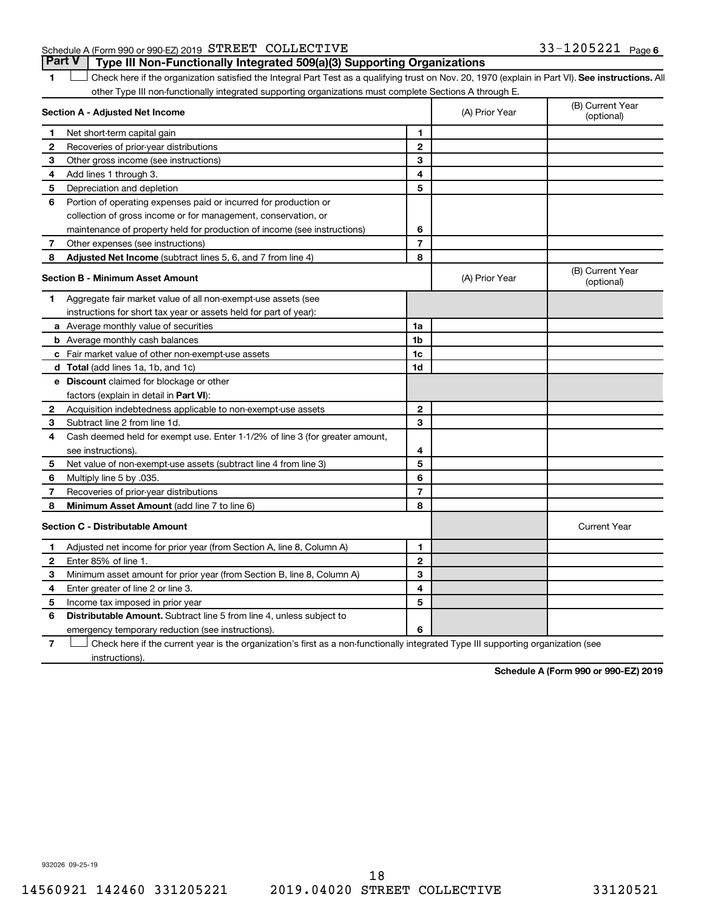### Schedule A (Form 990 or 990-EZ) 2019  $\texttt{STREF\ }\texttt{COLLECTIVE}\ \textcolor{red}{\bullet} \textcolor{red}{\bullet} \textcolor{red}{\bullet} \textcolor{red}{\bullet} \textcolor{red}{\bullet} 33\,\textcolor{red}{\bullet}\,\textcolor{red}{\bullet} 221\ \textcolor{red}{\bullet} \textcolor{red}{\bullet} \textcolor{red}{\bullet}$

**Part V Type III Non-Functionally Integrated 509(a)(3) Supporting Organizations** 

1 **Letter See instructions.** All Check here if the organization satisfied the Integral Part Test as a qualifying trust on Nov. 20, 1970 (explain in Part VI). See instructions. All other Type III non-functionally integrated supporting organizations must complete Sections A through E.

| Section A - Adjusted Net Income |                                                                              | (A) Prior Year | (B) Current Year<br>(optional) |                                |
|---------------------------------|------------------------------------------------------------------------------|----------------|--------------------------------|--------------------------------|
| 1                               | Net short-term capital gain                                                  | 1              |                                |                                |
| 2                               | Recoveries of prior-year distributions                                       | $\mathbf{2}$   |                                |                                |
| З                               | Other gross income (see instructions)                                        | 3              |                                |                                |
| 4                               | Add lines 1 through 3.                                                       | 4              |                                |                                |
| 5                               | Depreciation and depletion                                                   | 5              |                                |                                |
| 6                               | Portion of operating expenses paid or incurred for production or             |                |                                |                                |
|                                 | collection of gross income or for management, conservation, or               |                |                                |                                |
|                                 | maintenance of property held for production of income (see instructions)     | 6              |                                |                                |
| 7                               | Other expenses (see instructions)                                            | $\overline{7}$ |                                |                                |
| 8                               | Adjusted Net Income (subtract lines 5, 6, and 7 from line 4)                 | 8              |                                |                                |
|                                 | <b>Section B - Minimum Asset Amount</b>                                      |                | (A) Prior Year                 | (B) Current Year<br>(optional) |
| 1.                              | Aggregate fair market value of all non-exempt-use assets (see                |                |                                |                                |
|                                 | instructions for short tax year or assets held for part of year):            |                |                                |                                |
|                                 | a Average monthly value of securities                                        | 1a             |                                |                                |
|                                 | <b>b</b> Average monthly cash balances                                       | 1 <sub>b</sub> |                                |                                |
|                                 | c Fair market value of other non-exempt-use assets                           | 1c             |                                |                                |
|                                 | d Total (add lines 1a, 1b, and 1c)                                           | 1d             |                                |                                |
|                                 | e Discount claimed for blockage or other                                     |                |                                |                                |
|                                 | factors (explain in detail in <b>Part VI</b> ):                              |                |                                |                                |
| 2                               | Acquisition indebtedness applicable to non-exempt-use assets                 | $\mathbf{2}$   |                                |                                |
| З                               | Subtract line 2 from line 1d.                                                | 3              |                                |                                |
| 4                               | Cash deemed held for exempt use. Enter 1-1/2% of line 3 (for greater amount, |                |                                |                                |
|                                 | see instructions).                                                           | 4              |                                |                                |
| 5                               | Net value of non-exempt-use assets (subtract line 4 from line 3)             | 5              |                                |                                |
| 6                               | Multiply line 5 by .035.                                                     | 6              |                                |                                |
| 7                               | Recoveries of prior-year distributions                                       | $\overline{7}$ |                                |                                |
| 8                               | <b>Minimum Asset Amount (add line 7 to line 6)</b>                           | 8              |                                |                                |
|                                 | <b>Section C - Distributable Amount</b>                                      |                |                                | <b>Current Year</b>            |
| 1                               | Adjusted net income for prior year (from Section A, line 8, Column A)        | 1              |                                |                                |
| $\mathbf{2}$                    | Enter 85% of line 1.                                                         | $\mathbf{2}$   |                                |                                |
| 3                               | Minimum asset amount for prior year (from Section B, line 8, Column A)       | 3              |                                |                                |
| 4                               | Enter greater of line 2 or line 3.                                           | 4              |                                |                                |
| 5                               | Income tax imposed in prior year                                             | 5              |                                |                                |
| 6                               | <b>Distributable Amount.</b> Subtract line 5 from line 4, unless subject to  |                |                                |                                |
|                                 | emergency temporary reduction (see instructions).                            | 6              |                                |                                |
|                                 |                                                                              |                |                                |                                |

**7** Check here if the current year is the organization's first as a non-functionally integrated Type III supporting organization (see † instructions).

**Schedule A (Form 990 or 990-EZ) 2019**

932026 09-25-19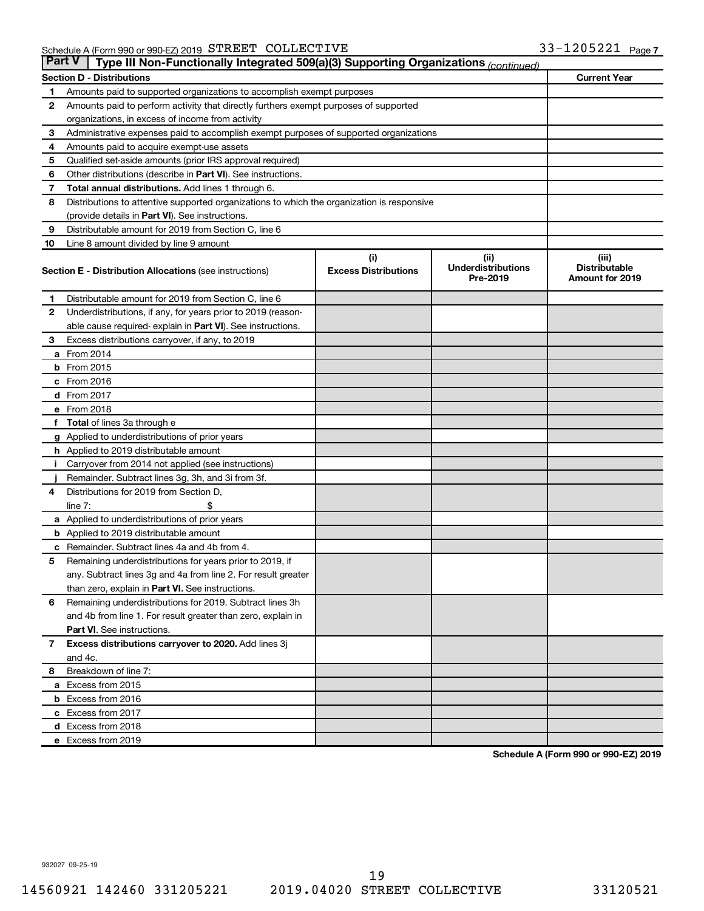| <b>Part V</b><br>Type III Non-Functionally Integrated 509(a)(3) Supporting Organizations (continued) |                                                                                            |                             |                                       |                                                |  |  |  |
|------------------------------------------------------------------------------------------------------|--------------------------------------------------------------------------------------------|-----------------------------|---------------------------------------|------------------------------------------------|--|--|--|
|                                                                                                      | <b>Current Year</b><br><b>Section D - Distributions</b>                                    |                             |                                       |                                                |  |  |  |
| 1                                                                                                    | Amounts paid to supported organizations to accomplish exempt purposes                      |                             |                                       |                                                |  |  |  |
| 2                                                                                                    | Amounts paid to perform activity that directly furthers exempt purposes of supported       |                             |                                       |                                                |  |  |  |
|                                                                                                      | organizations, in excess of income from activity                                           |                             |                                       |                                                |  |  |  |
| 3                                                                                                    | Administrative expenses paid to accomplish exempt purposes of supported organizations      |                             |                                       |                                                |  |  |  |
| 4                                                                                                    | Amounts paid to acquire exempt-use assets                                                  |                             |                                       |                                                |  |  |  |
| 5                                                                                                    | Qualified set-aside amounts (prior IRS approval required)                                  |                             |                                       |                                                |  |  |  |
| 6                                                                                                    | Other distributions (describe in Part VI). See instructions.                               |                             |                                       |                                                |  |  |  |
| 7                                                                                                    | Total annual distributions. Add lines 1 through 6.                                         |                             |                                       |                                                |  |  |  |
| 8                                                                                                    | Distributions to attentive supported organizations to which the organization is responsive |                             |                                       |                                                |  |  |  |
|                                                                                                      | (provide details in Part VI). See instructions.                                            |                             |                                       |                                                |  |  |  |
| 9                                                                                                    | Distributable amount for 2019 from Section C, line 6                                       |                             |                                       |                                                |  |  |  |
| 10                                                                                                   | Line 8 amount divided by line 9 amount                                                     |                             |                                       |                                                |  |  |  |
|                                                                                                      |                                                                                            | (i)                         | (ii)                                  | (iii)                                          |  |  |  |
|                                                                                                      | Section E - Distribution Allocations (see instructions)                                    | <b>Excess Distributions</b> | <b>Underdistributions</b><br>Pre-2019 | <b>Distributable</b><br><b>Amount for 2019</b> |  |  |  |
| 1                                                                                                    | Distributable amount for 2019 from Section C, line 6                                       |                             |                                       |                                                |  |  |  |
| 2                                                                                                    | Underdistributions, if any, for years prior to 2019 (reason-                               |                             |                                       |                                                |  |  |  |
|                                                                                                      | able cause required- explain in Part VI). See instructions.                                |                             |                                       |                                                |  |  |  |
| 3                                                                                                    | Excess distributions carryover, if any, to 2019                                            |                             |                                       |                                                |  |  |  |
|                                                                                                      | a From 2014                                                                                |                             |                                       |                                                |  |  |  |
|                                                                                                      | <b>b</b> From 2015                                                                         |                             |                                       |                                                |  |  |  |
|                                                                                                      | c From 2016                                                                                |                             |                                       |                                                |  |  |  |
|                                                                                                      | <b>d</b> From 2017                                                                         |                             |                                       |                                                |  |  |  |
|                                                                                                      | e From 2018                                                                                |                             |                                       |                                                |  |  |  |
| f                                                                                                    | <b>Total</b> of lines 3a through e                                                         |                             |                                       |                                                |  |  |  |
|                                                                                                      | <b>g</b> Applied to underdistributions of prior years                                      |                             |                                       |                                                |  |  |  |
|                                                                                                      | <b>h</b> Applied to 2019 distributable amount                                              |                             |                                       |                                                |  |  |  |
|                                                                                                      | Carryover from 2014 not applied (see instructions)                                         |                             |                                       |                                                |  |  |  |
|                                                                                                      | Remainder. Subtract lines 3g, 3h, and 3i from 3f.                                          |                             |                                       |                                                |  |  |  |
| 4                                                                                                    | Distributions for 2019 from Section D,                                                     |                             |                                       |                                                |  |  |  |
|                                                                                                      | line $7:$                                                                                  |                             |                                       |                                                |  |  |  |
|                                                                                                      | a Applied to underdistributions of prior years                                             |                             |                                       |                                                |  |  |  |
|                                                                                                      | <b>b</b> Applied to 2019 distributable amount                                              |                             |                                       |                                                |  |  |  |
| с                                                                                                    | Remainder. Subtract lines 4a and 4b from 4.                                                |                             |                                       |                                                |  |  |  |
| 5                                                                                                    | Remaining underdistributions for years prior to 2019, if                                   |                             |                                       |                                                |  |  |  |
|                                                                                                      | any. Subtract lines 3g and 4a from line 2. For result greater                              |                             |                                       |                                                |  |  |  |
|                                                                                                      | than zero, explain in Part VI. See instructions.                                           |                             |                                       |                                                |  |  |  |
| 6                                                                                                    | Remaining underdistributions for 2019. Subtract lines 3h                                   |                             |                                       |                                                |  |  |  |
|                                                                                                      | and 4b from line 1. For result greater than zero, explain in                               |                             |                                       |                                                |  |  |  |
|                                                                                                      | <b>Part VI.</b> See instructions.                                                          |                             |                                       |                                                |  |  |  |
| $\mathbf{7}$                                                                                         | Excess distributions carryover to 2020. Add lines 3j                                       |                             |                                       |                                                |  |  |  |
|                                                                                                      | and 4c.                                                                                    |                             |                                       |                                                |  |  |  |
| 8                                                                                                    | Breakdown of line 7:                                                                       |                             |                                       |                                                |  |  |  |
|                                                                                                      | a Excess from 2015                                                                         |                             |                                       |                                                |  |  |  |
|                                                                                                      | <b>b</b> Excess from 2016                                                                  |                             |                                       |                                                |  |  |  |
|                                                                                                      | c Excess from 2017                                                                         |                             |                                       |                                                |  |  |  |
|                                                                                                      | d Excess from 2018                                                                         |                             |                                       |                                                |  |  |  |
|                                                                                                      | e Excess from 2019                                                                         |                             |                                       |                                                |  |  |  |

**Schedule A (Form 990 or 990-EZ) 2019**

932027 09-25-19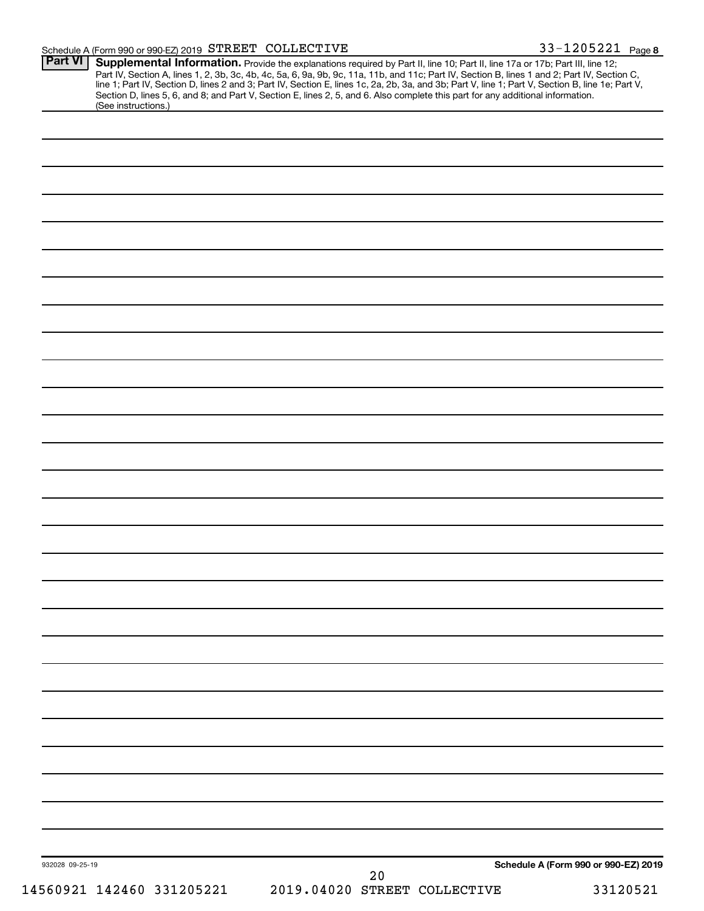|  |  |  | Schedule A (Form 990 or 990-EZ) 2019 $\,$ STREET $\,$ COLLECTIVE | $33 - 1205221$ Page 8 |  |
|--|--|--|------------------------------------------------------------------|-----------------------|--|
|--|--|--|------------------------------------------------------------------|-----------------------|--|

| Part VI<br>(See instructions.) | Supplemental Information. Provide the explanations required by Part II, line 10; Part II, line 17a or 17b; Part III, line 12;<br>Part IV, Section A, lines 1, 2, 3b, 3c, 4b, 4c, 5a, 6, 9a, 9b, 9c, 11a, 11b, and 11c; Part IV, Section B, lines 1 and 2; Part IV, Section C,<br>line 1; Part IV, Section D, lines 2 and 3; Part IV, Section E, lines 1c, 2a, 2b, 3a, and 3b; Part V, line 1; Part V, Section B, line 1e; Part V,<br>Section D, lines 5, 6, and 8; and Part V, Section E, lines 2, 5, and 6. Also complete this part for any additional information. |
|--------------------------------|----------------------------------------------------------------------------------------------------------------------------------------------------------------------------------------------------------------------------------------------------------------------------------------------------------------------------------------------------------------------------------------------------------------------------------------------------------------------------------------------------------------------------------------------------------------------|
|                                |                                                                                                                                                                                                                                                                                                                                                                                                                                                                                                                                                                      |
|                                |                                                                                                                                                                                                                                                                                                                                                                                                                                                                                                                                                                      |
|                                |                                                                                                                                                                                                                                                                                                                                                                                                                                                                                                                                                                      |
|                                |                                                                                                                                                                                                                                                                                                                                                                                                                                                                                                                                                                      |
|                                |                                                                                                                                                                                                                                                                                                                                                                                                                                                                                                                                                                      |
|                                |                                                                                                                                                                                                                                                                                                                                                                                                                                                                                                                                                                      |
|                                |                                                                                                                                                                                                                                                                                                                                                                                                                                                                                                                                                                      |
|                                |                                                                                                                                                                                                                                                                                                                                                                                                                                                                                                                                                                      |
|                                |                                                                                                                                                                                                                                                                                                                                                                                                                                                                                                                                                                      |
|                                |                                                                                                                                                                                                                                                                                                                                                                                                                                                                                                                                                                      |
|                                |                                                                                                                                                                                                                                                                                                                                                                                                                                                                                                                                                                      |
|                                |                                                                                                                                                                                                                                                                                                                                                                                                                                                                                                                                                                      |
|                                |                                                                                                                                                                                                                                                                                                                                                                                                                                                                                                                                                                      |
|                                |                                                                                                                                                                                                                                                                                                                                                                                                                                                                                                                                                                      |
|                                |                                                                                                                                                                                                                                                                                                                                                                                                                                                                                                                                                                      |
|                                |                                                                                                                                                                                                                                                                                                                                                                                                                                                                                                                                                                      |
|                                |                                                                                                                                                                                                                                                                                                                                                                                                                                                                                                                                                                      |
|                                |                                                                                                                                                                                                                                                                                                                                                                                                                                                                                                                                                                      |
|                                |                                                                                                                                                                                                                                                                                                                                                                                                                                                                                                                                                                      |
|                                |                                                                                                                                                                                                                                                                                                                                                                                                                                                                                                                                                                      |
|                                |                                                                                                                                                                                                                                                                                                                                                                                                                                                                                                                                                                      |
|                                |                                                                                                                                                                                                                                                                                                                                                                                                                                                                                                                                                                      |
|                                |                                                                                                                                                                                                                                                                                                                                                                                                                                                                                                                                                                      |
|                                |                                                                                                                                                                                                                                                                                                                                                                                                                                                                                                                                                                      |
|                                |                                                                                                                                                                                                                                                                                                                                                                                                                                                                                                                                                                      |
|                                |                                                                                                                                                                                                                                                                                                                                                                                                                                                                                                                                                                      |
|                                |                                                                                                                                                                                                                                                                                                                                                                                                                                                                                                                                                                      |
|                                |                                                                                                                                                                                                                                                                                                                                                                                                                                                                                                                                                                      |
|                                |                                                                                                                                                                                                                                                                                                                                                                                                                                                                                                                                                                      |
|                                |                                                                                                                                                                                                                                                                                                                                                                                                                                                                                                                                                                      |
|                                |                                                                                                                                                                                                                                                                                                                                                                                                                                                                                                                                                                      |
|                                |                                                                                                                                                                                                                                                                                                                                                                                                                                                                                                                                                                      |
|                                |                                                                                                                                                                                                                                                                                                                                                                                                                                                                                                                                                                      |
|                                |                                                                                                                                                                                                                                                                                                                                                                                                                                                                                                                                                                      |
|                                |                                                                                                                                                                                                                                                                                                                                                                                                                                                                                                                                                                      |
|                                |                                                                                                                                                                                                                                                                                                                                                                                                                                                                                                                                                                      |
|                                |                                                                                                                                                                                                                                                                                                                                                                                                                                                                                                                                                                      |
|                                |                                                                                                                                                                                                                                                                                                                                                                                                                                                                                                                                                                      |
|                                |                                                                                                                                                                                                                                                                                                                                                                                                                                                                                                                                                                      |
|                                |                                                                                                                                                                                                                                                                                                                                                                                                                                                                                                                                                                      |
|                                |                                                                                                                                                                                                                                                                                                                                                                                                                                                                                                                                                                      |
|                                | Schedule A (Form 990 or 990-EZ) 2019                                                                                                                                                                                                                                                                                                                                                                                                                                                                                                                                 |
| 932028 09-25-19                | 20                                                                                                                                                                                                                                                                                                                                                                                                                                                                                                                                                                   |
| 14560921 142460 331205221      | 2019.04020 STREET COLLECTIVE<br>33120521                                                                                                                                                                                                                                                                                                                                                                                                                                                                                                                             |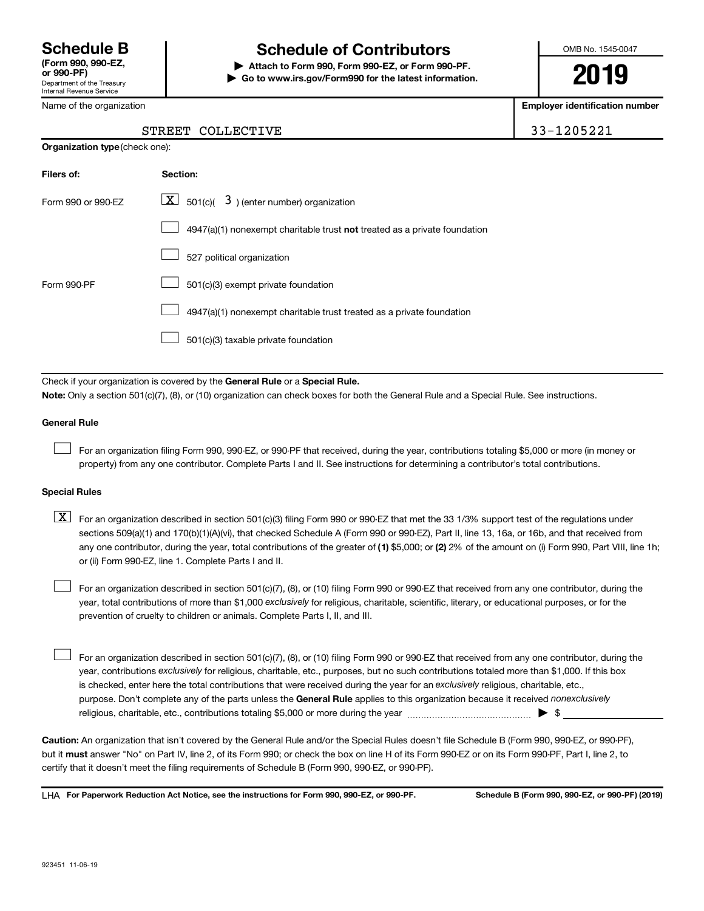Department of the Treasury Internal Revenue Service

## **Schedule B Schedule of Contributors**

**or 990-PF) | Attach to Form 990, Form 990-EZ, or Form 990-PF. | Go to www.irs.gov/Form990 for the latest information.** OMB No. 1545-0047

**2019**

**Employer identification number**

|  | Name of the organization |
|--|--------------------------|
|  |                          |

**Organization type** (check one):

### STREET COLLECTIVE 33-1205221

| Filers of:         | Section:                                                                  |
|--------------------|---------------------------------------------------------------------------|
| Form 990 or 990-FZ | $\lfloor \mathbf{X} \rfloor$ 501(c)( 3) (enter number) organization       |
|                    | 4947(a)(1) nonexempt charitable trust not treated as a private foundation |
|                    | 527 political organization                                                |
| Form 990-PF        | 501(c)(3) exempt private foundation                                       |
|                    | 4947(a)(1) nonexempt charitable trust treated as a private foundation     |
|                    | 501(c)(3) taxable private foundation                                      |

Check if your organization is covered by the General Rule or a Special Rule.

**Note:**  Only a section 501(c)(7), (8), or (10) organization can check boxes for both the General Rule and a Special Rule. See instructions.

### **General Rule**

 $\Box$ 

For an organization filing Form 990, 990-EZ, or 990-PF that received, during the year, contributions totaling \$5,000 or more (in money or property) from any one contributor. Complete Parts I and II. See instructions for determining a contributor's total contributions.

#### **Special Rules**

any one contributor, during the year, total contributions of the greater of (1) \$5,000; or (2) 2% of the amount on (i) Form 990, Part VIII, line 1h;  $\boxed{\text{X}}$  For an organization described in section 501(c)(3) filing Form 990 or 990-EZ that met the 33 1/3% support test of the regulations under sections 509(a)(1) and 170(b)(1)(A)(vi), that checked Schedule A (Form 990 or 990-EZ), Part II, line 13, 16a, or 16b, and that received from or (ii) Form 990-EZ, line 1. Complete Parts I and II.

year, total contributions of more than \$1,000 *exclusively* for religious, charitable, scientific, literary, or educational purposes, or for the For an organization described in section 501(c)(7), (8), or (10) filing Form 990 or 990-EZ that received from any one contributor, during the prevention of cruelty to children or animals. Complete Parts I, II, and III.  $\Box$ 

purpose. Don't complete any of the parts unless the General Rule applies to this organization because it received nonexclusively year, contributions exclusively for religious, charitable, etc., purposes, but no such contributions totaled more than \$1,000. If this box is checked, enter here the total contributions that were received during the year for an exclusively religious, charitable, etc., For an organization described in section 501(c)(7), (8), or (10) filing Form 990 or 990-EZ that received from any one contributor, during the religious, charitable, etc., contributions totaling \$5,000 or more during the year  $~\ldots\ldots\ldots\ldots\ldots\ldots\ldots\ldots\blacktriangleright~$ \$  $\Box$ 

**Caution:**  An organization that isn't covered by the General Rule and/or the Special Rules doesn't file Schedule B (Form 990, 990-EZ, or 990-PF),  **must** but it answer "No" on Part IV, line 2, of its Form 990; or check the box on line H of its Form 990-EZ or on its Form 990-PF, Part I, line 2, to certify that it doesn't meet the filing requirements of Schedule B (Form 990, 990-EZ, or 990-PF).

**For Paperwork Reduction Act Notice, see the instructions for Form 990, 990-EZ, or 990-PF. Schedule B (Form 990, 990-EZ, or 990-PF) (2019)** LHA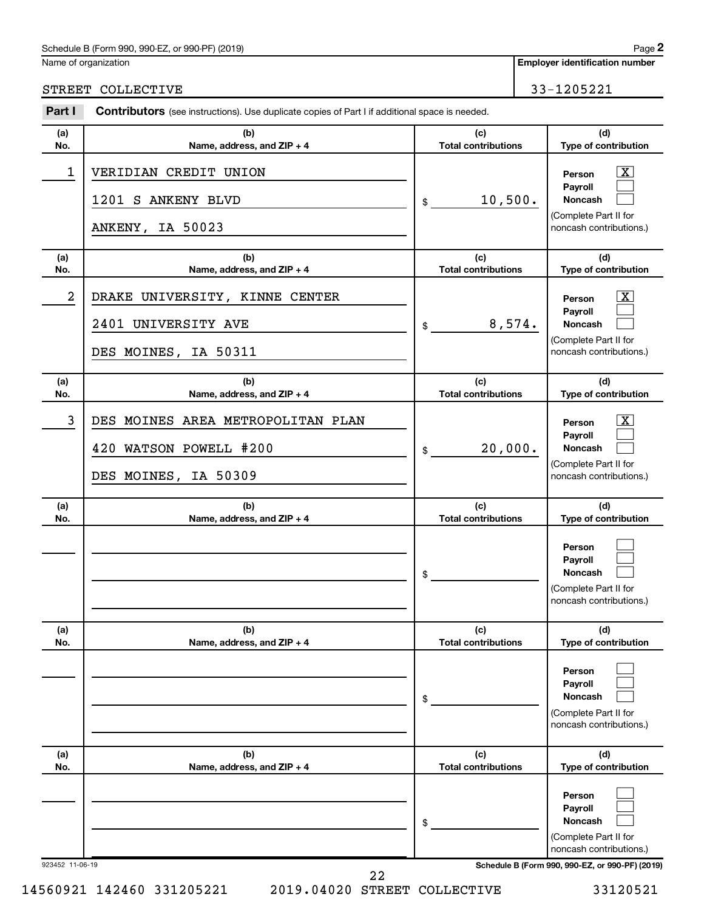### Schedule B (Form 990, 990-EZ, or 990-PF) (2019)

Name of organization

STREET COLLECTIVE 33-1205221

| Part I           | <b>Contributors</b> (see instructions). Use duplicate copies of Part I if additional space is needed. |                                   |                                                                                                                                     |  |  |  |
|------------------|-------------------------------------------------------------------------------------------------------|-----------------------------------|-------------------------------------------------------------------------------------------------------------------------------------|--|--|--|
| (a)<br>No.       | (b)<br>Name, address, and ZIP + 4                                                                     | (c)<br><b>Total contributions</b> | (d)<br>Type of contribution                                                                                                         |  |  |  |
| $\mathbf 1$      | VERIDIAN CREDIT UNION<br>1201 S ANKENY BLVD<br>ANKENY, IA 50023                                       | 10,500.<br>\$                     | $\mathbf{X}$<br>Person<br>Payroll<br>Noncash<br>(Complete Part II for<br>noncash contributions.)                                    |  |  |  |
| (a)<br>No.       | (b)<br>Name, address, and ZIP + 4                                                                     | (c)<br><b>Total contributions</b> | (d)<br>Type of contribution                                                                                                         |  |  |  |
| $\boldsymbol{2}$ | DRAKE UNIVERSITY, KINNE CENTER<br>2401 UNIVERSITY AVE<br>DES MOINES, IA 50311                         | 8,574.<br>\$                      | $\mathbf{X}$<br>Person<br>Payroll<br>Noncash<br>(Complete Part II for<br>noncash contributions.)                                    |  |  |  |
| (a)<br>No.       | (b)<br>Name, address, and ZIP + 4                                                                     | (c)<br><b>Total contributions</b> | (d)<br>Type of contribution                                                                                                         |  |  |  |
| $\mathbf{3}$     | DES MOINES AREA METROPOLITAN PLAN<br>420 WATSON POWELL #200<br>DES MOINES, IA 50309                   | 20,000.<br>\$                     | $\overline{\mathbf{X}}$<br>Person<br>Payroll<br>Noncash<br>(Complete Part II for<br>noncash contributions.)                         |  |  |  |
|                  |                                                                                                       |                                   |                                                                                                                                     |  |  |  |
| (a)<br>No.       | (b)<br>Name, address, and ZIP + 4                                                                     | (c)<br><b>Total contributions</b> | (d)<br>Type of contribution                                                                                                         |  |  |  |
|                  |                                                                                                       | \$                                | Person<br>Payroll<br>Noncash<br>(Complete Part II for<br>noncash contributions.)                                                    |  |  |  |
| (a)<br>No.       | (b)<br>Name, address, and ZIP + 4                                                                     | (c)<br><b>Total contributions</b> | (d)<br>Type of contribution                                                                                                         |  |  |  |
|                  |                                                                                                       | \$                                | Person<br>Payroll<br>Noncash<br>(Complete Part II for<br>noncash contributions.)                                                    |  |  |  |
| (a)<br>No.       | (b)<br>Name, address, and ZIP + 4                                                                     | (c)<br><b>Total contributions</b> | (d)<br>Type of contribution                                                                                                         |  |  |  |
| 923452 11-06-19  |                                                                                                       | \$                                | Person<br>Payroll<br>Noncash<br>(Complete Part II for<br>noncash contributions.)<br>Schedule B (Form 990, 990-EZ, or 990-PF) (2019) |  |  |  |

14560921 142460 331205221 2019.04020 STREET COLLECTIVE 33120521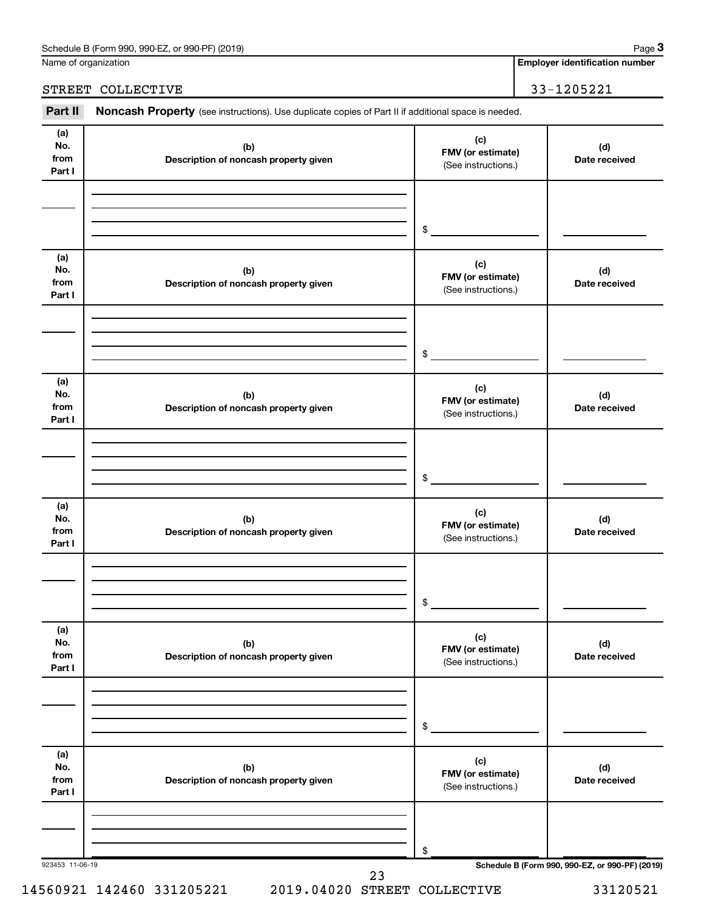| Schedule B (Form 990, 990-EZ, or 990-PF) (2019) | Paɑe |
|-------------------------------------------------|------|
|-------------------------------------------------|------|

Name of organization

**Employer identification number**

STREET COLLECTIVE 33-1205221

923453 11-06-19 **Schedule B (Form 990, 990-EZ, or 990-PF) (2019) (a) No. from Part I (c) FMV (or estimate) (b) Description of noncash property given (d) Date received (a) No. from Part I (c) FMV (or estimate) (b) Description of noncash property given (d) Date received (a) No. from Part I (c) FMV (or estimate) (b) Description of noncash property given (d) Date received (a) No. from Part I (c) FMV (or estimate) (b) Description of noncash property given (d) Date received (a) No. from Part I (c) FMV (or estimate) (b) Description of noncash property given (d) Date received (a) No. from Part I (c) FMV (or estimate) (b) Description of noncash property given (d) Date received** Part II Noncash Property (see instructions). Use duplicate copies of Part II if additional space is needed. (See instructions.) \$ (See instructions.) \$ (See instructions.) \$ (See instructions.) \$ (See instructions.) \$ (See instructions.) \$ 14560921 142460 331205221 2019.04020 STREET COLLECTIVE 33120521 23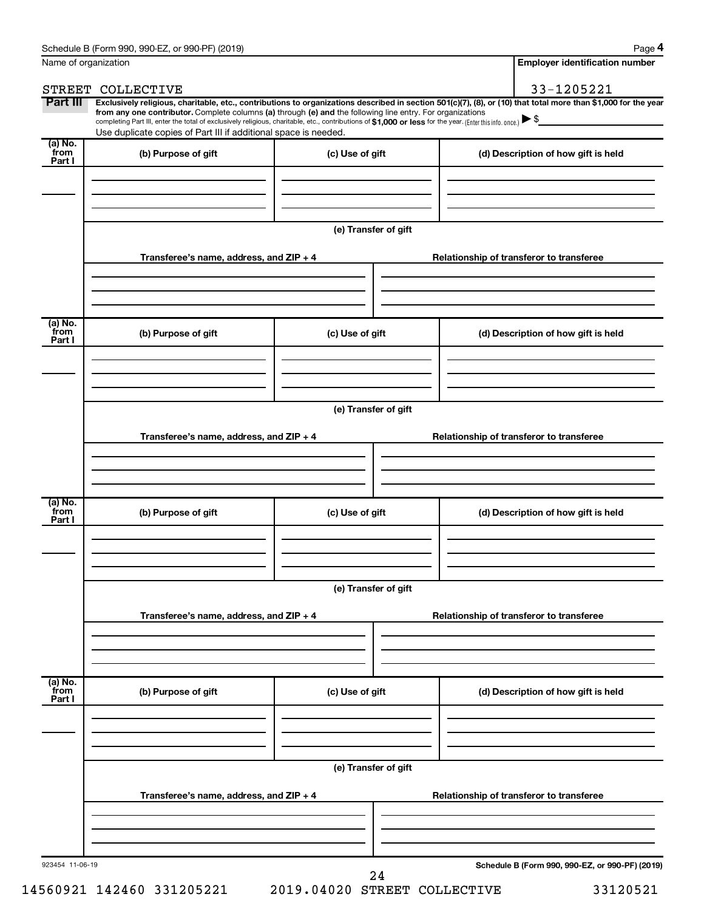| Name of organization      |                                                                                                                                                                                                                                                                                                                                                                    |                      | <b>Employer identification number</b>                                                                                                                          |  |  |  |
|---------------------------|--------------------------------------------------------------------------------------------------------------------------------------------------------------------------------------------------------------------------------------------------------------------------------------------------------------------------------------------------------------------|----------------------|----------------------------------------------------------------------------------------------------------------------------------------------------------------|--|--|--|
|                           | STREET COLLECTIVE                                                                                                                                                                                                                                                                                                                                                  |                      | 33-1205221                                                                                                                                                     |  |  |  |
| Part III                  | from any one contributor. Complete columns (a) through (e) and the following line entry. For organizations<br>completing Part III, enter the total of exclusively religious, charitable, etc., contributions of \$1,000 or less for the year. (Enter this info. once.) $\blacktriangleright$ \$<br>Use duplicate copies of Part III if additional space is needed. |                      | Exclusively religious, charitable, etc., contributions to organizations described in section 501(c)(7), (8), or (10) that total more than \$1,000 for the year |  |  |  |
| (a) No.<br>from<br>Part I | (b) Purpose of gift                                                                                                                                                                                                                                                                                                                                                | (c) Use of gift      | (d) Description of how gift is held                                                                                                                            |  |  |  |
|                           |                                                                                                                                                                                                                                                                                                                                                                    |                      |                                                                                                                                                                |  |  |  |
|                           |                                                                                                                                                                                                                                                                                                                                                                    | (e) Transfer of gift |                                                                                                                                                                |  |  |  |
|                           | Transferee's name, address, and ZIP + 4                                                                                                                                                                                                                                                                                                                            |                      | Relationship of transferor to transferee                                                                                                                       |  |  |  |
|                           |                                                                                                                                                                                                                                                                                                                                                                    |                      |                                                                                                                                                                |  |  |  |
| (a) No.<br>from           | (b) Purpose of gift                                                                                                                                                                                                                                                                                                                                                | (c) Use of gift      | (d) Description of how gift is held                                                                                                                            |  |  |  |
| Part I                    |                                                                                                                                                                                                                                                                                                                                                                    |                      |                                                                                                                                                                |  |  |  |
|                           |                                                                                                                                                                                                                                                                                                                                                                    |                      |                                                                                                                                                                |  |  |  |
|                           |                                                                                                                                                                                                                                                                                                                                                                    |                      |                                                                                                                                                                |  |  |  |
|                           | Transferee's name, address, and $ZIP + 4$                                                                                                                                                                                                                                                                                                                          |                      | Relationship of transferor to transferee                                                                                                                       |  |  |  |
|                           |                                                                                                                                                                                                                                                                                                                                                                    |                      |                                                                                                                                                                |  |  |  |
| (a) No.<br>from<br>Part I | (b) Purpose of gift                                                                                                                                                                                                                                                                                                                                                | (c) Use of gift      | (d) Description of how gift is held                                                                                                                            |  |  |  |
|                           |                                                                                                                                                                                                                                                                                                                                                                    |                      |                                                                                                                                                                |  |  |  |
|                           |                                                                                                                                                                                                                                                                                                                                                                    | (e) Transfer of gift |                                                                                                                                                                |  |  |  |
|                           | Transferee's name, address, and ZIP + 4                                                                                                                                                                                                                                                                                                                            |                      | Relationship of transferor to transferee                                                                                                                       |  |  |  |
|                           |                                                                                                                                                                                                                                                                                                                                                                    |                      |                                                                                                                                                                |  |  |  |
| (a) No.<br>from<br>Part I | (b) Purpose of gift                                                                                                                                                                                                                                                                                                                                                | (c) Use of gift      | (d) Description of how gift is held                                                                                                                            |  |  |  |
|                           |                                                                                                                                                                                                                                                                                                                                                                    |                      |                                                                                                                                                                |  |  |  |
|                           |                                                                                                                                                                                                                                                                                                                                                                    | (e) Transfer of gift |                                                                                                                                                                |  |  |  |
|                           | Transferee's name, address, and $ZIP + 4$                                                                                                                                                                                                                                                                                                                          |                      | Relationship of transferor to transferee                                                                                                                       |  |  |  |
|                           |                                                                                                                                                                                                                                                                                                                                                                    |                      |                                                                                                                                                                |  |  |  |
| 923454 11-06-19           |                                                                                                                                                                                                                                                                                                                                                                    |                      | Schedule B (Form 990, 990-EZ, or 990-PF) (2019)                                                                                                                |  |  |  |
|                           |                                                                                                                                                                                                                                                                                                                                                                    | 24                   |                                                                                                                                                                |  |  |  |

14560921 142460 331205221 2019.04020 STREET COLLECTIVE 33120521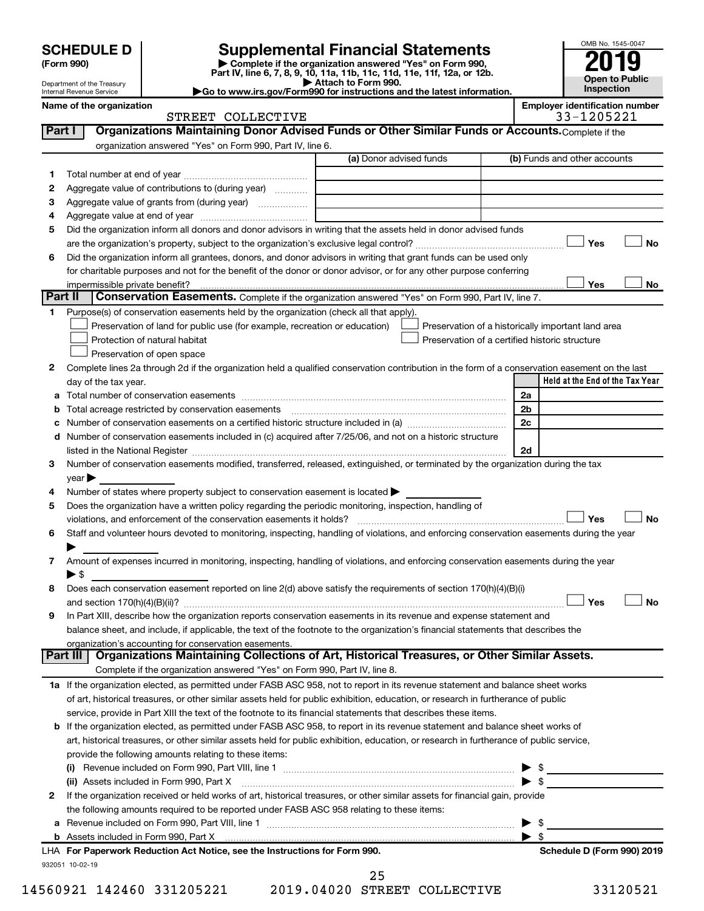# **SCHEDULE D Supplemental Financial Statements**<br> **Form 990 2019**<br> **Part IV** line 6.7.8.9.10, 11a, 11b, 11d, 11d, 11d, 11d, 11d, 12a, 0r, 12b

**(Form 990) | Complete if the organization answered "Yes" on Form 990, Part IV, line 6, 7, 8, 9, 10, 11a, 11b, 11c, 11d, 11e, 11f, 12a, or 12b.**

**| Attach to Form 990. |Go to www.irs.gov/Form990 for instructions and the latest information.**



Department of the Treasury Internal Revenue Service

| STREET COLLECTIVE           |
|-----------------------------|
| ns Maintaining Donor Advise |

**Name of the organization Employer identification number** 33-1205221

| <b>Part I</b> | Organizations Maintaining Donor Advised Funds or Other Similar Funds or Accounts. Complete if the                                                                                                                                                                                                                                                                 |                         |                                                    |
|---------------|-------------------------------------------------------------------------------------------------------------------------------------------------------------------------------------------------------------------------------------------------------------------------------------------------------------------------------------------------------------------|-------------------------|----------------------------------------------------|
|               | organization answered "Yes" on Form 990, Part IV, line 6.                                                                                                                                                                                                                                                                                                         |                         |                                                    |
|               |                                                                                                                                                                                                                                                                                                                                                                   | (a) Donor advised funds | (b) Funds and other accounts                       |
| 1             |                                                                                                                                                                                                                                                                                                                                                                   |                         |                                                    |
| 2             | Aggregate value of contributions to (during year)                                                                                                                                                                                                                                                                                                                 |                         |                                                    |
| З             | Aggregate value of grants from (during year)                                                                                                                                                                                                                                                                                                                      |                         |                                                    |
| 4             |                                                                                                                                                                                                                                                                                                                                                                   |                         |                                                    |
| 5             | Did the organization inform all donors and donor advisors in writing that the assets held in donor advised funds                                                                                                                                                                                                                                                  |                         |                                                    |
|               |                                                                                                                                                                                                                                                                                                                                                                   |                         | Yes<br>No                                          |
| 6             | Did the organization inform all grantees, donors, and donor advisors in writing that grant funds can be used only                                                                                                                                                                                                                                                 |                         |                                                    |
|               | for charitable purposes and not for the benefit of the donor or donor advisor, or for any other purpose conferring                                                                                                                                                                                                                                                |                         |                                                    |
| Part II       | Conservation Easements. Complete if the organization answered "Yes" on Form 990, Part IV, line 7.                                                                                                                                                                                                                                                                 |                         | Yes<br>No                                          |
|               |                                                                                                                                                                                                                                                                                                                                                                   |                         |                                                    |
| 1             | Purpose(s) of conservation easements held by the organization (check all that apply).                                                                                                                                                                                                                                                                             |                         |                                                    |
|               | Preservation of land for public use (for example, recreation or education)                                                                                                                                                                                                                                                                                        |                         | Preservation of a historically important land area |
|               | Protection of natural habitat                                                                                                                                                                                                                                                                                                                                     |                         | Preservation of a certified historic structure     |
|               | Preservation of open space                                                                                                                                                                                                                                                                                                                                        |                         |                                                    |
| 2             | Complete lines 2a through 2d if the organization held a qualified conservation contribution in the form of a conservation easement on the last                                                                                                                                                                                                                    |                         | Held at the End of the Tax Year                    |
|               | day of the tax year.                                                                                                                                                                                                                                                                                                                                              |                         |                                                    |
| а             |                                                                                                                                                                                                                                                                                                                                                                   |                         | 2a<br>2 <sub>b</sub>                               |
| b             |                                                                                                                                                                                                                                                                                                                                                                   |                         | 2c                                                 |
| c             | Number of conservation easements included in (c) acquired after 7/25/06, and not on a historic structure                                                                                                                                                                                                                                                          |                         |                                                    |
| d             |                                                                                                                                                                                                                                                                                                                                                                   |                         | 2d                                                 |
| 3             | listed in the National Register [111] Marshall Register [11] Marshall Register [11] Marshall Register [11] Marshall Register [11] Marshall Register [11] Marshall Register [11] Marshall Register [11] Marshall Register [11]<br>Number of conservation easements modified, transferred, released, extinguished, or terminated by the organization during the tax |                         |                                                    |
|               | $year \triangleright$                                                                                                                                                                                                                                                                                                                                             |                         |                                                    |
| 4             | Number of states where property subject to conservation easement is located >                                                                                                                                                                                                                                                                                     |                         |                                                    |
| 5             | Does the organization have a written policy regarding the periodic monitoring, inspection, handling of                                                                                                                                                                                                                                                            |                         |                                                    |
|               | violations, and enforcement of the conservation easements it holds?                                                                                                                                                                                                                                                                                               |                         | Yes<br>No                                          |
| 6             | Staff and volunteer hours devoted to monitoring, inspecting, handling of violations, and enforcing conservation easements during the year                                                                                                                                                                                                                         |                         |                                                    |
|               |                                                                                                                                                                                                                                                                                                                                                                   |                         |                                                    |
| 7             | Amount of expenses incurred in monitoring, inspecting, handling of violations, and enforcing conservation easements during the year                                                                                                                                                                                                                               |                         |                                                    |
|               | ► \$                                                                                                                                                                                                                                                                                                                                                              |                         |                                                    |
| 8             | Does each conservation easement reported on line 2(d) above satisfy the requirements of section 170(h)(4)(B)(i)                                                                                                                                                                                                                                                   |                         |                                                    |
|               |                                                                                                                                                                                                                                                                                                                                                                   |                         | Yes<br>No                                          |
| 9             | In Part XIII, describe how the organization reports conservation easements in its revenue and expense statement and                                                                                                                                                                                                                                               |                         |                                                    |
|               | balance sheet, and include, if applicable, the text of the footnote to the organization's financial statements that describes the                                                                                                                                                                                                                                 |                         |                                                    |
|               | organization's accounting for conservation easements.                                                                                                                                                                                                                                                                                                             |                         |                                                    |
|               | Organizations Maintaining Collections of Art, Historical Treasures, or Other Similar Assets.<br>  Part III                                                                                                                                                                                                                                                        |                         |                                                    |
|               | Complete if the organization answered "Yes" on Form 990, Part IV, line 8.                                                                                                                                                                                                                                                                                         |                         |                                                    |
|               | 1a If the organization elected, as permitted under FASB ASC 958, not to report in its revenue statement and balance sheet works                                                                                                                                                                                                                                   |                         |                                                    |
|               | of art, historical treasures, or other similar assets held for public exhibition, education, or research in furtherance of public                                                                                                                                                                                                                                 |                         |                                                    |
|               | service, provide in Part XIII the text of the footnote to its financial statements that describes these items.                                                                                                                                                                                                                                                    |                         |                                                    |
| b             | If the organization elected, as permitted under FASB ASC 958, to report in its revenue statement and balance sheet works of                                                                                                                                                                                                                                       |                         |                                                    |
|               | art, historical treasures, or other similar assets held for public exhibition, education, or research in furtherance of public service,                                                                                                                                                                                                                           |                         |                                                    |
|               | provide the following amounts relating to these items:                                                                                                                                                                                                                                                                                                            |                         |                                                    |
|               |                                                                                                                                                                                                                                                                                                                                                                   |                         | - \$<br>▶                                          |
|               | (ii) Assets included in Form 990, Part X                                                                                                                                                                                                                                                                                                                          |                         | $\blacktriangleright$ \$                           |
| 2             | If the organization received or held works of art, historical treasures, or other similar assets for financial gain, provide                                                                                                                                                                                                                                      |                         |                                                    |
|               | the following amounts required to be reported under FASB ASC 958 relating to these items:                                                                                                                                                                                                                                                                         |                         |                                                    |
| а             |                                                                                                                                                                                                                                                                                                                                                                   |                         | \$<br>▶                                            |
| b             |                                                                                                                                                                                                                                                                                                                                                                   |                         | $\blacktriangleright$ s                            |
|               | LHA For Paperwork Reduction Act Notice, see the Instructions for Form 990.                                                                                                                                                                                                                                                                                        |                         | Schedule D (Form 990) 2019                         |

932051 10-02-19

14560921 142460 331205221 2019.04020 STREET COLLECTIVE 33120521 25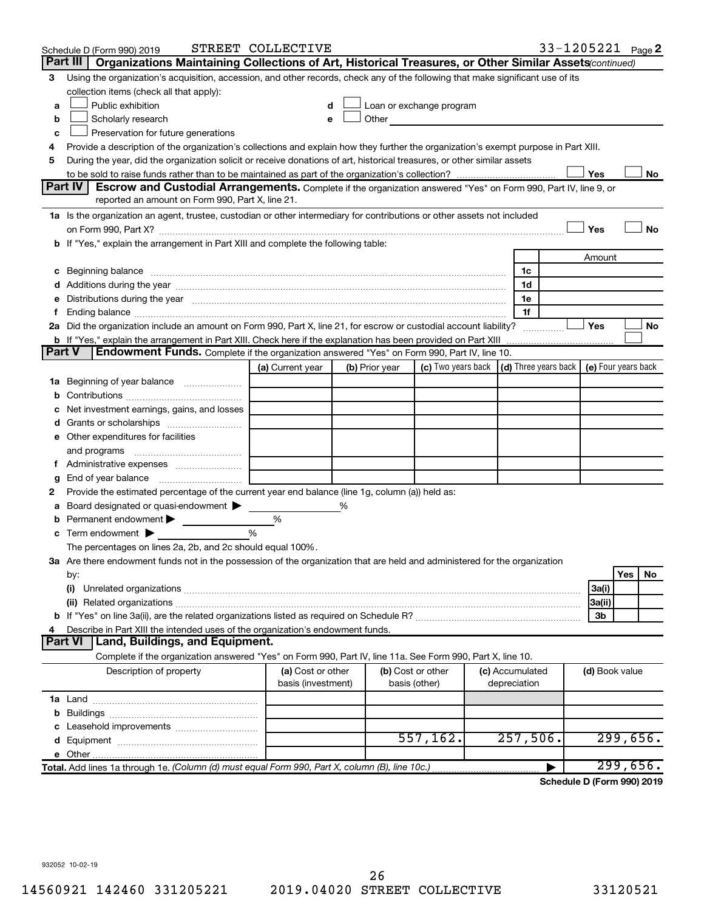|               | Schedule D (Form 990) 2019                                                                                                                                                                                                          | STREET COLLECTIVE                       |   |                                    |                                                                                                                                                                                                                               |                                 | 33-1205221 Page 2 |                |          |    |
|---------------|-------------------------------------------------------------------------------------------------------------------------------------------------------------------------------------------------------------------------------------|-----------------------------------------|---|------------------------------------|-------------------------------------------------------------------------------------------------------------------------------------------------------------------------------------------------------------------------------|---------------------------------|-------------------|----------------|----------|----|
|               | Part III<br>Organizations Maintaining Collections of Art, Historical Treasures, or Other Similar Assets (continued)                                                                                                                 |                                         |   |                                    |                                                                                                                                                                                                                               |                                 |                   |                |          |    |
| 3             | Using the organization's acquisition, accession, and other records, check any of the following that make significant use of its                                                                                                     |                                         |   |                                    |                                                                                                                                                                                                                               |                                 |                   |                |          |    |
|               | collection items (check all that apply):                                                                                                                                                                                            |                                         |   |                                    |                                                                                                                                                                                                                               |                                 |                   |                |          |    |
| a             | Public exhibition                                                                                                                                                                                                                   |                                         |   |                                    | Loan or exchange program                                                                                                                                                                                                      |                                 |                   |                |          |    |
| b             | Scholarly research                                                                                                                                                                                                                  |                                         |   |                                    | Other and the contract of the contract of the contract of the contract of the contract of the contract of the contract of the contract of the contract of the contract of the contract of the contract of the contract of the |                                 |                   |                |          |    |
| с             | Preservation for future generations                                                                                                                                                                                                 |                                         |   |                                    |                                                                                                                                                                                                                               |                                 |                   |                |          |    |
| 4             | Provide a description of the organization's collections and explain how they further the organization's exempt purpose in Part XIII.                                                                                                |                                         |   |                                    |                                                                                                                                                                                                                               |                                 |                   |                |          |    |
| 5             | During the year, did the organization solicit or receive donations of art, historical treasures, or other similar assets                                                                                                            |                                         |   |                                    |                                                                                                                                                                                                                               |                                 |                   |                |          |    |
|               | Part IV                                                                                                                                                                                                                             |                                         |   |                                    |                                                                                                                                                                                                                               |                                 |                   | Yes            |          | No |
|               | <b>Escrow and Custodial Arrangements.</b> Complete if the organization answered "Yes" on Form 990, Part IV, line 9, or<br>reported an amount on Form 990, Part X, line 21.                                                          |                                         |   |                                    |                                                                                                                                                                                                                               |                                 |                   |                |          |    |
|               | 1a Is the organization an agent, trustee, custodian or other intermediary for contributions or other assets not included                                                                                                            |                                         |   |                                    |                                                                                                                                                                                                                               |                                 |                   |                |          |    |
|               |                                                                                                                                                                                                                                     |                                         |   |                                    |                                                                                                                                                                                                                               |                                 |                   | Yes            |          | No |
|               | b If "Yes," explain the arrangement in Part XIII and complete the following table:                                                                                                                                                  |                                         |   |                                    |                                                                                                                                                                                                                               |                                 |                   |                |          |    |
|               |                                                                                                                                                                                                                                     |                                         |   |                                    |                                                                                                                                                                                                                               |                                 |                   | Amount         |          |    |
|               | c Beginning balance <b>communications</b> and a construction of the construction of the construction of the construction of the construction of the construction of the construction of the construction of the construction of the |                                         |   |                                    |                                                                                                                                                                                                                               | 1c                              |                   |                |          |    |
|               |                                                                                                                                                                                                                                     |                                         |   |                                    |                                                                                                                                                                                                                               | 1d                              |                   |                |          |    |
|               | e Distributions during the year manufactured and continuum control of the control of the control of the state of the state of the control of the control of the control of the control of the control of the control of the co      |                                         |   |                                    |                                                                                                                                                                                                                               | 1е                              |                   |                |          |    |
| Ť.            |                                                                                                                                                                                                                                     |                                         |   |                                    |                                                                                                                                                                                                                               | 1f                              |                   |                |          |    |
|               | 2a Did the organization include an amount on Form 990, Part X, line 21, for escrow or custodial account liability?                                                                                                                  |                                         |   |                                    |                                                                                                                                                                                                                               |                                 |                   | Yes            |          | No |
|               |                                                                                                                                                                                                                                     |                                         |   |                                    |                                                                                                                                                                                                                               |                                 |                   |                |          |    |
| <b>Part V</b> | <b>Endowment Funds.</b> Complete if the organization answered "Yes" on Form 990, Part IV, line 10.                                                                                                                                  |                                         |   |                                    |                                                                                                                                                                                                                               |                                 |                   |                |          |    |
|               |                                                                                                                                                                                                                                     | (a) Current year                        |   | (b) Prior year                     | (c) Two years back $\vert$ (d) Three years back $\vert$ (e) Four years back                                                                                                                                                   |                                 |                   |                |          |    |
|               | 1a Beginning of year balance                                                                                                                                                                                                        |                                         |   |                                    |                                                                                                                                                                                                                               |                                 |                   |                |          |    |
| b             |                                                                                                                                                                                                                                     |                                         |   |                                    |                                                                                                                                                                                                                               |                                 |                   |                |          |    |
|               | Net investment earnings, gains, and losses                                                                                                                                                                                          |                                         |   |                                    |                                                                                                                                                                                                                               |                                 |                   |                |          |    |
|               | Grants or scholarships                                                                                                                                                                                                              |                                         |   |                                    |                                                                                                                                                                                                                               |                                 |                   |                |          |    |
|               | e Other expenditures for facilities                                                                                                                                                                                                 |                                         |   |                                    |                                                                                                                                                                                                                               |                                 |                   |                |          |    |
|               | and programs                                                                                                                                                                                                                        |                                         |   |                                    |                                                                                                                                                                                                                               |                                 |                   |                |          |    |
| g             |                                                                                                                                                                                                                                     |                                         |   |                                    |                                                                                                                                                                                                                               |                                 |                   |                |          |    |
| 2             | Provide the estimated percentage of the current year end balance (line 1g, column (a)) held as:                                                                                                                                     |                                         |   |                                    |                                                                                                                                                                                                                               |                                 |                   |                |          |    |
| а             | Board designated or quasi-endowment >                                                                                                                                                                                               |                                         | % |                                    |                                                                                                                                                                                                                               |                                 |                   |                |          |    |
| b             | Permanent endowment                                                                                                                                                                                                                 | %                                       |   |                                    |                                                                                                                                                                                                                               |                                 |                   |                |          |    |
|               | <b>c</b> Term endowment $\blacktriangleright$                                                                                                                                                                                       | %                                       |   |                                    |                                                                                                                                                                                                                               |                                 |                   |                |          |    |
|               | The percentages on lines 2a, 2b, and 2c should equal 100%.                                                                                                                                                                          |                                         |   |                                    |                                                                                                                                                                                                                               |                                 |                   |                |          |    |
|               | 3a Are there endowment funds not in the possession of the organization that are held and administered for the organization                                                                                                          |                                         |   |                                    |                                                                                                                                                                                                                               |                                 |                   |                |          |    |
|               | by:                                                                                                                                                                                                                                 |                                         |   |                                    |                                                                                                                                                                                                                               |                                 |                   |                | Yes      | No |
|               | (i)                                                                                                                                                                                                                                 |                                         |   |                                    |                                                                                                                                                                                                                               |                                 |                   | 3a(i)          |          |    |
|               | (ii) Related organizations [11] Related organizations [11] Maximum material contract to the contract of the contract of the contract of the contract of the contract of the contract of the contract of the contract of the co      |                                         |   |                                    |                                                                                                                                                                                                                               |                                 |                   | 3a(ii)         |          |    |
|               |                                                                                                                                                                                                                                     |                                         |   |                                    |                                                                                                                                                                                                                               |                                 |                   | 3b             |          |    |
| 4             | Describe in Part XIII the intended uses of the organization's endowment funds.                                                                                                                                                      |                                         |   |                                    |                                                                                                                                                                                                                               |                                 |                   |                |          |    |
|               | <b>Part VI</b><br>Land, Buildings, and Equipment.                                                                                                                                                                                   |                                         |   |                                    |                                                                                                                                                                                                                               |                                 |                   |                |          |    |
|               | Complete if the organization answered "Yes" on Form 990, Part IV, line 11a. See Form 990, Part X, line 10.                                                                                                                          |                                         |   |                                    |                                                                                                                                                                                                                               |                                 |                   |                |          |    |
|               | Description of property                                                                                                                                                                                                             | (a) Cost or other<br>basis (investment) |   | (b) Cost or other<br>basis (other) |                                                                                                                                                                                                                               | (c) Accumulated<br>depreciation |                   | (d) Book value |          |    |
|               |                                                                                                                                                                                                                                     |                                         |   |                                    |                                                                                                                                                                                                                               |                                 |                   |                |          |    |
| b             |                                                                                                                                                                                                                                     |                                         |   |                                    |                                                                                                                                                                                                                               |                                 |                   |                |          |    |
| С             |                                                                                                                                                                                                                                     |                                         |   |                                    |                                                                                                                                                                                                                               |                                 |                   |                |          |    |
|               |                                                                                                                                                                                                                                     |                                         |   |                                    | 557, 162.                                                                                                                                                                                                                     | 257,506.                        |                   |                | 299,656. |    |
|               |                                                                                                                                                                                                                                     |                                         |   |                                    |                                                                                                                                                                                                                               |                                 |                   |                | 299,656. |    |
|               | Total. Add lines 1a through 1e. (Column (d) must equal Form 990, Part X, column (B), line 10c.)                                                                                                                                     |                                         |   |                                    |                                                                                                                                                                                                                               |                                 |                   |                |          |    |

**Schedule D (Form 990) 2019**

932052 10-02-19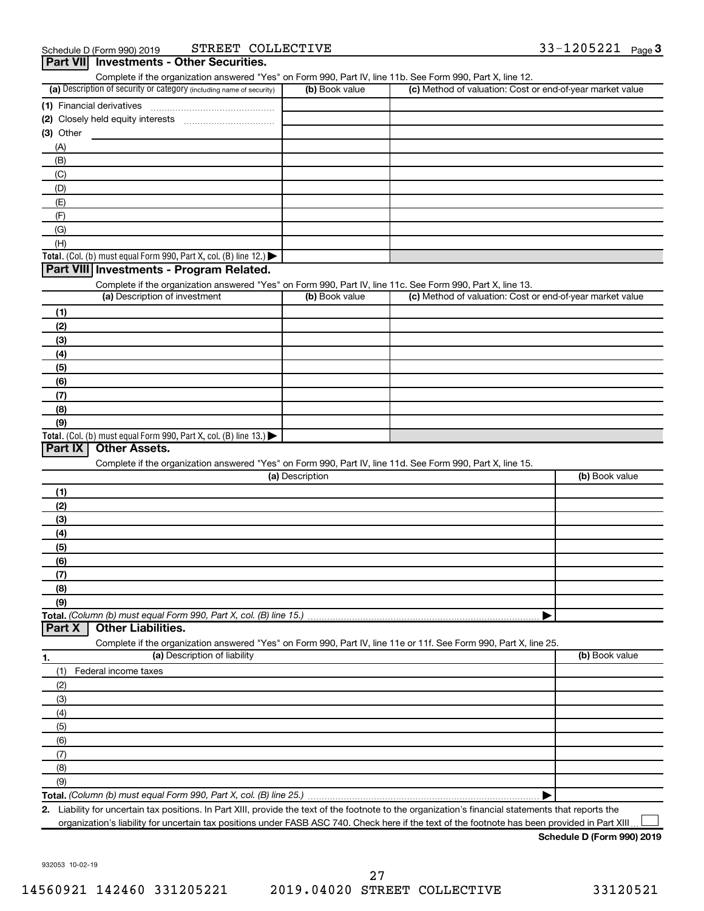| Complete if the organization answered "Yes" on Form 990, Part IV, line 11b. See Form 990, Part X, line 12.        |                 |                                                           |                |
|-------------------------------------------------------------------------------------------------------------------|-----------------|-----------------------------------------------------------|----------------|
| (a) Description of security or category (including name of security)                                              | (b) Book value  | (c) Method of valuation: Cost or end-of-year market value |                |
|                                                                                                                   |                 |                                                           |                |
|                                                                                                                   |                 |                                                           |                |
| $(3)$ Other                                                                                                       |                 |                                                           |                |
| (A)                                                                                                               |                 |                                                           |                |
| (B)                                                                                                               |                 |                                                           |                |
|                                                                                                                   |                 |                                                           |                |
| (C)                                                                                                               |                 |                                                           |                |
| (D)                                                                                                               |                 |                                                           |                |
| (E)                                                                                                               |                 |                                                           |                |
| (F)                                                                                                               |                 |                                                           |                |
| (G)                                                                                                               |                 |                                                           |                |
| (H)                                                                                                               |                 |                                                           |                |
| Total. (Col. (b) must equal Form 990, Part X, col. (B) line 12.)                                                  |                 |                                                           |                |
| Part VIII Investments - Program Related.                                                                          |                 |                                                           |                |
| Complete if the organization answered "Yes" on Form 990, Part IV, line 11c. See Form 990, Part X, line 13.        |                 |                                                           |                |
| (a) Description of investment                                                                                     | (b) Book value  | (c) Method of valuation: Cost or end-of-year market value |                |
|                                                                                                                   |                 |                                                           |                |
| (1)                                                                                                               |                 |                                                           |                |
| (2)                                                                                                               |                 |                                                           |                |
| (3)                                                                                                               |                 |                                                           |                |
| (4)                                                                                                               |                 |                                                           |                |
| (5)                                                                                                               |                 |                                                           |                |
| (6)                                                                                                               |                 |                                                           |                |
| (7)                                                                                                               |                 |                                                           |                |
| (8)                                                                                                               |                 |                                                           |                |
| (9)                                                                                                               |                 |                                                           |                |
| Total. (Col. (b) must equal Form 990, Part X, col. (B) line 13.)                                                  |                 |                                                           |                |
| <b>Other Assets.</b><br>Part IX                                                                                   |                 |                                                           |                |
|                                                                                                                   |                 |                                                           |                |
|                                                                                                                   |                 |                                                           |                |
| Complete if the organization answered "Yes" on Form 990, Part IV, line 11d. See Form 990, Part X, line 15.        |                 |                                                           |                |
|                                                                                                                   | (a) Description |                                                           | (b) Book value |
| (1)                                                                                                               |                 |                                                           |                |
| (2)                                                                                                               |                 |                                                           |                |
| (3)                                                                                                               |                 |                                                           |                |
| (4)                                                                                                               |                 |                                                           |                |
| (5)                                                                                                               |                 |                                                           |                |
| (6)                                                                                                               |                 |                                                           |                |
| (7)                                                                                                               |                 |                                                           |                |
|                                                                                                                   |                 |                                                           |                |
| (8)                                                                                                               |                 |                                                           |                |
| (9)                                                                                                               |                 |                                                           |                |
| Total. (Column (b) must equal Form 990, Part X, col. (B) line 15.)                                                |                 |                                                           |                |
| Part X<br><b>Other Liabilities.</b>                                                                               |                 |                                                           |                |
| Complete if the organization answered "Yes" on Form 990, Part IV, line 11e or 11f. See Form 990, Part X, line 25. |                 |                                                           |                |
| (a) Description of liability<br>1.                                                                                |                 |                                                           | (b) Book value |
| Federal income taxes<br>(1)                                                                                       |                 |                                                           |                |
| (2)                                                                                                               |                 |                                                           |                |
| (3)                                                                                                               |                 |                                                           |                |
| (4)                                                                                                               |                 |                                                           |                |
| (5)                                                                                                               |                 |                                                           |                |
| (6)                                                                                                               |                 |                                                           |                |
|                                                                                                                   |                 |                                                           |                |
| (7)                                                                                                               |                 |                                                           |                |
| (8)                                                                                                               |                 |                                                           |                |
| (9)                                                                                                               |                 |                                                           |                |

**2.** Liability for uncertain tax positions. In Part XIII, provide the text of the footnote to the organization's financial statements that reports the organization's liability for uncertain tax positions under FASB ASC 740. Check here if the text of the footnote has been provided in Part XIII.  $\perp$ 

**Schedule D (Form 990) 2019**

932053 10-02-19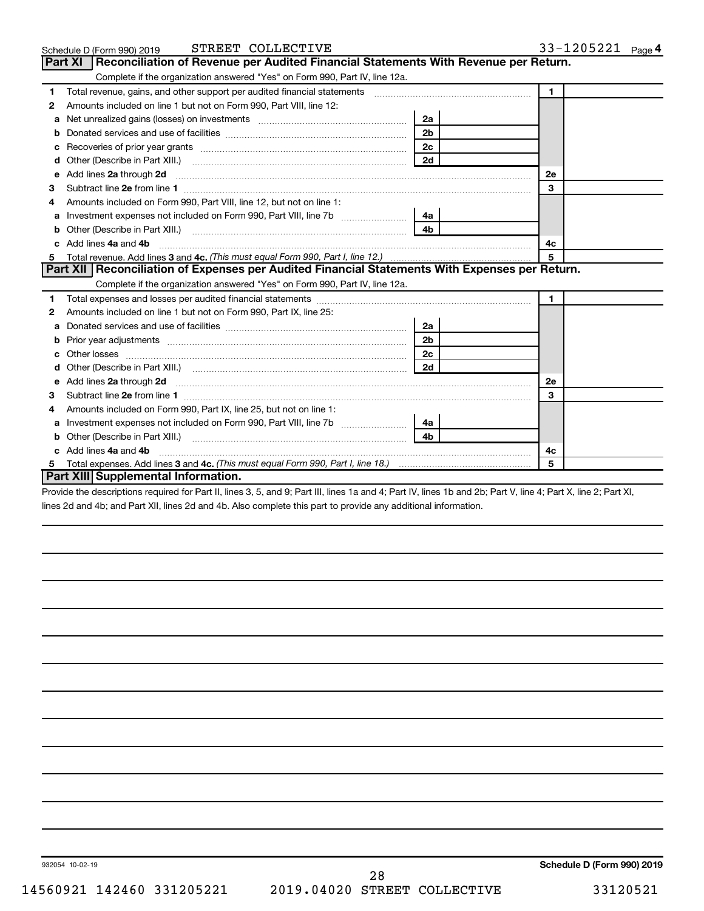|              | STREET COLLECTIVE<br>Schedule D (Form 990) 2019                                                                                                                                                                                      |                | 33-1205221 Page 4 |
|--------------|--------------------------------------------------------------------------------------------------------------------------------------------------------------------------------------------------------------------------------------|----------------|-------------------|
|              | Reconciliation of Revenue per Audited Financial Statements With Revenue per Return.<br><b>Part XI</b>                                                                                                                                |                |                   |
|              | Complete if the organization answered "Yes" on Form 990, Part IV, line 12a.                                                                                                                                                          |                |                   |
| 1            | Total revenue, gains, and other support per audited financial statements [11] [11] Total revenue, gains, and other support per audited financial statements                                                                          |                | $\mathbf{1}$      |
| 2            | Amounts included on line 1 but not on Form 990, Part VIII, line 12:                                                                                                                                                                  |                |                   |
| a            |                                                                                                                                                                                                                                      | 2a             |                   |
| b            |                                                                                                                                                                                                                                      | 2 <sub>b</sub> |                   |
| c            |                                                                                                                                                                                                                                      | 2 <sub>c</sub> |                   |
| d            | Other (Describe in Part XIII.) <b>2006</b> 2007 2010 2010 2010 2010 2011 2012 2013 2014 2015 2016 2017 2018 2019 2016 2016 2017 2018 2019 2016 2017 2018 2019 2016 2017 2018 2019 2018 2019 2016 2017 2018 2019 2018 2019 2018 2019  | 2d             |                   |
| $\mathbf{e}$ | Add lines 2a through 2d <b>Martin Martin Martin Martin Martin Martin Martin Martin Martin Martin Martin Martin Martin Martin Martin Martin Martin Martin Martin Martin Martin Martin Martin Martin Martin Martin Martin Martin M</b> |                | <b>2e</b>         |
| з            |                                                                                                                                                                                                                                      |                | 3                 |
|              | Amounts included on Form 990, Part VIII, line 12, but not on line 1:                                                                                                                                                                 |                |                   |
| a            | Investment expenses not included on Form 990, Part VIII, line 7b                                                                                                                                                                     | 4a             |                   |
| b            |                                                                                                                                                                                                                                      | 4 <sub>b</sub> |                   |
|              | c Add lines 4a and 4b                                                                                                                                                                                                                |                | 4c                |
| 5            |                                                                                                                                                                                                                                      |                | 5                 |
|              | Part XII Reconciliation of Expenses per Audited Financial Statements With Expenses per Return.                                                                                                                                       |                |                   |
|              | Complete if the organization answered "Yes" on Form 990, Part IV, line 12a.                                                                                                                                                          |                |                   |
| 1            |                                                                                                                                                                                                                                      |                | $\mathbf{1}$      |
| 2            | Amounts included on line 1 but not on Form 990, Part IX, line 25:                                                                                                                                                                    |                |                   |
| a            |                                                                                                                                                                                                                                      | 2a             |                   |
| b            |                                                                                                                                                                                                                                      | 2 <sub>b</sub> |                   |
|              |                                                                                                                                                                                                                                      | 2c             |                   |
|              |                                                                                                                                                                                                                                      | 2d             |                   |
| e            | Add lines 2a through 2d <b>[10]</b> University material contracts and the set of the set of the set of the set of the set of the set of the set of the set of the set of the set of the set of the set of the set of the set of the  |                | <b>2e</b>         |
| 3            |                                                                                                                                                                                                                                      |                | 3                 |
| 4            | Amounts included on Form 990, Part IX, line 25, but not on line 1:                                                                                                                                                                   |                |                   |
| a            | Investment expenses not included on Form 990, Part VIII, line 7b [11, 11, 11, 11, 11]                                                                                                                                                | 4a             |                   |
| b            |                                                                                                                                                                                                                                      | 4h.            |                   |
|              | Add lines 4a and 4b                                                                                                                                                                                                                  |                | 4c                |
|              |                                                                                                                                                                                                                                      |                | 5                 |
|              | Part XIII Supplemental Information.                                                                                                                                                                                                  |                |                   |

Provide the descriptions required for Part II, lines 3, 5, and 9; Part III, lines 1a and 4; Part IV, lines 1b and 2b; Part V, line 4; Part X, line 2; Part XI, lines 2d and 4b; and Part XII, lines 2d and 4b. Also complete this part to provide any additional information.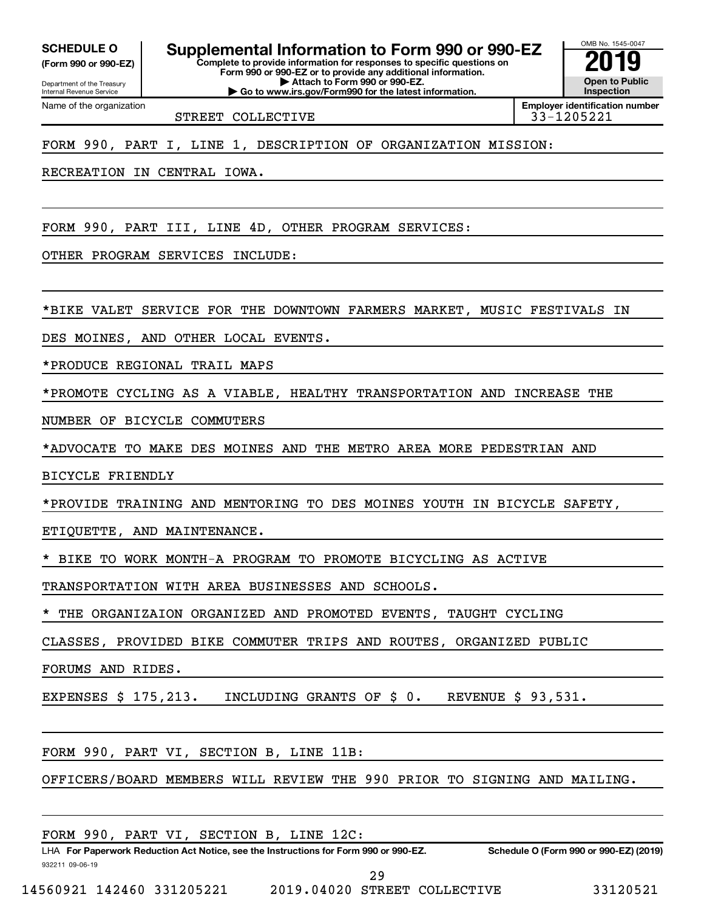Department of the Treasury **(Form 990 or 990-EZ)**

**Complete to provide information for responses to specific questions on Form 990 or 990-EZ or to provide any additional information. SCHEDULE O Supplemental Information to Form 990 or 990-EZ 2019** 

**| Attach to Form 990 or 990-EZ. | Go to www.irs.gov/Form990 for the latest information.**

Internal Revenue Service Name of the organization

**Employer identification number** STREET COLLECTIVE **33-1205221** 

OMB No. 1545-0047

**Open to Public Inspection**

FORM 990, PART I, LINE 1, DESCRIPTION OF ORGANIZATION MISSION:

RECREATION IN CENTRAL IOWA.

FORM 990, PART III, LINE 4D, OTHER PROGRAM SERVICES:

OTHER PROGRAM SERVICES INCLUDE:

\*BIKE VALET SERVICE FOR THE DOWNTOWN FARMERS MARKET, MUSIC FESTIVALS IN

DES MOINES, AND OTHER LOCAL EVENTS.

\*PRODUCE REGIONAL TRAIL MAPS

\*PROMOTE CYCLING AS A VIABLE, HEALTHY TRANSPORTATION AND INCREASE THE

NUMBER OF BICYCLE COMMUTERS

\*ADVOCATE TO MAKE DES MOINES AND THE METRO AREA MORE PEDESTRIAN AND

BICYCLE FRIENDLY

\*PROVIDE TRAINING AND MENTORING TO DES MOINES YOUTH IN BICYCLE SAFETY,

ETIQUETTE, AND MAINTENANCE.

BIKE TO WORK MONTH-A PROGRAM TO PROMOTE BICYCLING AS ACTIVE

TRANSPORTATION WITH AREA BUSINESSES AND SCHOOLS.

THE ORGANIZAION ORGANIZED AND PROMOTED EVENTS, TAUGHT CYCLING

CLASSES, PROVIDED BIKE COMMUTER TRIPS AND ROUTES, ORGANIZED PUBLIC

FORUMS AND RIDES.

EXPENSES \$ 175,213. INCLUDING GRANTS OF \$ 0. REVENUE \$ 93,531.

FORM 990, PART VI, SECTION B, LINE 11B:

OFFICERS/BOARD MEMBERS WILL REVIEW THE 990 PRIOR TO SIGNING AND MAILING.

| FORM 990, PART VI, SECTION B, LINE 12C:                                              |                              |                                        |
|--------------------------------------------------------------------------------------|------------------------------|----------------------------------------|
| LHA For Paperwork Reduction Act Notice, see the Instructions for Form 990 or 990-EZ. |                              | Schedule O (Form 990 or 990-EZ) (2019) |
| 932211 09-06-19                                                                      | 29                           |                                        |
| 14560921 142460 331205221                                                            | 2019.04020 STREET COLLECTIVE | 33120521                               |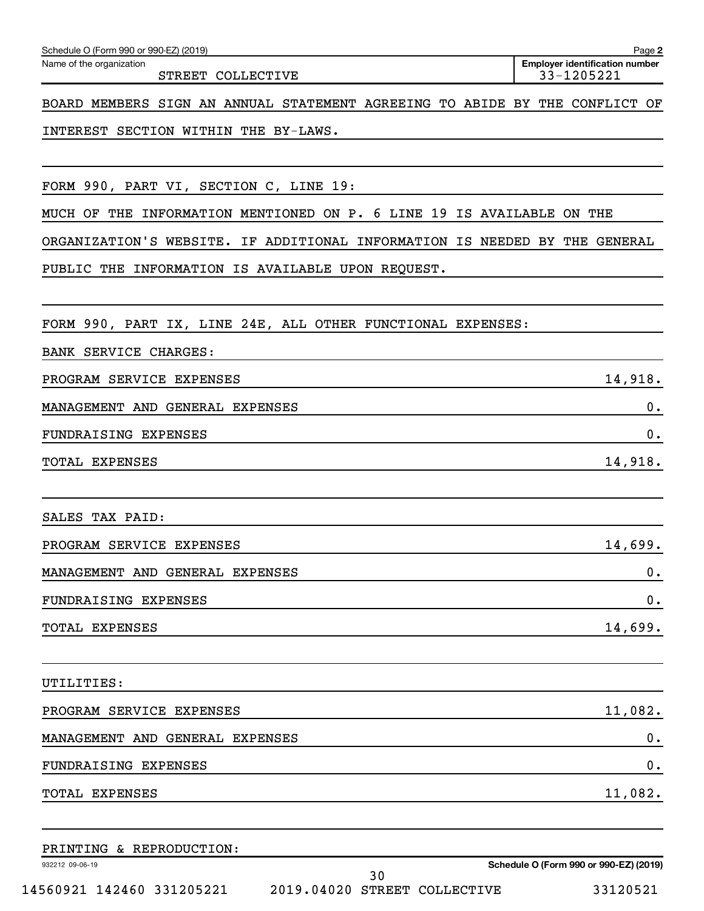| Schedule O (Form 990 or 990-EZ) (2019)                                      | Page 2                                              |
|-----------------------------------------------------------------------------|-----------------------------------------------------|
| Name of the organization<br>STREET COLLECTIVE                               | <b>Employer identification number</b><br>33-1205221 |
| BOARD MEMBERS SIGN AN ANNUAL STATEMENT AGREEING TO ABIDE BY THE CONFLICT OF |                                                     |
| INTEREST SECTION WITHIN THE BY-LAWS.                                        |                                                     |
|                                                                             |                                                     |
| FORM 990, PART VI, SECTION C, LINE 19:                                      |                                                     |
| MUCH OF THE INFORMATION MENTIONED ON P. 6 LINE 19 IS AVAILABLE ON THE       |                                                     |
| ORGANIZATION'S WEBSITE. IF ADDITIONAL INFORMATION IS NEEDED BY THE GENERAL  |                                                     |
| PUBLIC THE INFORMATION IS AVAILABLE UPON REQUEST.                           |                                                     |
| FORM 990, PART IX, LINE 24E, ALL OTHER FUNCTIONAL EXPENSES:                 |                                                     |
| BANK SERVICE CHARGES:                                                       |                                                     |
| PROGRAM SERVICE EXPENSES                                                    | 14,918.                                             |
| MANAGEMENT AND GENERAL EXPENSES                                             | 0.                                                  |
| FUNDRAISING EXPENSES                                                        | 0.                                                  |
| TOTAL EXPENSES                                                              | 14,918.                                             |
| SALES TAX PAID:                                                             |                                                     |
| PROGRAM SERVICE EXPENSES                                                    | 14,699.                                             |
| MANAGEMENT AND GENERAL EXPENSES                                             | 0.                                                  |
| FUNDRAISING EXPENSES                                                        | $0$ .                                               |
| TOTAL EXPENSES                                                              | 14,699.                                             |
| UTILITIES:                                                                  |                                                     |
| PROGRAM SERVICE EXPENSES                                                    | 11,082.                                             |
| MANAGEMENT AND GENERAL EXPENSES                                             | 0.                                                  |
| FUNDRAISING EXPENSES                                                        | $0$ .                                               |
| TOTAL EXPENSES                                                              | 11,082.                                             |
|                                                                             |                                                     |

932212 09-06-19

PRINTING & REPRODUCTION:

**Schedule O (Form 990 or 990-EZ) (2019)**

14560921 142460 331205221 2019.04020 STREET COLLECTIVE 33120521 30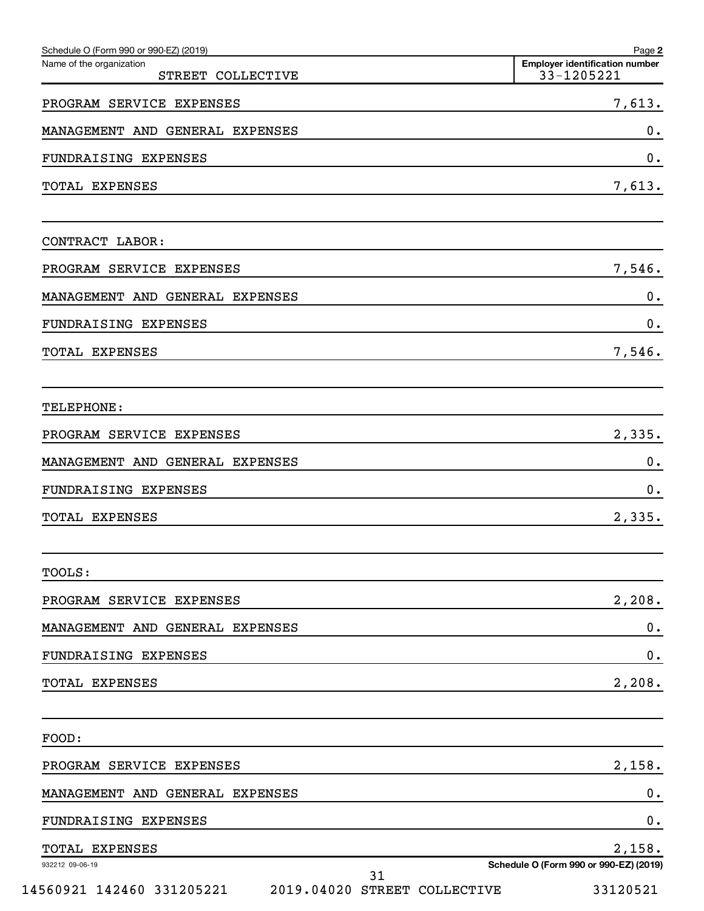| Schedule O (Form 990 or 990-EZ) (2019)                 | Page 2                                              |
|--------------------------------------------------------|-----------------------------------------------------|
| Name of the organization<br>STREET COLLECTIVE          | <b>Employer identification number</b><br>33-1205221 |
| PROGRAM SERVICE EXPENSES                               | 7,613.                                              |
| MANAGEMENT AND GENERAL EXPENSES                        | 0.                                                  |
| FUNDRAISING EXPENSES                                   | 0.                                                  |
| <b>TOTAL EXPENSES</b>                                  | 7,613.                                              |
| CONTRACT LABOR:                                        |                                                     |
| PROGRAM SERVICE<br><b>EXPENSES</b>                     | 7,546.                                              |
| MANAGEMENT AND GENERAL EXPENSES                        | 0.                                                  |
| FUNDRAISING EXPENSES                                   | 0.                                                  |
| TOTAL EXPENSES                                         | 7,546.                                              |
| TELEPHONE:                                             |                                                     |
| PROGRAM SERVICE EXPENSES                               | 2,335.                                              |
| MANAGEMENT AND GENERAL EXPENSES                        | 0.                                                  |
| FUNDRAISING EXPENSES                                   | 0.                                                  |
| <b>TOTAL EXPENSES</b>                                  | 2,335.                                              |
| TOOLS:                                                 |                                                     |
| PROGRAM SERVICE EXPENSES                               | 2,208.                                              |
| MANAGEMENT AND GENERAL EXPENSES                        | 0.                                                  |
| FUNDRAISING EXPENSES                                   | 0.                                                  |
| <b>TOTAL EXPENSES</b>                                  | 2,208.                                              |
| FOOD:                                                  |                                                     |
| PROGRAM SERVICE EXPENSES                               | 2,158.                                              |
| MANAGEMENT AND GENERAL EXPENSES                        | 0.                                                  |
| FUNDRAISING EXPENSES                                   | 0.                                                  |
| TOTAL EXPENSES                                         | 2,158.                                              |
| 932212 09-06-19<br>31                                  | Schedule O (Form 990 or 990-EZ) (2019)              |
| 14560921 142460 331205221 2019.04020 STREET COLLECTIVE | 33120521                                            |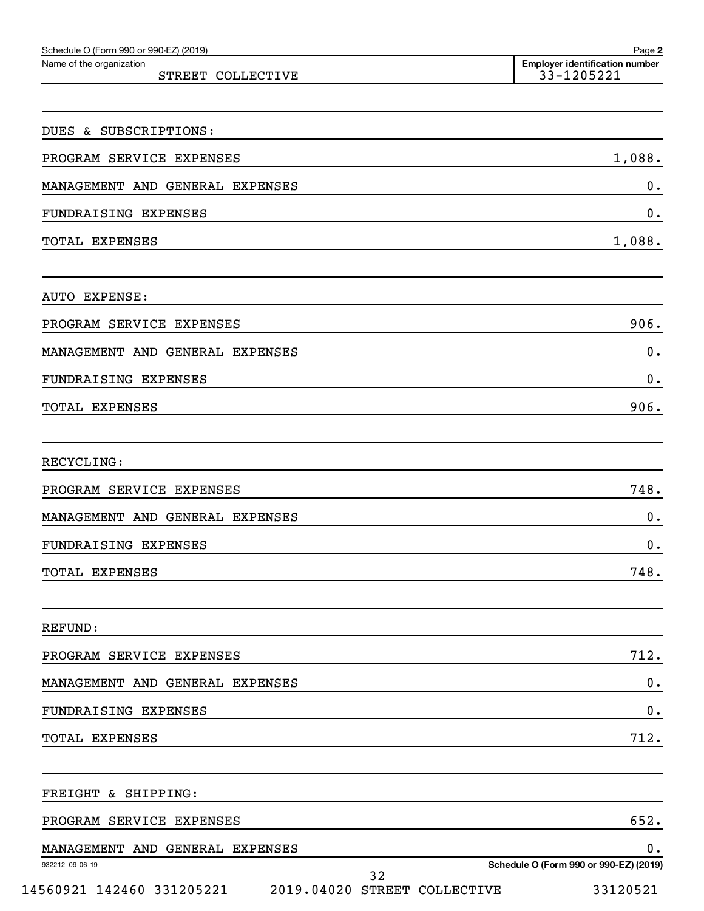| Schedule O (Form 990 or 990-EZ) (2019)<br>Name of the organization | Page 2<br><b>Employer identification number</b> |
|--------------------------------------------------------------------|-------------------------------------------------|
| STREET COLLECTIVE                                                  | 33-1205221                                      |
|                                                                    |                                                 |
| & SUBSCRIPTIONS:<br>DUES                                           |                                                 |
| PROGRAM SERVICE EXPENSES                                           | 1,088.                                          |
| MANAGEMENT AND GENERAL EXPENSES                                    | 0.                                              |
| FUNDRAISING EXPENSES                                               | 0.                                              |
| <b>TOTAL EXPENSES</b>                                              | 1,088.                                          |
| <b>AUTO EXPENSE:</b>                                               |                                                 |
| PROGRAM SERVICE EXPENSES                                           | 906.                                            |
| MANAGEMENT AND GENERAL EXPENSES                                    | 0.                                              |
| FUNDRAISING EXPENSES                                               | 0.                                              |
| <b>TOTAL EXPENSES</b>                                              | 906.                                            |
| RECYCLING:                                                         |                                                 |
| PROGRAM SERVICE EXPENSES                                           | 748.                                            |
| MANAGEMENT AND GENERAL EXPENSES                                    | 0.                                              |
| FUNDRAISING EXPENSES                                               | 0.                                              |
| TOTAL EXPENSES                                                     | 748.                                            |
| REFUND:                                                            |                                                 |
| PROGRAM SERVICE EXPENSES                                           | 712.                                            |
| MANAGEMENT AND GENERAL EXPENSES                                    | $\mathbf 0$ .                                   |
| FUNDRAISING EXPENSES                                               | $0$ .                                           |
| TOTAL EXPENSES                                                     | 712.                                            |
| FREIGHT & SHIPPING:                                                |                                                 |
| PROGRAM SERVICE EXPENSES                                           | 652.                                            |
| MANAGEMENT AND GENERAL EXPENSES                                    | 0.                                              |
| 932212 09-06-19<br>32                                              | Schedule O (Form 990 or 990-EZ) (2019)          |
| 14560921 142460 331205221 2019.04020 STREET COLLECTIVE             | 33120521                                        |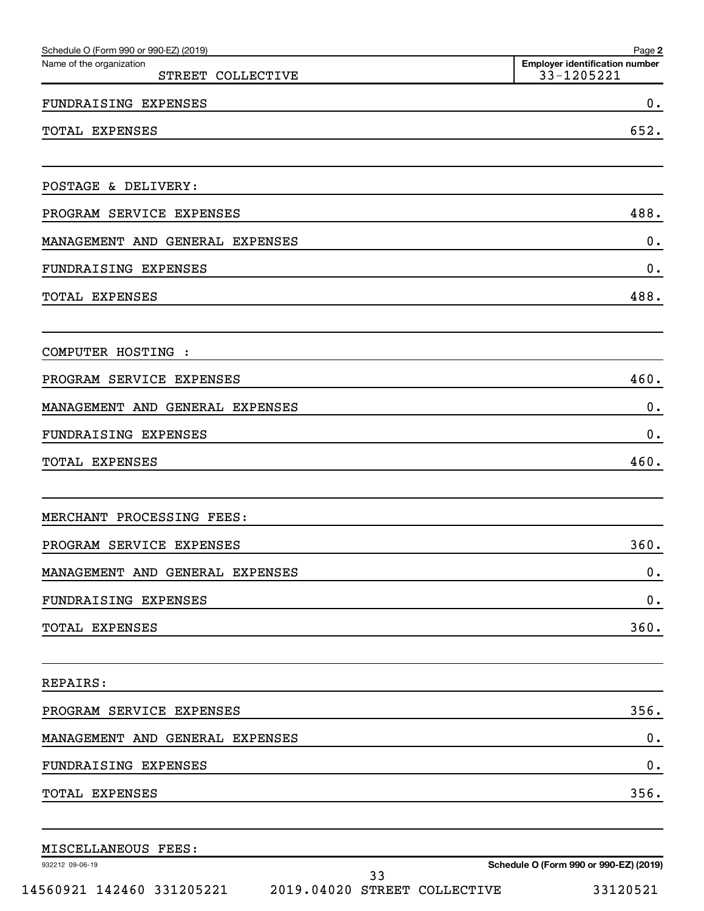| Schedule O (Form 990 or 990-EZ) (2019)                  | Page 2                                              |
|---------------------------------------------------------|-----------------------------------------------------|
| Name of the organization<br>COLLECTIVE<br><b>STREET</b> | <b>Employer identification number</b><br>33-1205221 |
| FUNDRAISING EXPENSES                                    | 0.                                                  |
| <b>TOTAL EXPENSES</b>                                   | 652.                                                |
| POSTAGE & DELIVERY:                                     |                                                     |
| PROGRAM SERVICE EXPENSES                                | 488.                                                |
| MANAGEMENT AND GENERAL EXPENSES                         | 0.                                                  |
| FUNDRAISING EXPENSES                                    | 0.                                                  |
| <b>TOTAL EXPENSES</b>                                   | 488.                                                |
| COMPUTER HOSTING<br>$\ddot{\cdot}$                      |                                                     |
| PROGRAM SERVICE EXPENSES                                | 460.                                                |
| MANAGEMENT AND GENERAL EXPENSES                         | 0.                                                  |
| FUNDRAISING EXPENSES                                    | 0.                                                  |
| <b>TOTAL EXPENSES</b>                                   | 460.                                                |
| MERCHANT PROCESSING FEES:                               |                                                     |
| PROGRAM SERVICE EXPENSES                                | 360.                                                |
| MANAGEMENT AND GENERAL EXPENSES                         | $\mathbf 0$ .                                       |
| FUNDRAISING EXPENSES                                    | $\mathbf 0$ .                                       |
| TOTAL EXPENSES                                          | 360.                                                |
| REPAIRS:                                                |                                                     |
| PROGRAM SERVICE EXPENSES                                | 356.                                                |
| MANAGEMENT AND GENERAL EXPENSES                         | 0.                                                  |
| FUNDRAISING EXPENSES                                    | 0.                                                  |
| TOTAL EXPENSES                                          | 356.                                                |
| MISCELLANEOUS FEES:                                     |                                                     |

932212 09-06-19

**Schedule O (Form 990 or 990-EZ) (2019)**